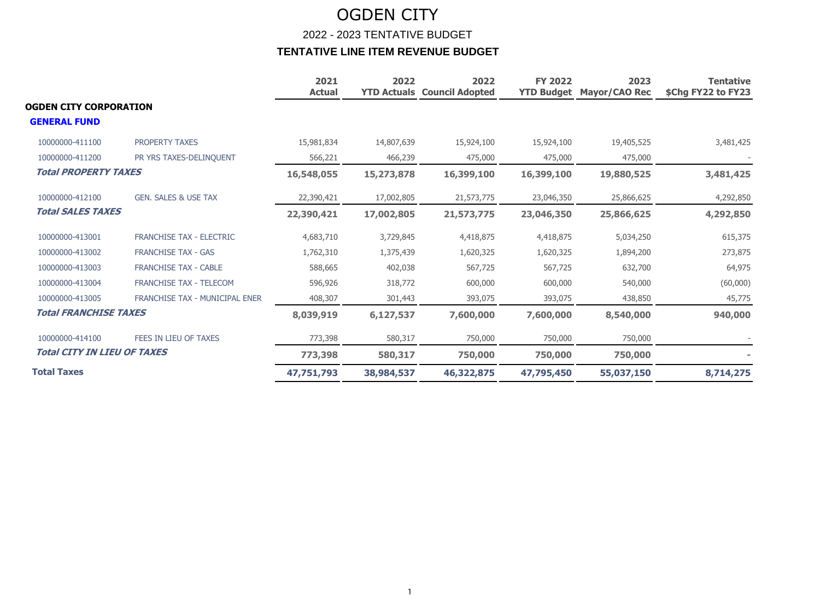|                                    |                                 | 2021<br><b>Actual</b> | 2022       | 2022<br><b>YTD Actuals Council Adopted</b> | <b>FY 2022</b><br><b>YTD Budget</b> | 2023<br><b>Mayor/CAO Rec</b> | <b>Tentative</b><br>\$Chg FY22 to FY23 |
|------------------------------------|---------------------------------|-----------------------|------------|--------------------------------------------|-------------------------------------|------------------------------|----------------------------------------|
| OGDEN CITY CORPORATION             |                                 |                       |            |                                            |                                     |                              |                                        |
| <b>GENERAL FUND</b>                |                                 |                       |            |                                            |                                     |                              |                                        |
| 10000000-411100                    | <b>PROPERTY TAXES</b>           | 15,981,834            | 14,807,639 | 15,924,100                                 | 15,924,100                          | 19,405,525                   | 3,481,425                              |
| 10000000-411200                    | PR YRS TAXES-DELINQUENT         | 566,221               | 466,239    | 475,000                                    | 475,000                             | 475,000                      |                                        |
| <b>Total PROPERTY TAXES</b>        |                                 | 16,548,055            | 15,273,878 | 16,399,100                                 | 16,399,100                          | 19,880,525                   | 3,481,425                              |
| 10000000-412100                    | <b>GEN. SALES &amp; USE TAX</b> | 22,390,421            | 17,002,805 | 21,573,775                                 | 23,046,350                          | 25,866,625                   | 4,292,850                              |
| <b>Total SALES TAXES</b>           |                                 | 22,390,421            | 17,002,805 | 21,573,775                                 | 23,046,350                          | 25,866,625                   | 4,292,850                              |
| 10000000-413001                    | <b>FRANCHISE TAX - ELECTRIC</b> | 4,683,710             | 3,729,845  | 4,418,875                                  | 4,418,875                           | 5,034,250                    | 615,375                                |
| 10000000-413002                    | <b>FRANCHISE TAX - GAS</b>      | 1,762,310             | 1,375,439  | 1,620,325                                  | 1,620,325                           | 1,894,200                    | 273,875                                |
| 10000000-413003                    | <b>FRANCHISE TAX - CABLE</b>    | 588,665               | 402,038    | 567,725                                    | 567,725                             | 632,700                      | 64,975                                 |
| 10000000-413004                    | <b>FRANCHISE TAX - TELECOM</b>  | 596,926               | 318,772    | 600,000                                    | 600,000                             | 540,000                      | (60,000)                               |
| 10000000-413005                    | FRANCHISE TAX - MUNICIPAL ENER  | 408,307               | 301,443    | 393,075                                    | 393,075                             | 438,850                      | 45,775                                 |
| <b>Total FRANCHISE TAXES</b>       |                                 | 8,039,919             | 6,127,537  | 7,600,000                                  | 7,600,000                           | 8,540,000                    | 940,000                                |
| 10000000-414100                    | FEES IN LIEU OF TAXES           | 773,398               | 580,317    | 750,000                                    | 750,000                             | 750,000                      |                                        |
| <b>Total CITY IN LIEU OF TAXES</b> |                                 | 773,398               | 580,317    | 750,000                                    | 750,000                             | 750,000                      |                                        |
| <b>Total Taxes</b>                 |                                 | 47,751,793            | 38,984,537 | 46,322,875                                 | 47,795,450                          | 55,037,150                   | 8,714,275                              |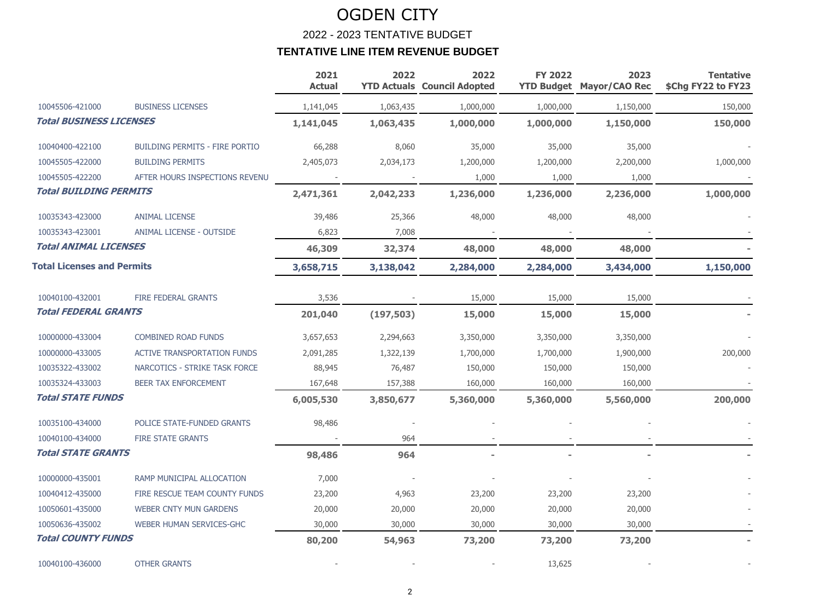|                                   |                                       | 2021<br><b>Actual</b> | 2022       | 2022<br><b>YTD Actuals Council Adopted</b> | <b>FY 2022</b> | 2023<br><b>YTD Budget Mayor/CAO Rec</b> | <b>Tentative</b><br>\$Chg FY22 to FY23 |
|-----------------------------------|---------------------------------------|-----------------------|------------|--------------------------------------------|----------------|-----------------------------------------|----------------------------------------|
| 10045506-421000                   | <b>BUSINESS LICENSES</b>              | 1,141,045             | 1,063,435  | 1,000,000                                  | 1,000,000      | 1,150,000                               | 150,000                                |
| <b>Total BUSINESS LICENSES</b>    |                                       | 1,141,045             | 1,063,435  | 1,000,000                                  | 1,000,000      | 1,150,000                               | 150,000                                |
| 10040400-422100                   | <b>BUILDING PERMITS - FIRE PORTIO</b> | 66,288                | 8,060      | 35,000                                     | 35,000         | 35,000                                  |                                        |
| 10045505-422000                   | <b>BUILDING PERMITS</b>               | 2,405,073             | 2,034,173  | 1,200,000                                  | 1,200,000      | 2,200,000                               | 1,000,000                              |
| 10045505-422200                   | AFTER HOURS INSPECTIONS REVENU        |                       |            | 1,000                                      | 1,000          | 1,000                                   |                                        |
| <b>Total BUILDING PERMITS</b>     |                                       | 2,471,361             | 2,042,233  | 1,236,000                                  | 1,236,000      | 2,236,000                               | 1,000,000                              |
| 10035343-423000                   | <b>ANIMAL LICENSE</b>                 | 39,486                | 25,366     | 48,000                                     | 48,000         | 48,000                                  |                                        |
| 10035343-423001                   | ANIMAL LICENSE - OUTSIDE              | 6,823                 | 7,008      |                                            |                |                                         |                                        |
| <b>Total ANIMAL LICENSES</b>      |                                       | 46,309                | 32,374     | 48,000                                     | 48,000         | 48,000                                  |                                        |
| <b>Total Licenses and Permits</b> |                                       | 3,658,715             | 3,138,042  | 2,284,000                                  | 2,284,000      | 3,434,000                               | 1,150,000                              |
| 10040100-432001                   | <b>FIRE FEDERAL GRANTS</b>            | 3,536                 |            | 15,000                                     | 15,000         | 15,000                                  |                                        |
| <b>Total FEDERAL GRANTS</b>       |                                       | 201,040               | (197, 503) | 15,000                                     | 15,000         | 15,000                                  |                                        |
| 10000000-433004                   | <b>COMBINED ROAD FUNDS</b>            | 3,657,653             | 2,294,663  | 3,350,000                                  | 3,350,000      | 3,350,000                               |                                        |
| 10000000-433005                   | <b>ACTIVE TRANSPORTATION FUNDS</b>    | 2,091,285             | 1,322,139  | 1,700,000                                  | 1,700,000      | 1,900,000                               | 200,000                                |
| 10035322-433002                   | NARCOTICS - STRIKE TASK FORCE         | 88,945                | 76,487     | 150,000                                    | 150,000        | 150,000                                 |                                        |
| 10035324-433003                   | <b>BEER TAX ENFORCEMENT</b>           | 167,648               | 157,388    | 160,000                                    | 160,000        | 160,000                                 |                                        |
| <b>Total STATE FUNDS</b>          |                                       | 6,005,530             | 3,850,677  | 5,360,000                                  | 5,360,000      | 5,560,000                               | 200,000                                |
| 10035100-434000                   | POLICE STATE-FUNDED GRANTS            | 98,486                |            |                                            |                |                                         |                                        |
| 10040100-434000                   | <b>FIRE STATE GRANTS</b>              |                       | 964        |                                            |                |                                         |                                        |
| <b>Total STATE GRANTS</b>         |                                       | 98,486                | 964        |                                            |                |                                         |                                        |
| 10000000-435001                   | RAMP MUNICIPAL ALLOCATION             | 7,000                 |            |                                            |                |                                         |                                        |
| 10040412-435000                   | FIRE RESCUE TEAM COUNTY FUNDS         | 23,200                | 4,963      | 23,200                                     | 23,200         | 23,200                                  |                                        |
| 10050601-435000                   | <b>WEBER CNTY MUN GARDENS</b>         | 20,000                | 20,000     | 20,000                                     | 20,000         | 20,000                                  |                                        |
| 10050636-435002                   | WEBER HUMAN SERVICES-GHC              | 30,000                | 30,000     | 30,000                                     | 30,000         | 30,000                                  |                                        |
| <b>Total COUNTY FUNDS</b>         |                                       | 80,200                | 54,963     | 73,200                                     | 73,200         | 73,200                                  |                                        |
| 10040100-436000                   | <b>OTHER GRANTS</b>                   |                       |            |                                            | 13,625         |                                         |                                        |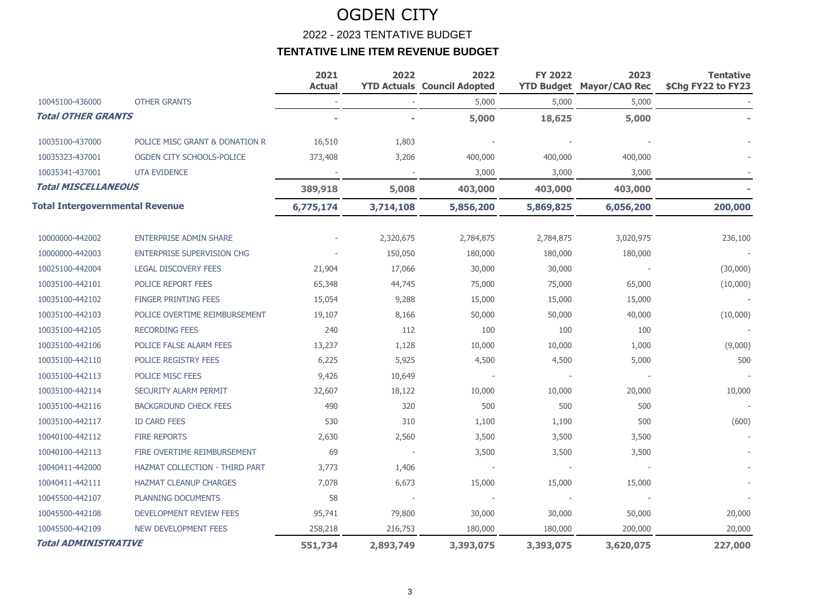|                                        |                                       | 2021<br><b>Actual</b> | 2022      | 2022<br><b>YTD Actuals Council Adopted</b> | <b>FY 2022</b> | 2023<br><b>YTD Budget Mayor/CAO Rec</b> | <b>Tentative</b><br>\$Chg FY22 to FY23 |
|----------------------------------------|---------------------------------------|-----------------------|-----------|--------------------------------------------|----------------|-----------------------------------------|----------------------------------------|
| 10045100-436000                        | <b>OTHER GRANTS</b>                   |                       |           | 5,000                                      | 5,000          | 5,000                                   |                                        |
| <b>Total OTHER GRANTS</b>              |                                       |                       |           | 5,000                                      | 18,625         | 5,000                                   |                                        |
| 10035100-437000                        | POLICE MISC GRANT & DONATION R        | 16,510                | 1,803     |                                            |                |                                         |                                        |
| 10035323-437001                        | OGDEN CITY SCHOOLS-POLICE             | 373,408               | 3,206     | 400,000                                    | 400,000        | 400,000                                 |                                        |
| 10035341-437001                        | <b>UTA EVIDENCE</b>                   |                       |           | 3,000                                      | 3,000          | 3,000                                   |                                        |
| <b>Total MISCELLANEOUS</b>             |                                       | 389,918               | 5,008     | 403,000                                    | 403,000        | 403,000                                 |                                        |
| <b>Total Intergovernmental Revenue</b> |                                       | 6,775,174             | 3,714,108 | 5,856,200                                  | 5,869,825      | 6,056,200                               | 200,000                                |
| 10000000-442002                        | <b>ENTERPRISE ADMIN SHARE</b>         |                       | 2,320,675 | 2,784,875                                  | 2,784,875      | 3,020,975                               | 236,100                                |
| 10000000-442003                        | <b>ENTERPRISE SUPERVISION CHG</b>     |                       | 150,050   | 180,000                                    | 180,000        | 180,000                                 |                                        |
| 10025100-442004                        | <b>LEGAL DISCOVERY FEES</b>           | 21,904                | 17,066    | 30,000                                     | 30,000         |                                         | (30,000)                               |
| 10035100-442101                        | <b>POLICE REPORT FEES</b>             | 65,348                | 44,745    | 75,000                                     | 75,000         | 65,000                                  | (10,000)                               |
| 10035100-442102                        | <b>FINGER PRINTING FEES</b>           | 15,054                | 9,288     | 15,000                                     | 15,000         | 15,000                                  |                                        |
| 10035100-442103                        | POLICE OVERTIME REIMBURSEMENT         | 19,107                | 8,166     | 50,000                                     | 50,000         | 40,000                                  | (10,000)                               |
| 10035100-442105                        | <b>RECORDING FEES</b>                 | 240                   | 112       | 100                                        | 100            | 100                                     |                                        |
| 10035100-442106                        | POLICE FALSE ALARM FEES               | 13,237                | 1,128     | 10,000                                     | 10,000         | 1,000                                   | (9,000)                                |
| 10035100-442110                        | POLICE REGISTRY FEES                  | 6,225                 | 5,925     | 4,500                                      | 4,500          | 5,000                                   | 500                                    |
| 10035100-442113                        | POLICE MISC FEES                      | 9,426                 | 10,649    |                                            |                |                                         |                                        |
| 10035100-442114                        | SECURITY ALARM PERMIT                 | 32,607                | 18,122    | 10,000                                     | 10,000         | 20,000                                  | 10,000                                 |
| 10035100-442116                        | <b>BACKGROUND CHECK FEES</b>          | 490                   | 320       | 500                                        | 500            | 500                                     |                                        |
| 10035100-442117                        | <b>ID CARD FEES</b>                   | 530                   | 310       | 1,100                                      | 1,100          | 500                                     | (600)                                  |
| 10040100-442112                        | <b>FIRE REPORTS</b>                   | 2,630                 | 2,560     | 3,500                                      | 3,500          | 3,500                                   |                                        |
| 10040100-442113                        | FIRE OVERTIME REIMBURSEMENT           | 69                    |           | 3,500                                      | 3,500          | 3,500                                   |                                        |
| 10040411-442000                        | <b>HAZMAT COLLECTION - THIRD PART</b> | 3,773                 | 1,406     |                                            |                |                                         |                                        |
| 10040411-442111                        | <b>HAZMAT CLEANUP CHARGES</b>         | 7,078                 | 6,673     | 15,000                                     | 15,000         | 15,000                                  |                                        |
| 10045500-442107                        | <b>PLANNING DOCUMENTS</b>             | 58                    |           |                                            |                |                                         |                                        |
| 10045500-442108                        | DEVELOPMENT REVIEW FEES               | 95,741                | 79,800    | 30,000                                     | 30,000         | 50,000                                  | 20,000                                 |
| 10045500-442109                        | <b>NEW DEVELOPMENT FEES</b>           | 258,218               | 216,753   | 180,000                                    | 180,000        | 200,000                                 | 20,000                                 |
| <b>Total ADMINISTRATIVE</b>            |                                       | 551,734               | 2,893,749 | 3,393,075                                  | 3,393,075      | 3,620,075                               | 227,000                                |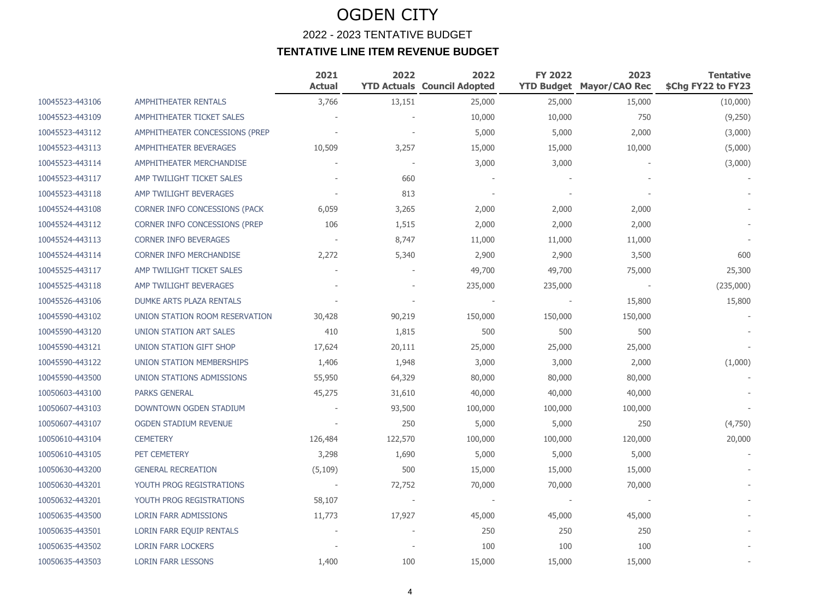### OGDEN CITY 2022 - 2023 TENTATIVE BUDGET **TENTATIVE LINE ITEM REVENUE BUDGET**

|                 |                                      | 2021<br><b>Actual</b> | 2022    | 2022<br><b>YTD Actuals Council Adopted</b> | <b>FY 2022</b> | 2023<br><b>YTD Budget Mayor/CAO Rec</b> | <b>Tentative</b><br>\$Chg FY22 to FY23 |
|-----------------|--------------------------------------|-----------------------|---------|--------------------------------------------|----------------|-----------------------------------------|----------------------------------------|
| 10045523-443106 | AMPHITHEATER RENTALS                 | 3,766                 | 13,151  | 25,000                                     | 25,000         | 15,000                                  | (10,000)                               |
| 10045523-443109 | AMPHITHEATER TICKET SALES            |                       |         | 10,000                                     | 10,000         | 750                                     | (9,250)                                |
| 10045523-443112 | AMPHITHEATER CONCESSIONS (PREP       |                       |         | 5,000                                      | 5,000          | 2,000                                   | (3,000)                                |
| 10045523-443113 | AMPHITHEATER BEVERAGES               | 10,509                | 3,257   | 15,000                                     | 15,000         | 10,000                                  | (5,000)                                |
| 10045523-443114 | AMPHITHEATER MERCHANDISE             |                       |         | 3,000                                      | 3,000          |                                         | (3,000)                                |
| 10045523-443117 | AMP TWILIGHT TICKET SALES            |                       | 660     |                                            |                |                                         |                                        |
| 10045523-443118 | AMP TWILIGHT BEVERAGES               |                       | 813     |                                            |                |                                         |                                        |
| 10045524-443108 | <b>CORNER INFO CONCESSIONS (PACK</b> | 6,059                 | 3,265   | 2,000                                      | 2,000          | 2,000                                   |                                        |
| 10045524-443112 | CORNER INFO CONCESSIONS (PREP        | 106                   | 1,515   | 2,000                                      | 2,000          | 2,000                                   |                                        |
| 10045524-443113 | <b>CORNER INFO BEVERAGES</b>         |                       | 8,747   | 11,000                                     | 11,000         | 11,000                                  |                                        |
| 10045524-443114 | <b>CORNER INFO MERCHANDISE</b>       | 2,272                 | 5,340   | 2,900                                      | 2,900          | 3,500                                   | 600                                    |
| 10045525-443117 | AMP TWILIGHT TICKET SALES            |                       |         | 49,700                                     | 49,700         | 75,000                                  | 25,300                                 |
| 10045525-443118 | AMP TWILIGHT BEVERAGES               |                       |         | 235,000                                    | 235,000        |                                         | (235,000)                              |
| 10045526-443106 | DUMKE ARTS PLAZA RENTALS             |                       |         |                                            |                | 15,800                                  | 15,800                                 |
| 10045590-443102 | UNION STATION ROOM RESERVATION       | 30,428                | 90,219  | 150,000                                    | 150,000        | 150,000                                 |                                        |
| 10045590-443120 | UNION STATION ART SALES              | 410                   | 1,815   | 500                                        | 500            | 500                                     |                                        |
| 10045590-443121 | UNION STATION GIFT SHOP              | 17,624                | 20,111  | 25,000                                     | 25,000         | 25,000                                  |                                        |
| 10045590-443122 | UNION STATION MEMBERSHIPS            | 1,406                 | 1,948   | 3,000                                      | 3,000          | 2,000                                   | (1,000)                                |
| 10045590-443500 | UNION STATIONS ADMISSIONS            | 55,950                | 64,329  | 80,000                                     | 80,000         | 80,000                                  |                                        |
| 10050603-443100 | <b>PARKS GENERAL</b>                 | 45,275                | 31,610  | 40,000                                     | 40,000         | 40,000                                  |                                        |
| 10050607-443103 | DOWNTOWN OGDEN STADIUM               |                       | 93,500  | 100,000                                    | 100,000        | 100,000                                 |                                        |
| 10050607-443107 | <b>OGDEN STADIUM REVENUE</b>         |                       | 250     | 5,000                                      | 5,000          | 250                                     | (4,750)                                |
| 10050610-443104 | <b>CEMETERY</b>                      | 126,484               | 122,570 | 100,000                                    | 100,000        | 120,000                                 | 20,000                                 |
| 10050610-443105 | PET CEMETERY                         | 3,298                 | 1,690   | 5,000                                      | 5,000          | 5,000                                   |                                        |
| 10050630-443200 | <b>GENERAL RECREATION</b>            | (5, 109)              | 500     | 15,000                                     | 15,000         | 15,000                                  |                                        |
| 10050630-443201 | YOUTH PROG REGISTRATIONS             |                       | 72,752  | 70,000                                     | 70,000         | 70,000                                  |                                        |
| 10050632-443201 | YOUTH PROG REGISTRATIONS             | 58,107                |         |                                            |                |                                         |                                        |
| 10050635-443500 | <b>LORIN FARR ADMISSIONS</b>         | 11,773                | 17,927  | 45,000                                     | 45,000         | 45,000                                  |                                        |
| 10050635-443501 | LORIN FARR EQUIP RENTALS             |                       |         | 250                                        | 250            | 250                                     |                                        |
| 10050635-443502 | <b>LORIN FARR LOCKERS</b>            |                       |         | 100                                        | 100            | 100                                     |                                        |
| 10050635-443503 | <b>LORIN FARR LESSONS</b>            | 1,400                 | 100     | 15,000                                     | 15,000         | 15,000                                  |                                        |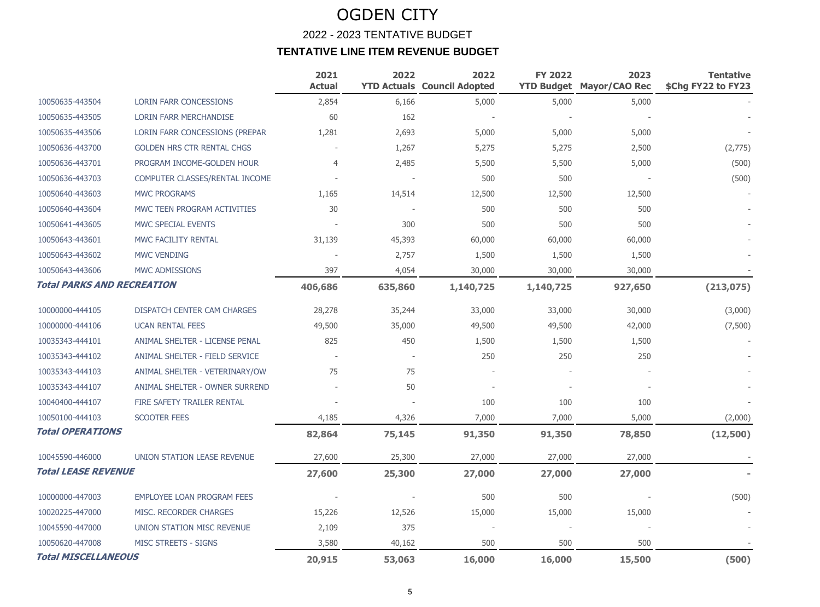### OGDEN CITY 2022 - 2023 TENTATIVE BUDGET **TENTATIVE LINE ITEM REVENUE BUDGET**

|                                   |                                       | 2021<br><b>Actual</b> | 2022    | 2022<br><b>YTD Actuals Council Adopted</b> | <b>FY 2022</b> | 2023<br><b>YTD Budget Mayor/CAO Rec</b> | <b>Tentative</b><br>\$Chg FY22 to FY23 |
|-----------------------------------|---------------------------------------|-----------------------|---------|--------------------------------------------|----------------|-----------------------------------------|----------------------------------------|
| 10050635-443504                   | <b>LORIN FARR CONCESSIONS</b>         | 2,854                 | 6,166   | 5,000                                      | 5,000          | 5,000                                   |                                        |
| 10050635-443505                   | <b>LORIN FARR MERCHANDISE</b>         | 60                    | 162     |                                            |                |                                         |                                        |
| 10050635-443506                   | LORIN FARR CONCESSIONS (PREPAR        | 1,281                 | 2,693   | 5,000                                      | 5,000          | 5,000                                   |                                        |
| 10050636-443700                   | <b>GOLDEN HRS CTR RENTAL CHGS</b>     |                       | 1,267   | 5,275                                      | 5,275          | 2,500                                   | (2,775)                                |
| 10050636-443701                   | PROGRAM INCOME-GOLDEN HOUR            | 4                     | 2,485   | 5,500                                      | 5,500          | 5,000                                   | (500)                                  |
| 10050636-443703                   | COMPUTER CLASSES/RENTAL INCOME        |                       |         | 500                                        | 500            |                                         | (500)                                  |
| 10050640-443603                   | <b>MWC PROGRAMS</b>                   | 1,165                 | 14,514  | 12,500                                     | 12,500         | 12,500                                  |                                        |
| 10050640-443604                   | MWC TEEN PROGRAM ACTIVITIES           | 30                    |         | 500                                        | 500            | 500                                     |                                        |
| 10050641-443605                   | MWC SPECIAL EVENTS                    |                       | 300     | 500                                        | 500            | 500                                     |                                        |
| 10050643-443601                   | MWC FACILITY RENTAL                   | 31,139                | 45,393  | 60,000                                     | 60,000         | 60,000                                  |                                        |
| 10050643-443602                   | <b>MWC VENDING</b>                    |                       | 2,757   | 1,500                                      | 1,500          | 1,500                                   |                                        |
| 10050643-443606                   | MWC ADMISSIONS                        | 397                   | 4,054   | 30,000                                     | 30,000         | 30,000                                  |                                        |
| <b>Total PARKS AND RECREATION</b> |                                       | 406,686               | 635,860 | 1,140,725                                  | 1,140,725      | 927,650                                 | (213, 075)                             |
| 10000000-444105                   | DISPATCH CENTER CAM CHARGES           | 28,278                | 35,244  | 33,000                                     | 33,000         | 30,000                                  | (3,000)                                |
| 10000000-444106                   | <b>UCAN RENTAL FEES</b>               | 49,500                | 35,000  | 49,500                                     | 49,500         | 42,000                                  | (7,500)                                |
| 10035343-444101                   | <b>ANIMAL SHELTER - LICENSE PENAL</b> | 825                   | 450     | 1,500                                      | 1,500          | 1,500                                   |                                        |
| 10035343-444102                   | ANIMAL SHELTER - FIELD SERVICE        |                       |         | 250                                        | 250            | 250                                     |                                        |
| 10035343-444103                   | ANIMAL SHELTER - VETERINARY/OW        | 75                    | 75      |                                            |                |                                         |                                        |
| 10035343-444107                   | <b>ANIMAL SHELTER - OWNER SURREND</b> |                       | 50      |                                            |                |                                         |                                        |
| 10040400-444107                   | FIRE SAFETY TRAILER RENTAL            |                       |         | 100                                        | 100            | 100                                     |                                        |
| 10050100-444103                   | <b>SCOOTER FEES</b>                   | 4,185                 | 4,326   | 7,000                                      | 7,000          | 5,000                                   | (2,000)                                |
| <b>Total OPERATIONS</b>           |                                       | 82,864                | 75,145  | 91,350                                     | 91,350         | 78,850                                  | (12,500)                               |
| 10045590-446000                   | UNION STATION LEASE REVENUE           | 27,600                | 25,300  | 27,000                                     | 27,000         | 27,000                                  |                                        |
| <b>Total LEASE REVENUE</b>        |                                       | 27,600                | 25,300  | 27,000                                     | 27,000         | 27,000                                  |                                        |
| 10000000-447003                   | <b>EMPLOYEE LOAN PROGRAM FEES</b>     |                       |         | 500                                        | 500            |                                         | (500)                                  |
| 10020225-447000                   | MISC. RECORDER CHARGES                | 15,226                | 12,526  | 15,000                                     | 15,000         | 15,000                                  |                                        |
| 10045590-447000                   | UNION STATION MISC REVENUE            | 2,109                 | 375     |                                            |                |                                         |                                        |
| 10050620-447008                   | <b>MISC STREETS - SIGNS</b>           | 3,580                 | 40,162  | 500                                        | 500            | 500                                     |                                        |
| <b>Total MISCELLANEOUS</b>        |                                       | 20,915                | 53,063  | 16,000                                     | 16,000         | 15,500                                  | (500)                                  |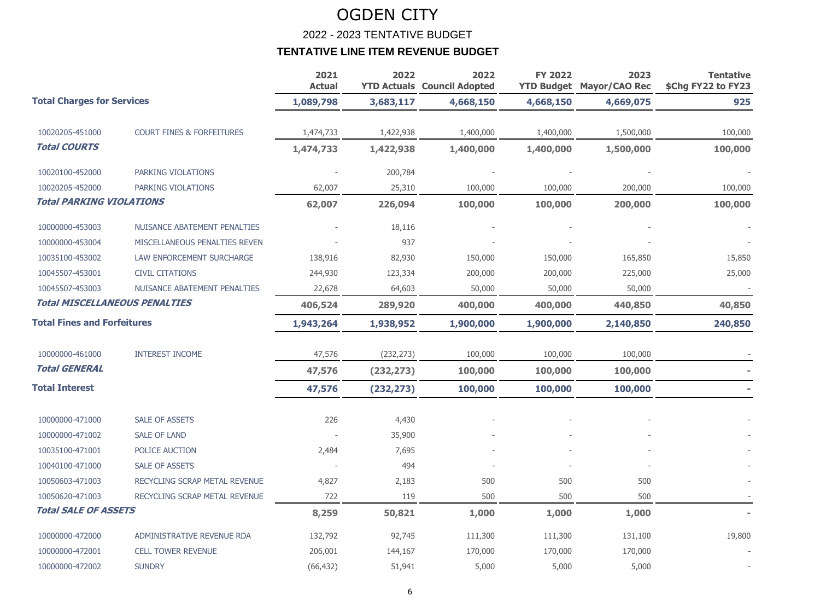2022 - 2023 TENTATIVE BUDGET

|                                      |                                      | 2021<br><b>Actual</b> | 2022       | 2022<br><b>YTD Actuals Council Adopted</b> | <b>FY 2022</b> | 2023<br><b>YTD Budget Mayor/CAO Rec</b> | <b>Tentative</b><br>\$Chg FY22 to FY23 |
|--------------------------------------|--------------------------------------|-----------------------|------------|--------------------------------------------|----------------|-----------------------------------------|----------------------------------------|
| <b>Total Charges for Services</b>    |                                      | 1,089,798             | 3,683,117  | 4,668,150                                  | 4,668,150      | 4,669,075                               | 925                                    |
| 10020205-451000                      | <b>COURT FINES &amp; FORFEITURES</b> | 1,474,733             | 1,422,938  | 1,400,000                                  | 1,400,000      | 1,500,000                               | 100,000                                |
| <b>Total COURTS</b>                  |                                      | 1,474,733             | 1,422,938  | 1,400,000                                  | 1,400,000      | 1,500,000                               | 100,000                                |
| 10020100-452000                      | PARKING VIOLATIONS                   |                       | 200,784    |                                            |                |                                         |                                        |
| 10020205-452000                      | PARKING VIOLATIONS                   | 62,007                | 25,310     | 100,000                                    | 100,000        | 200,000                                 | 100,000                                |
| <b>Total PARKING VIOLATIONS</b>      |                                      | 62,007                | 226,094    | 100,000                                    | 100,000        | 200,000                                 | 100,000                                |
| 10000000-453003                      | NUISANCE ABATEMENT PENALTIES         |                       | 18,116     |                                            |                |                                         |                                        |
| 10000000-453004                      | MISCELLANEOUS PENALTIES REVEN        |                       | 937        |                                            |                |                                         |                                        |
| 10035100-453002                      | LAW ENFORCEMENT SURCHARGE            | 138,916               | 82,930     | 150,000                                    | 150,000        | 165,850                                 | 15,850                                 |
| 10045507-453001                      | <b>CIVIL CITATIONS</b>               | 244,930               | 123,334    | 200,000                                    | 200,000        | 225,000                                 | 25,000                                 |
| 10045507-453003                      | NUISANCE ABATEMENT PENALTIES         | 22,678                | 64,603     | 50,000                                     | 50,000         | 50,000                                  |                                        |
| <b>Total MISCELLANEOUS PENALTIES</b> |                                      | 406,524               | 289,920    | 400,000                                    | 400,000        | 440,850                                 | 40,850                                 |
| <b>Total Fines and Forfeitures</b>   |                                      | 1,943,264             | 1,938,952  | 1,900,000                                  | 1,900,000      | 2,140,850                               | 240,850                                |
| 10000000-461000                      | <b>INTEREST INCOME</b>               | 47,576                | (232, 273) | 100,000                                    | 100,000        | 100,000                                 |                                        |
| <b>Total GENERAL</b>                 |                                      | 47,576                | (232, 273) | 100,000                                    | 100,000        | 100,000                                 |                                        |
| <b>Total Interest</b>                |                                      | 47,576                | (232, 273) | 100,000                                    | 100,000        | 100,000                                 |                                        |
| 10000000-471000                      | <b>SALE OF ASSETS</b>                | 226                   | 4,430      |                                            |                |                                         |                                        |
| 10000000-471002                      | <b>SALE OF LAND</b>                  |                       | 35,900     |                                            |                |                                         |                                        |
| 10035100-471001                      | POLICE AUCTION                       | 2,484                 | 7,695      |                                            |                |                                         |                                        |
| 10040100-471000                      | <b>SALE OF ASSETS</b>                |                       | 494        |                                            |                |                                         |                                        |
| 10050603-471003                      | RECYCLING SCRAP METAL REVENUE        | 4,827                 | 2,183      | 500                                        | 500            | 500                                     |                                        |
| 10050620-471003                      | RECYCLING SCRAP METAL REVENUE        | 722                   | 119        | 500                                        | 500            | 500                                     |                                        |
| <b>Total SALE OF ASSETS</b>          |                                      | 8,259                 | 50,821     | 1,000                                      | 1,000          | 1,000                                   |                                        |
| 10000000-472000                      | ADMINISTRATIVE REVENUE RDA           | 132,792               | 92,745     | 111,300                                    | 111,300        | 131,100                                 | 19,800                                 |
| 10000000-472001                      | <b>CELL TOWER REVENUE</b>            | 206,001               | 144,167    | 170,000                                    | 170,000        | 170,000                                 |                                        |
| 10000000-472002                      | <b>SUNDRY</b>                        | (66, 432)             | 51,941     | 5,000                                      | 5,000          | 5,000                                   |                                        |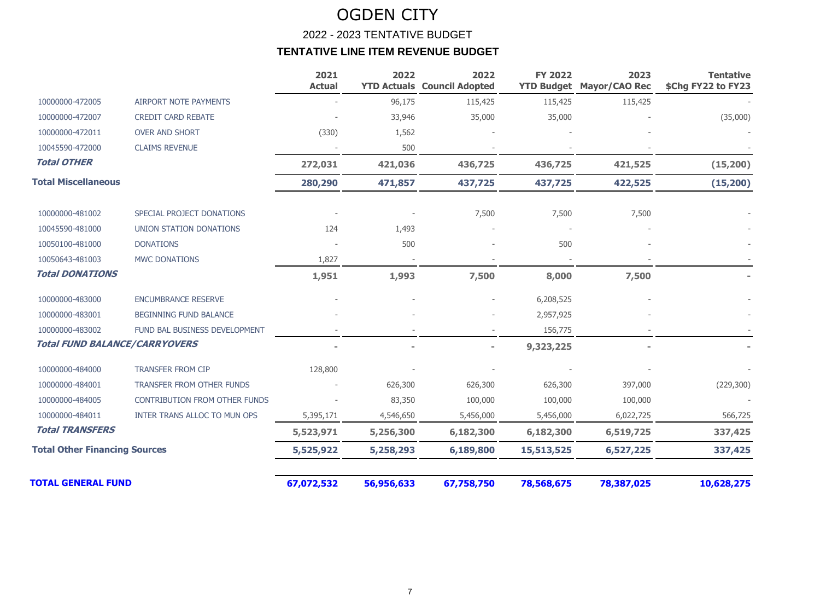### OGDEN CITY 2022 - 2023 TENTATIVE BUDGET **TENTATIVE LINE ITEM REVENUE BUDGET**

|                                      |                                      | 2021<br><b>Actual</b> | 2022<br><b>YTD Actuals</b> | 2022<br><b>Council Adopted</b> | <b>FY 2022</b><br><b>YTD Budget</b> | 2023<br><b>Mayor/CAO Rec</b> | <b>Tentative</b><br>\$Chg FY22 to FY23 |
|--------------------------------------|--------------------------------------|-----------------------|----------------------------|--------------------------------|-------------------------------------|------------------------------|----------------------------------------|
| 10000000-472005                      | <b>AIRPORT NOTE PAYMENTS</b>         |                       | 96,175                     | 115,425                        | 115,425                             | 115,425                      |                                        |
| 10000000-472007                      | <b>CREDIT CARD REBATE</b>            |                       | 33,946                     | 35,000                         | 35,000                              |                              | (35,000)                               |
| 10000000-472011                      | <b>OVER AND SHORT</b>                | (330)                 | 1,562                      |                                |                                     |                              |                                        |
| 10045590-472000                      | <b>CLAIMS REVENUE</b>                |                       | 500                        |                                |                                     |                              |                                        |
| <b>Total OTHER</b>                   |                                      | 272,031               | 421,036                    | 436,725                        | 436,725                             | 421,525                      | (15, 200)                              |
| <b>Total Miscellaneous</b>           |                                      | 280,290               | 471,857                    | 437,725                        | 437,725                             | 422,525                      | (15, 200)                              |
| 10000000-481002                      | SPECIAL PROJECT DONATIONS            |                       |                            | 7,500                          | 7,500                               | 7,500                        |                                        |
| 10045590-481000                      | UNION STATION DONATIONS              | 124                   | 1,493                      |                                |                                     |                              |                                        |
| 10050100-481000                      | <b>DONATIONS</b>                     |                       | 500                        |                                | 500                                 |                              |                                        |
| 10050643-481003                      | <b>MWC DONATIONS</b>                 | 1,827                 |                            |                                |                                     |                              |                                        |
| <b>Total DONATIONS</b>               |                                      | 1,951                 | 1,993                      | 7,500                          | 8,000                               | 7,500                        |                                        |
| 10000000-483000                      | ENCUMBRANCE RESERVE                  |                       |                            |                                | 6,208,525                           |                              |                                        |
| 10000000-483001                      | BEGINNING FUND BALANCE               |                       |                            |                                | 2,957,925                           |                              |                                        |
| 10000000-483002                      | FUND BAL BUSINESS DEVELOPMENT        |                       |                            |                                | 156,775                             |                              |                                        |
| <b>Total FUND BALANCE/CARRYOVERS</b> |                                      |                       |                            |                                | 9,323,225                           |                              |                                        |
| 10000000-484000                      | <b>TRANSFER FROM CIP</b>             | 128,800               |                            |                                |                                     |                              |                                        |
| 10000000-484001                      | TRANSFER FROM OTHER FUNDS            |                       | 626,300                    | 626,300                        | 626,300                             | 397,000                      | (229, 300)                             |
| 10000000-484005                      | <b>CONTRIBUTION FROM OTHER FUNDS</b> |                       | 83,350                     | 100,000                        | 100,000                             | 100,000                      |                                        |
| 10000000-484011                      | INTER TRANS ALLOC TO MUN OPS         | 5,395,171             | 4,546,650                  | 5,456,000                      | 5,456,000                           | 6,022,725                    | 566,725                                |
| <b>Total TRANSFERS</b>               |                                      | 5,523,971             | 5,256,300                  | 6,182,300                      | 6,182,300                           | 6,519,725                    | 337,425                                |
| <b>Total Other Financing Sources</b> |                                      | 5,525,922             | 5,258,293                  | 6,189,800                      | 15,513,525                          | 6,527,225                    | 337,425                                |
| <b>TOTAL GENERAL FUND</b>            |                                      | 67,072,532            | 56,956,633                 | 67,758,750                     | 78,568,675                          | 78,387,025                   | 10,628,275                             |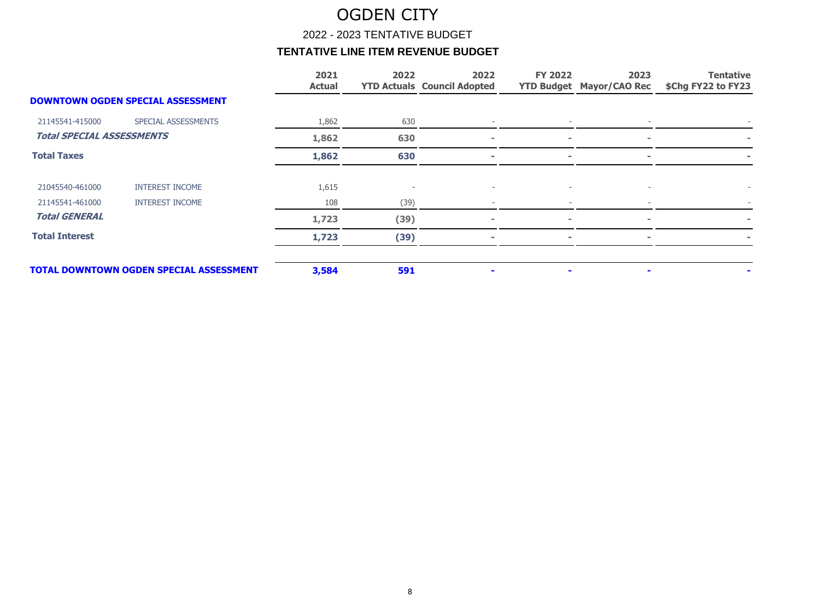2022 - 2023 TENTATIVE BUDGET

|                                  |                                                | 2021<br><b>Actual</b> | 2022 | 2022<br><b>YTD Actuals Council Adopted</b> | <b>FY 2022</b> | 2023<br><b>YTD Budget Mayor/CAO Rec</b> | <b>Tentative</b><br>\$Chg FY22 to FY23 |
|----------------------------------|------------------------------------------------|-----------------------|------|--------------------------------------------|----------------|-----------------------------------------|----------------------------------------|
|                                  | <b>DOWNTOWN OGDEN SPECIAL ASSESSMENT</b>       |                       |      |                                            |                |                                         |                                        |
| 21145541-415000                  | SPECIAL ASSESSMENTS                            | 1,862                 | 630  |                                            |                |                                         |                                        |
| <b>Total SPECIAL ASSESSMENTS</b> |                                                | 1,862                 | 630  |                                            | $\sim$         | $\sim$                                  |                                        |
| <b>Total Taxes</b>               |                                                | 1,862                 | 630  |                                            | ٠              | ÷                                       |                                        |
| 21045540-461000                  | <b>INTEREST INCOME</b>                         | 1,615                 |      |                                            |                |                                         |                                        |
| 21145541-461000                  | <b>INTEREST INCOME</b>                         | 108                   | (39) |                                            |                |                                         |                                        |
| <b>Total GENERAL</b>             |                                                | 1,723                 | (39) |                                            |                |                                         |                                        |
| <b>Total Interest</b>            |                                                | 1,723                 | (39) |                                            | ÷              |                                         |                                        |
|                                  | <b>TOTAL DOWNTOWN OGDEN SPECIAL ASSESSMENT</b> | 3,584                 | 591  |                                            |                |                                         |                                        |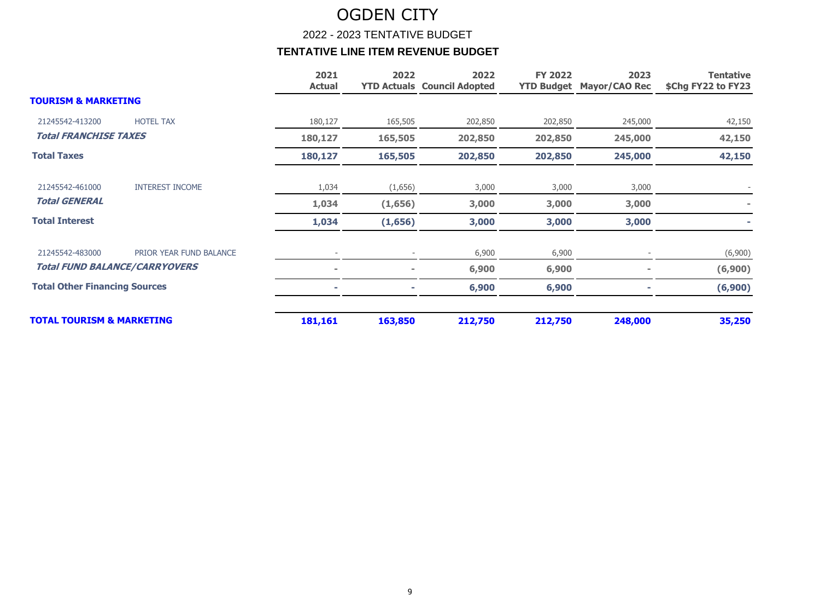2022 - 2023 TENTATIVE BUDGET

|                                      |                         | 2021<br><b>Actual</b> | 2022    | 2022<br><b>YTD Actuals Council Adopted</b> | <b>FY 2022</b> | 2023<br><b>YTD Budget Mayor/CAO Rec</b> | <b>Tentative</b><br>\$Chg FY22 to FY23 |
|--------------------------------------|-------------------------|-----------------------|---------|--------------------------------------------|----------------|-----------------------------------------|----------------------------------------|
| <b>TOURISM &amp; MARKETING</b>       |                         |                       |         |                                            |                |                                         |                                        |
| 21245542-413200                      | <b>HOTEL TAX</b>        | 180,127               | 165,505 | 202,850                                    | 202,850        | 245,000                                 | 42,150                                 |
| <b>Total FRANCHISE TAXES</b>         |                         | 180,127               | 165,505 | 202,850                                    | 202,850        | 245,000                                 | 42,150                                 |
| <b>Total Taxes</b>                   |                         | 180,127               | 165,505 | 202,850                                    | 202,850        | 245,000                                 | 42,150                                 |
| 21245542-461000                      | <b>INTEREST INCOME</b>  | 1,034                 | (1,656) | 3,000                                      | 3,000          | 3,000                                   |                                        |
| <b>Total GENERAL</b>                 |                         | 1,034                 | (1,656) | 3,000                                      | 3,000          | 3,000                                   |                                        |
| <b>Total Interest</b>                |                         | 1,034                 | (1,656) | 3,000                                      | 3,000          | 3,000                                   |                                        |
| 21245542-483000                      | PRIOR YEAR FUND BALANCE |                       |         | 6,900                                      | 6,900          |                                         | (6,900)                                |
| <b>Total FUND BALANCE/CARRYOVERS</b> |                         |                       |         | 6,900                                      | 6,900          |                                         | (6,900)                                |
| <b>Total Other Financing Sources</b> |                         |                       |         | 6,900                                      | 6,900          |                                         | (6,900)                                |
| <b>TOTAL TOURISM &amp; MARKETING</b> |                         | 181,161               | 163,850 | 212,750                                    | 212,750        | 248,000                                 | 35,250                                 |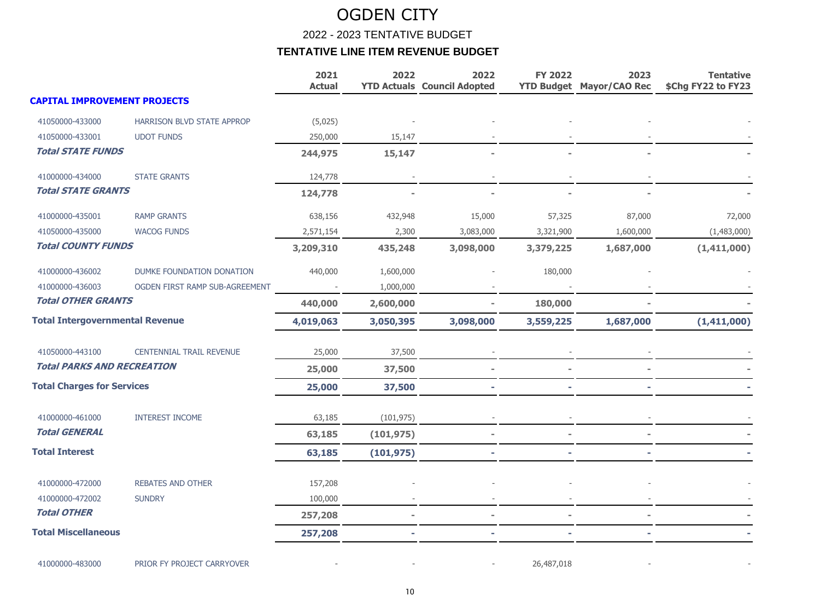2022 - 2023 TENTATIVE BUDGET

|                                        |                                 | 2021<br><b>Actual</b> | 2022       | 2022<br><b>YTD Actuals Council Adopted</b> | <b>FY 2022</b> | 2023<br><b>YTD Budget Mayor/CAO Rec</b> | <b>Tentative</b><br>\$Chg FY22 to FY23 |
|----------------------------------------|---------------------------------|-----------------------|------------|--------------------------------------------|----------------|-----------------------------------------|----------------------------------------|
| <b>CAPITAL IMPROVEMENT PROJECTS</b>    |                                 |                       |            |                                            |                |                                         |                                        |
| 41050000-433000                        | HARRISON BLVD STATE APPROP      | (5,025)               |            |                                            |                |                                         |                                        |
| 41050000-433001                        | <b>UDOT FUNDS</b>               | 250,000               | 15,147     |                                            |                |                                         |                                        |
| <b>Total STATE FUNDS</b>               |                                 | 244,975               | 15,147     |                                            |                |                                         |                                        |
| 41000000-434000                        | <b>STATE GRANTS</b>             | 124,778               |            |                                            |                |                                         |                                        |
| <b>Total STATE GRANTS</b>              |                                 | 124,778               |            |                                            |                |                                         |                                        |
| 41000000-435001                        | <b>RAMP GRANTS</b>              | 638,156               | 432,948    | 15,000                                     | 57,325         | 87,000                                  | 72,000                                 |
| 41050000-435000                        | <b>WACOG FUNDS</b>              | 2,571,154             | 2,300      | 3,083,000                                  | 3,321,900      | 1,600,000                               | (1,483,000)                            |
| <b>Total COUNTY FUNDS</b>              |                                 | 3,209,310             | 435,248    | 3,098,000                                  | 3,379,225      | 1,687,000                               | (1,411,000)                            |
| 41000000-436002                        | DUMKE FOUNDATION DONATION       | 440,000               | 1,600,000  |                                            | 180,000        |                                         |                                        |
| 41000000-436003                        | OGDEN FIRST RAMP SUB-AGREEMENT  |                       | 1,000,000  |                                            |                |                                         |                                        |
| <b>Total OTHER GRANTS</b>              |                                 | 440,000               | 2,600,000  |                                            | 180,000        |                                         |                                        |
| <b>Total Intergovernmental Revenue</b> |                                 | 4,019,063             | 3,050,395  | 3,098,000                                  | 3,559,225      | 1,687,000                               | (1,411,000)                            |
| 41050000-443100                        | <b>CENTENNIAL TRAIL REVENUE</b> | 25,000                | 37,500     |                                            |                |                                         |                                        |
| <b>Total PARKS AND RECREATION</b>      |                                 | 25,000                | 37,500     |                                            |                |                                         |                                        |
| <b>Total Charges for Services</b>      |                                 | 25,000                | 37,500     |                                            |                |                                         |                                        |
| 41000000-461000                        | <b>INTEREST INCOME</b>          | 63,185                | (101, 975) |                                            |                |                                         |                                        |
| <b>Total GENERAL</b>                   |                                 | 63,185                | (101, 975) |                                            |                |                                         |                                        |
| <b>Total Interest</b>                  |                                 | 63,185                | (101, 975) |                                            |                |                                         |                                        |
| 41000000-472000                        | <b>REBATES AND OTHER</b>        | 157,208               |            |                                            |                |                                         |                                        |
| 41000000-472002                        | <b>SUNDRY</b>                   | 100,000               |            |                                            |                |                                         |                                        |
| <b>Total OTHER</b>                     |                                 | 257,208               |            |                                            |                |                                         |                                        |
| <b>Total Miscellaneous</b>             |                                 | 257,208               |            |                                            |                |                                         |                                        |
| 41000000-483000                        | PRIOR FY PROJECT CARRYOVER      |                       |            |                                            | 26,487,018     |                                         |                                        |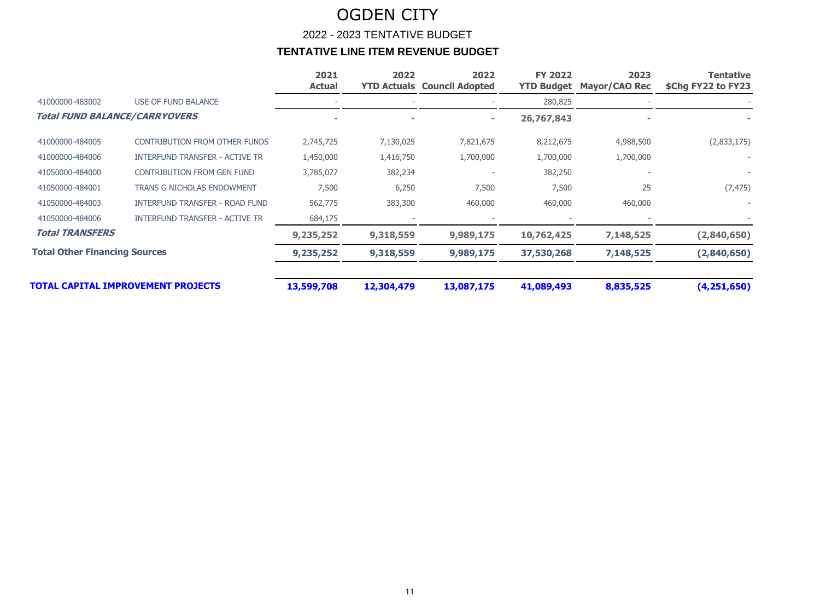|                                      |                                       | 2021<br><b>Actual</b> | 2022       | 2022<br><b>YTD Actuals Council Adopted</b> | <b>FY 2022</b><br><b>YTD Budget</b> | 2023<br><b>Mayor/CAO Rec</b> | Tentative<br>\$Chg FY22 to FY23 |
|--------------------------------------|---------------------------------------|-----------------------|------------|--------------------------------------------|-------------------------------------|------------------------------|---------------------------------|
| 41000000-483002                      | <b>USE OF FUND BALANCE</b>            |                       |            |                                            | 280,825                             |                              |                                 |
| <b>Total FUND BALANCE/CARRYOVERS</b> |                                       |                       |            | $\equiv$                                   | 26,767,843                          |                              |                                 |
| 41000000-484005                      | <b>CONTRIBUTION FROM OTHER FUNDS</b>  | 2,745,725             | 7,130,025  | 7,821,675                                  | 8,212,675                           | 4,988,500                    | (2,833,175)                     |
| 41000000-484006                      | <b>INTERFUND TRANSFER - ACTIVE TR</b> | 1,450,000             | 1,416,750  | 1,700,000                                  | 1,700,000                           | 1,700,000                    |                                 |
| 41050000-484000                      | <b>CONTRIBUTION FROM GEN FUND</b>     | 3,785,077             | 382,234    |                                            | 382,250                             |                              |                                 |
| 41050000-484001                      | <b>TRANS G NICHOLAS ENDOWMENT</b>     | 7,500                 | 6,250      | 7,500                                      | 7,500                               | 25                           | (7, 475)                        |
| 41050000-484003                      | <b>INTERFUND TRANSFER - ROAD FUND</b> | 562,775               | 383,300    | 460,000                                    | 460,000                             | 460,000                      |                                 |
| 41050000-484006                      | <b>INTERFUND TRANSFER - ACTIVE TR</b> | 684,175               |            |                                            |                                     |                              |                                 |
| <b>Total TRANSFERS</b>               |                                       | 9,235,252             | 9,318,559  | 9,989,175                                  | 10,762,425                          | 7,148,525                    | (2,840,650)                     |
| <b>Total Other Financing Sources</b> |                                       | 9,235,252             | 9,318,559  | 9,989,175                                  | 37,530,268                          | 7,148,525                    | (2,840,650)                     |
|                                      | TOTAL CAPITAL IMPROVEMENT PROJECTS    | 13,599,708            | 12,304,479 | 13,087,175                                 | 41,089,493                          | 8,835,525                    | (4,251,650)                     |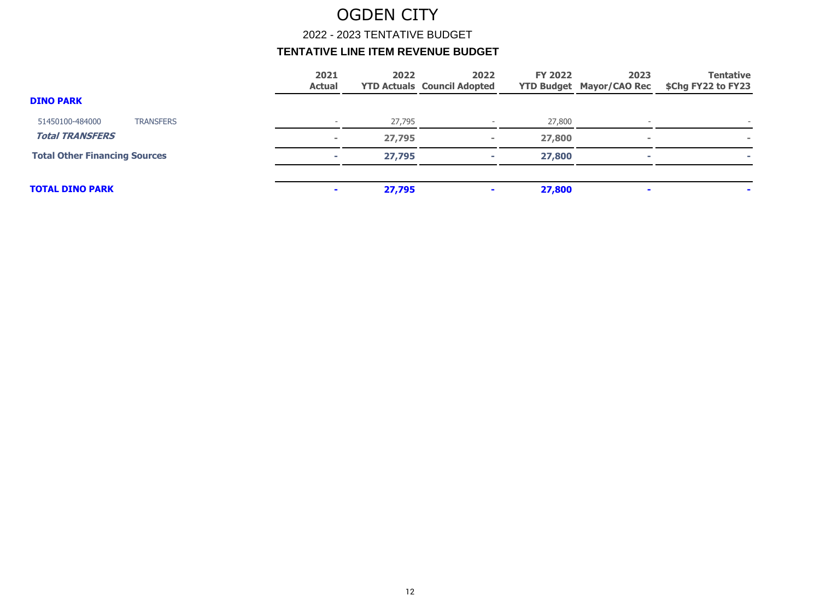2022 - 2023 TENTATIVE BUDGET

|                                      | 2021<br><b>Actual</b>    | 2022   | 2022<br><b>YTD Actuals Council Adopted</b> | <b>FY 2022</b> | 2023<br><b>YTD Budget Mayor/CAO Rec</b> | <b>Tentative</b><br>\$Chg FY22 to FY23 |
|--------------------------------------|--------------------------|--------|--------------------------------------------|----------------|-----------------------------------------|----------------------------------------|
| <b>DINO PARK</b>                     |                          |        |                                            |                |                                         |                                        |
| <b>TRANSFERS</b><br>51450100-484000  | $\overline{\phantom{0}}$ | 27,795 | $\overline{\phantom{a}}$                   | 27,800         |                                         | $\overline{\phantom{a}}$               |
| <b>Total TRANSFERS</b>               | $\sim$                   | 27,795 |                                            | 27,800         |                                         | $\equiv$                               |
| <b>Total Other Financing Sources</b> | <b>COL</b>               | 27,795 |                                            | 27,800         |                                         |                                        |
| <b>TOTAL DINO PARK</b>               | $\sim$                   | 27,795 |                                            | 27,800         |                                         |                                        |
|                                      |                          |        |                                            |                |                                         |                                        |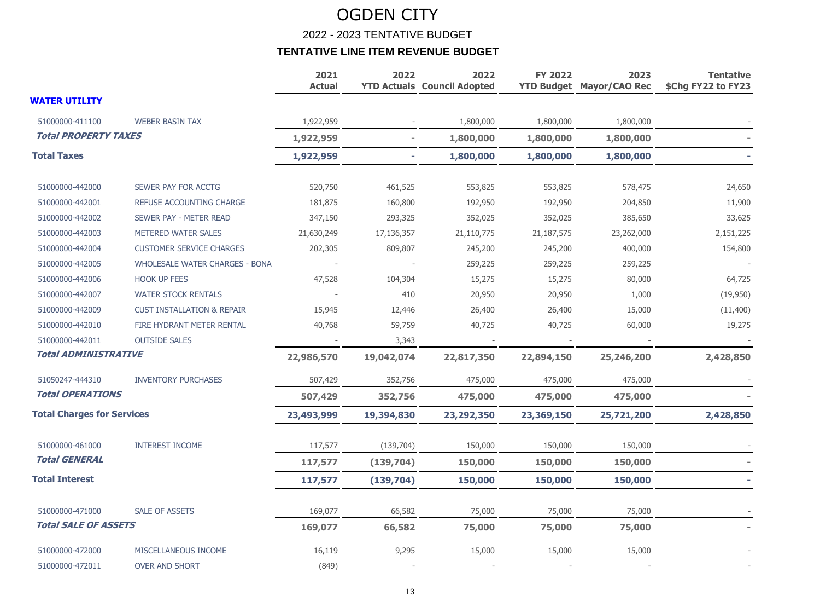2022 - 2023 TENTATIVE BUDGET

|                                   |                                       | 2021<br><b>Actual</b> | 2022                     | 2022<br><b>YTD Actuals Council Adopted</b> | <b>FY 2022</b> | 2023<br><b>YTD Budget Mayor/CAO Rec</b> | <b>Tentative</b><br>\$Chg FY22 to FY23 |
|-----------------------------------|---------------------------------------|-----------------------|--------------------------|--------------------------------------------|----------------|-----------------------------------------|----------------------------------------|
| <b>WATER UTILITY</b>              |                                       |                       |                          |                                            |                |                                         |                                        |
| 51000000-411100                   | <b>WEBER BASIN TAX</b>                | 1,922,959             |                          | 1,800,000                                  | 1,800,000      | 1,800,000                               |                                        |
| <b>Total PROPERTY TAXES</b>       |                                       | 1,922,959             | $\overline{\phantom{a}}$ | 1,800,000                                  | 1,800,000      | 1,800,000                               |                                        |
| <b>Total Taxes</b>                |                                       | 1,922,959             | ٠                        | 1,800,000                                  | 1,800,000      | 1,800,000                               |                                        |
| 51000000-442000                   | SEWER PAY FOR ACCTG                   | 520,750               | 461,525                  | 553,825                                    | 553,825        | 578,475                                 | 24,650                                 |
| 51000000-442001                   | REFUSE ACCOUNTING CHARGE              | 181,875               | 160,800                  | 192,950                                    | 192,950        | 204,850                                 | 11,900                                 |
| 51000000-442002                   | SEWER PAY - METER READ                | 347,150               | 293,325                  | 352,025                                    | 352,025        | 385,650                                 | 33,625                                 |
| 51000000-442003                   | METERED WATER SALES                   | 21,630,249            | 17,136,357               | 21,110,775                                 | 21,187,575     | 23,262,000                              | 2,151,225                              |
| 51000000-442004                   | <b>CUSTOMER SERVICE CHARGES</b>       | 202,305               | 809,807                  | 245,200                                    | 245,200        | 400,000                                 | 154,800                                |
| 51000000-442005                   | <b>WHOLESALE WATER CHARGES - BONA</b> |                       |                          | 259,225                                    | 259,225        | 259,225                                 |                                        |
| 51000000-442006                   | <b>HOOK UP FEES</b>                   | 47,528                | 104,304                  | 15,275                                     | 15,275         | 80,000                                  | 64,725                                 |
| 51000000-442007                   | <b>WATER STOCK RENTALS</b>            |                       | 410                      | 20,950                                     | 20,950         | 1,000                                   | (19,950)                               |
| 51000000-442009                   | <b>CUST INSTALLATION &amp; REPAIR</b> | 15,945                | 12,446                   | 26,400                                     | 26,400         | 15,000                                  | (11, 400)                              |
| 51000000-442010                   | FIRE HYDRANT METER RENTAL             | 40,768                | 59,759                   | 40,725                                     | 40,725         | 60,000                                  | 19,275                                 |
| 51000000-442011                   | <b>OUTSIDE SALES</b>                  |                       | 3,343                    |                                            |                |                                         |                                        |
| <b>Total ADMINISTRATIVE</b>       |                                       | 22,986,570            | 19,042,074               | 22,817,350                                 | 22,894,150     | 25,246,200                              | 2,428,850                              |
| 51050247-444310                   | <b>INVENTORY PURCHASES</b>            | 507,429               | 352,756                  | 475,000                                    | 475,000        | 475,000                                 |                                        |
| <b>Total OPERATIONS</b>           |                                       | 507,429               | 352,756                  | 475,000                                    | 475,000        | 475,000                                 |                                        |
| <b>Total Charges for Services</b> |                                       | 23,493,999            | 19,394,830               | 23,292,350                                 | 23,369,150     | 25,721,200                              | 2,428,850                              |
| 51000000-461000                   | <b>INTEREST INCOME</b>                | 117,577               | (139, 704)               | 150,000                                    | 150,000        | 150,000                                 |                                        |
| <b>Total GENERAL</b>              |                                       | 117,577               | (139, 704)               | 150,000                                    | 150,000        | 150,000                                 |                                        |
| <b>Total Interest</b>             |                                       | 117,577               | (139, 704)               | 150,000                                    | 150,000        | 150,000                                 |                                        |
| 51000000-471000                   | <b>SALE OF ASSETS</b>                 | 169,077               | 66,582                   | 75,000                                     | 75,000         | 75,000                                  |                                        |
| <b>Total SALE OF ASSETS</b>       |                                       | 169,077               | 66,582                   | 75,000                                     | 75,000         | 75,000                                  |                                        |
| 51000000-472000                   | MISCELLANEOUS INCOME                  | 16,119                | 9,295                    | 15,000                                     | 15,000         | 15,000                                  |                                        |
| 51000000-472011                   | <b>OVER AND SHORT</b>                 | (849)                 |                          |                                            |                |                                         |                                        |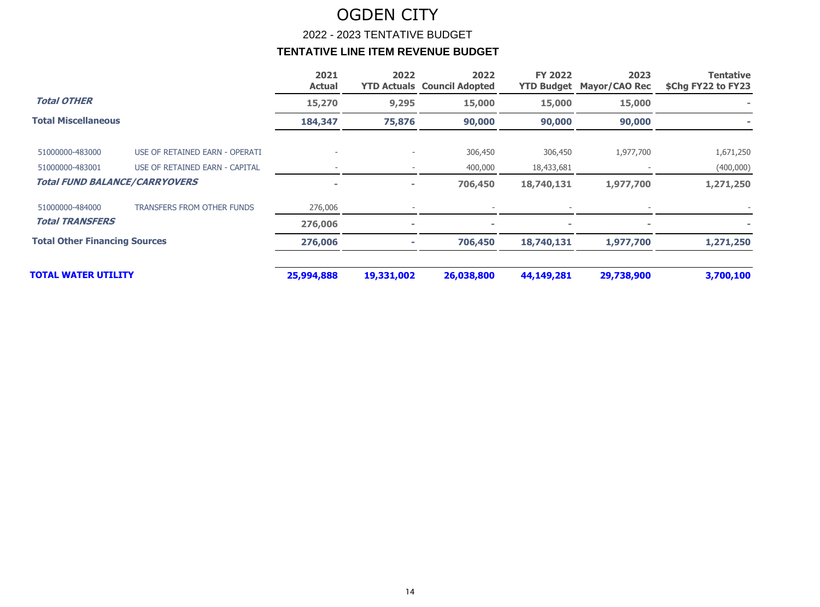2022 - 2023 TENTATIVE BUDGET

|                                      |                                   | 2021<br><b>Actual</b> | 2022           | 2022<br><b>YTD Actuals Council Adopted</b> | <b>FY 2022</b> | 2023<br><b>YTD Budget Mayor/CAO Rec</b> | <b>Tentative</b><br>\$Chg FY22 to FY23 |
|--------------------------------------|-----------------------------------|-----------------------|----------------|--------------------------------------------|----------------|-----------------------------------------|----------------------------------------|
| <b>Total OTHER</b>                   |                                   | 15,270                | 9,295          | 15,000                                     | 15,000         | 15,000                                  |                                        |
| <b>Total Miscellaneous</b>           |                                   | 184,347               | 75,876         | 90,000                                     | 90,000         | 90,000                                  |                                        |
| 51000000-483000                      | USE OF RETAINED EARN - OPERATI    |                       |                | 306,450                                    | 306,450        | 1,977,700                               | 1,671,250                              |
| 51000000-483001                      | USE OF RETAINED EARN - CAPITAL    |                       |                | 400,000                                    | 18,433,681     |                                         | (400,000)                              |
| <b>Total FUND BALANCE/CARRYOVERS</b> |                                   | $\blacksquare$        | $\blacksquare$ | 706,450                                    | 18,740,131     | 1,977,700                               | 1,271,250                              |
| 51000000-484000                      | <b>TRANSFERS FROM OTHER FUNDS</b> | 276,006               |                |                                            |                |                                         |                                        |
| <b>Total TRANSFERS</b>               |                                   | 276,006               | $\blacksquare$ |                                            |                |                                         |                                        |
| <b>Total Other Financing Sources</b> |                                   | 276,006               |                | 706,450                                    | 18,740,131     | 1,977,700                               | 1,271,250                              |
| TOTAL WATER UTILITY                  |                                   | 25,994,888            | 19,331,002     | 26,038,800                                 | 44,149,281     | 29,738,900                              | 3,700,100                              |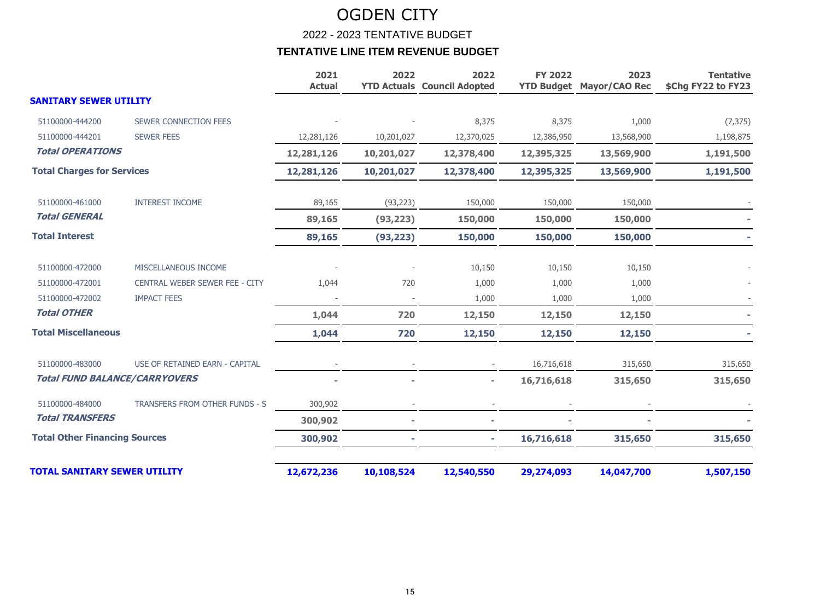2022 - 2023 TENTATIVE BUDGET

|                                      |                                | 2021<br><b>Actual</b> | 2022                     | 2022<br><b>YTD Actuals Council Adopted</b> | <b>FY 2022</b> | 2023<br><b>YTD Budget Mayor/CAO Rec</b> | <b>Tentative</b><br>\$Chg FY22 to FY23 |
|--------------------------------------|--------------------------------|-----------------------|--------------------------|--------------------------------------------|----------------|-----------------------------------------|----------------------------------------|
| <b>SANITARY SEWER UTILITY</b>        |                                |                       |                          |                                            |                |                                         |                                        |
| 51100000-444200                      | SEWER CONNECTION FEES          |                       |                          | 8,375                                      | 8,375          | 1,000                                   | (7, 375)                               |
| 51100000-444201                      | <b>SEWER FEES</b>              | 12,281,126            | 10,201,027               | 12,370,025                                 | 12,386,950     | 13,568,900                              | 1,198,875                              |
| <b>Total OPERATIONS</b>              |                                | 12,281,126            | 10,201,027               | 12,378,400                                 | 12,395,325     | 13,569,900                              | 1,191,500                              |
| <b>Total Charges for Services</b>    |                                | 12,281,126            | 10,201,027               | 12,378,400                                 | 12,395,325     | 13,569,900                              | 1,191,500                              |
| 51100000-461000                      | <b>INTEREST INCOME</b>         | 89,165                | (93, 223)                | 150,000                                    | 150,000        | 150,000                                 |                                        |
| <b>Total GENERAL</b>                 |                                | 89,165                | (93, 223)                | 150,000                                    | 150,000        | 150,000                                 |                                        |
| <b>Total Interest</b>                |                                | 89,165                | (93, 223)                | 150,000                                    | 150,000        | 150,000                                 |                                        |
| 51100000-472000                      | MISCELLANEOUS INCOME           |                       |                          | 10,150                                     | 10,150         | 10,150                                  |                                        |
| 51100000-472001                      | CENTRAL WEBER SEWER FEE - CITY | 1,044                 | 720                      | 1,000                                      | 1,000          | 1,000                                   |                                        |
| 51100000-472002                      | <b>IMPACT FEES</b>             |                       |                          | 1,000                                      | 1,000          | 1,000                                   |                                        |
| <b>Total OTHER</b>                   |                                | 1,044                 | 720                      | 12,150                                     | 12,150         | 12,150                                  |                                        |
| <b>Total Miscellaneous</b>           |                                | 1,044                 | 720                      | 12,150                                     | 12,150         | 12,150                                  |                                        |
| 51100000-483000                      | USE OF RETAINED EARN - CAPITAL |                       |                          |                                            | 16,716,618     | 315,650                                 | 315,650                                |
| <b>Total FUND BALANCE/CARRYOVERS</b> |                                |                       |                          |                                            | 16,716,618     | 315,650                                 | 315,650                                |
| 51100000-484000                      | TRANSFERS FROM OTHER FUNDS - S | 300,902               |                          |                                            |                |                                         |                                        |
| <b>Total TRANSFERS</b>               |                                | 300,902               | $\overline{\phantom{a}}$ |                                            |                |                                         |                                        |
| <b>Total Other Financing Sources</b> |                                | 300,902               |                          | ٠                                          | 16,716,618     | 315,650                                 | 315,650                                |
| <b>TOTAL SANITARY SEWER UTILITY</b>  |                                | 12,672,236            | 10,108,524               | 12,540,550                                 | 29,274,093     | 14,047,700                              | 1,507,150                              |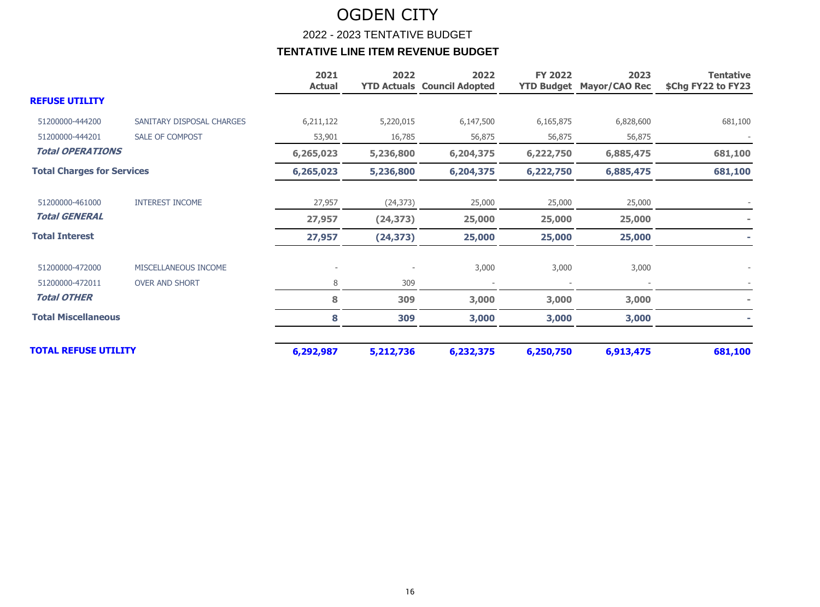2022 - 2023 TENTATIVE BUDGET

|                                   |                           | 2021<br><b>Actual</b> | 2022      | 2022<br><b>YTD Actuals Council Adopted</b> | <b>FY 2022</b><br><b>YTD Budget</b> | 2023<br><b>Mayor/CAO Rec</b> | <b>Tentative</b><br>\$Chg FY22 to FY23 |
|-----------------------------------|---------------------------|-----------------------|-----------|--------------------------------------------|-------------------------------------|------------------------------|----------------------------------------|
| <b>REFUSE UTILITY</b>             |                           |                       |           |                                            |                                     |                              |                                        |
| 51200000-444200                   | SANITARY DISPOSAL CHARGES | 6,211,122             | 5,220,015 | 6,147,500                                  | 6,165,875                           | 6,828,600                    | 681,100                                |
| 51200000-444201                   | SALE OF COMPOST           | 53,901                | 16,785    | 56,875                                     | 56,875                              | 56,875                       |                                        |
| <b>Total OPERATIONS</b>           |                           | 6,265,023             | 5,236,800 | 6,204,375                                  | 6,222,750                           | 6,885,475                    | 681,100                                |
| <b>Total Charges for Services</b> |                           | 6,265,023             | 5,236,800 | 6,204,375                                  | 6,222,750                           | 6,885,475                    | 681,100                                |
| 51200000-461000                   | <b>INTEREST INCOME</b>    | 27,957                | (24, 373) | 25,000                                     | 25,000                              | 25,000                       |                                        |
| <b>Total GENERAL</b>              |                           | 27,957                | (24, 373) | 25,000                                     | 25,000                              | 25,000                       |                                        |
| <b>Total Interest</b>             |                           | 27,957                | (24, 373) | 25,000                                     | 25,000                              | 25,000                       |                                        |
| 51200000-472000                   | MISCELLANEOUS INCOME      |                       |           | 3,000                                      | 3,000                               | 3,000                        |                                        |
| 51200000-472011                   | <b>OVER AND SHORT</b>     | 8                     | 309       |                                            |                                     |                              |                                        |
| <b>Total OTHER</b>                |                           | 8                     | 309       | 3,000                                      | 3,000                               | 3,000                        |                                        |
| <b>Total Miscellaneous</b>        |                           | 8                     | 309       | 3,000                                      | 3,000                               | 3,000                        |                                        |
| <b>TOTAL REFUSE UTILITY</b>       |                           | 6,292,987             | 5,212,736 | 6,232,375                                  | 6,250,750                           | 6,913,475                    | 681,100                                |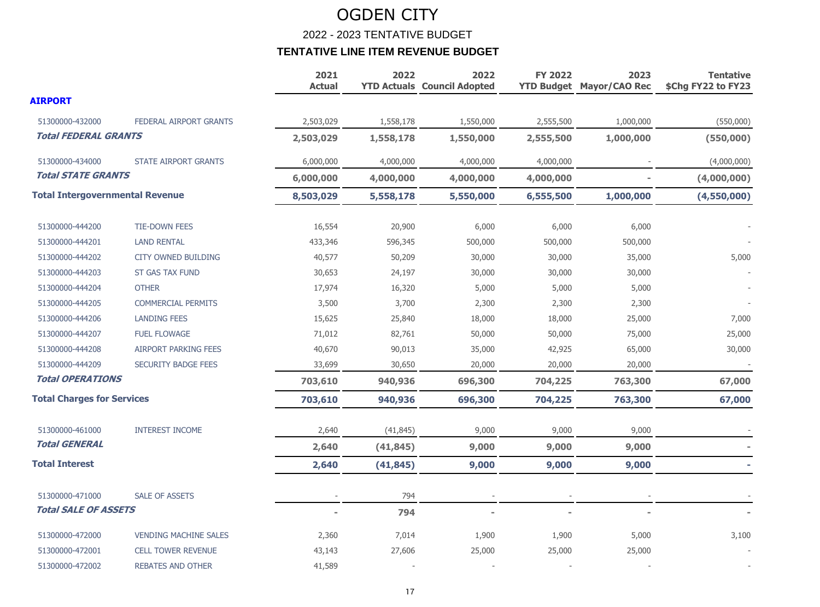2022 - 2023 TENTATIVE BUDGET

|                                        |                               | 2021<br><b>Actual</b> | 2022      | 2022<br><b>YTD Actuals Council Adopted</b> | <b>FY 2022</b> | 2023<br><b>YTD Budget Mayor/CAO Rec</b> | <b>Tentative</b><br>\$Chg FY22 to FY23 |
|----------------------------------------|-------------------------------|-----------------------|-----------|--------------------------------------------|----------------|-----------------------------------------|----------------------------------------|
| <b>AIRPORT</b>                         |                               |                       |           |                                            |                |                                         |                                        |
| 51300000-432000                        | <b>FEDERAL AIRPORT GRANTS</b> | 2,503,029             | 1,558,178 | 1,550,000                                  | 2,555,500      | 1,000,000                               | (550,000)                              |
| <b>Total FEDERAL GRANTS</b>            |                               | 2,503,029             | 1,558,178 | 1,550,000                                  | 2,555,500      | 1,000,000                               | (550,000)                              |
| 51300000-434000                        | <b>STATE AIRPORT GRANTS</b>   | 6,000,000             | 4,000,000 | 4,000,000                                  | 4,000,000      |                                         | (4,000,000)                            |
| <b>Total STATE GRANTS</b>              |                               | 6,000,000             | 4,000,000 | 4,000,000                                  | 4,000,000      |                                         | (4,000,000)                            |
| <b>Total Intergovernmental Revenue</b> |                               | 8,503,029             | 5,558,178 | 5,550,000                                  | 6,555,500      | 1,000,000                               | (4,550,000)                            |
| 51300000-444200                        | <b>TIE-DOWN FEES</b>          | 16,554                | 20,900    | 6,000                                      | 6,000          | 6,000                                   |                                        |
| 51300000-444201                        | <b>LAND RENTAL</b>            | 433,346               | 596,345   | 500,000                                    | 500,000        | 500,000                                 |                                        |
| 51300000-444202                        | <b>CITY OWNED BUILDING</b>    | 40,577                | 50,209    | 30,000                                     | 30,000         | 35,000                                  | 5,000                                  |
| 51300000-444203                        | <b>ST GAS TAX FUND</b>        | 30,653                | 24,197    | 30,000                                     | 30,000         | 30,000                                  |                                        |
| 51300000-444204                        | <b>OTHER</b>                  | 17,974                | 16,320    | 5,000                                      | 5,000          | 5,000                                   |                                        |
| 51300000-444205                        | <b>COMMERCIAL PERMITS</b>     | 3,500                 | 3,700     | 2,300                                      | 2,300          | 2,300                                   |                                        |
| 51300000-444206                        | <b>LANDING FEES</b>           | 15,625                | 25,840    | 18,000                                     | 18,000         | 25,000                                  | 7,000                                  |
| 51300000-444207                        | <b>FUEL FLOWAGE</b>           | 71,012                | 82,761    | 50,000                                     | 50,000         | 75,000                                  | 25,000                                 |
| 51300000-444208                        | <b>AIRPORT PARKING FEES</b>   | 40,670                | 90,013    | 35,000                                     | 42,925         | 65,000                                  | 30,000                                 |
| 51300000-444209                        | <b>SECURITY BADGE FEES</b>    | 33,699                | 30,650    | 20,000                                     | 20,000         | 20,000                                  |                                        |
| <b>Total OPERATIONS</b>                |                               | 703,610               | 940,936   | 696,300                                    | 704,225        | 763,300                                 | 67,000                                 |
| <b>Total Charges for Services</b>      |                               | 703,610               | 940,936   | 696,300                                    | 704,225        | 763,300                                 | 67,000                                 |
| 51300000-461000                        | <b>INTEREST INCOME</b>        | 2,640                 | (41, 845) | 9,000                                      | 9,000          | 9,000                                   |                                        |
| <b>Total GENERAL</b>                   |                               | 2,640                 | (41, 845) | 9,000                                      | 9,000          | 9,000                                   |                                        |
| <b>Total Interest</b>                  |                               | 2,640                 | (41, 845) | 9,000                                      | 9,000          | 9,000                                   |                                        |
| 51300000-471000                        | <b>SALE OF ASSETS</b>         |                       | 794       |                                            |                |                                         |                                        |
| <b>Total SALE OF ASSETS</b>            |                               |                       | 794       |                                            |                |                                         |                                        |
| 51300000-472000                        | <b>VENDING MACHINE SALES</b>  | 2,360                 | 7,014     | 1,900                                      | 1,900          | 5,000                                   | 3,100                                  |
| 51300000-472001                        | <b>CELL TOWER REVENUE</b>     | 43,143                | 27,606    | 25,000                                     | 25,000         | 25,000                                  |                                        |
| 51300000-472002                        | <b>REBATES AND OTHER</b>      | 41,589                |           |                                            |                |                                         |                                        |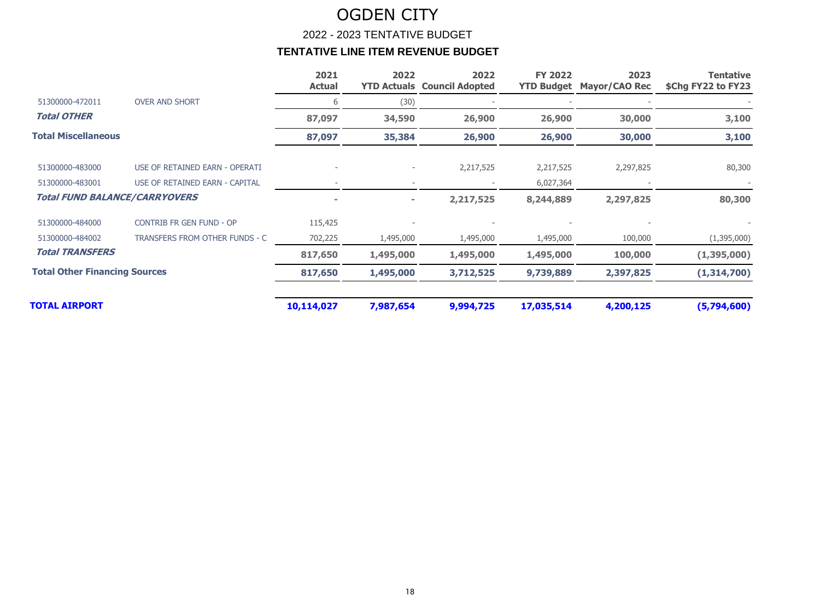2022 - 2023 TENTATIVE BUDGET

|                                      |                                 | 2021<br><b>Actual</b> | 2022<br><b>YTD Actuals</b> | 2022<br><b>Council Adopted</b> | <b>FY 2022</b><br><b>YTD Budget</b> | 2023<br><b>Mayor/CAO Rec</b> | <b>Tentative</b><br>\$Chg FY22 to FY23 |
|--------------------------------------|---------------------------------|-----------------------|----------------------------|--------------------------------|-------------------------------------|------------------------------|----------------------------------------|
| 51300000-472011                      | <b>OVER AND SHORT</b>           | 6                     | (30)                       |                                |                                     |                              |                                        |
| <b>Total OTHER</b>                   |                                 | 87,097                | 34,590                     | 26,900                         | 26,900                              | 30,000                       | 3,100                                  |
| <b>Total Miscellaneous</b>           |                                 | 87,097                | 35,384                     | 26,900                         | 26,900                              | 30,000                       | 3,100                                  |
| 51300000-483000                      | USE OF RETAINED EARN - OPERATI  |                       | $\overline{\phantom{0}}$   | 2,217,525                      | 2,217,525                           | 2,297,825                    | 80,300                                 |
| 51300000-483001                      | USE OF RETAINED EARN - CAPITAL  |                       |                            |                                | 6,027,364                           |                              |                                        |
| <b>Total FUND BALANCE/CARRYOVERS</b> |                                 |                       | $\sim$                     | 2,217,525                      | 8,244,889                           | 2,297,825                    | 80,300                                 |
| 51300000-484000                      | <b>CONTRIB FR GEN FUND - OP</b> | 115,425               |                            |                                |                                     |                              |                                        |
| 51300000-484002                      | TRANSFERS FROM OTHER FUNDS - C  | 702,225               | 1,495,000                  | 1,495,000                      | 1,495,000                           | 100,000                      | (1,395,000)                            |
| <b>Total TRANSFERS</b>               |                                 | 817,650               | 1,495,000                  | 1,495,000                      | 1,495,000                           | 100,000                      | (1,395,000)                            |
| <b>Total Other Financing Sources</b> |                                 | 817,650               | 1,495,000                  | 3,712,525                      | 9,739,889                           | 2,397,825                    | (1,314,700)                            |
| <b>TOTAL AIRPORT</b>                 |                                 | 10,114,027            | 7,987,654                  | 9,994,725                      | 17,035,514                          | 4,200,125                    | (5,794,600)                            |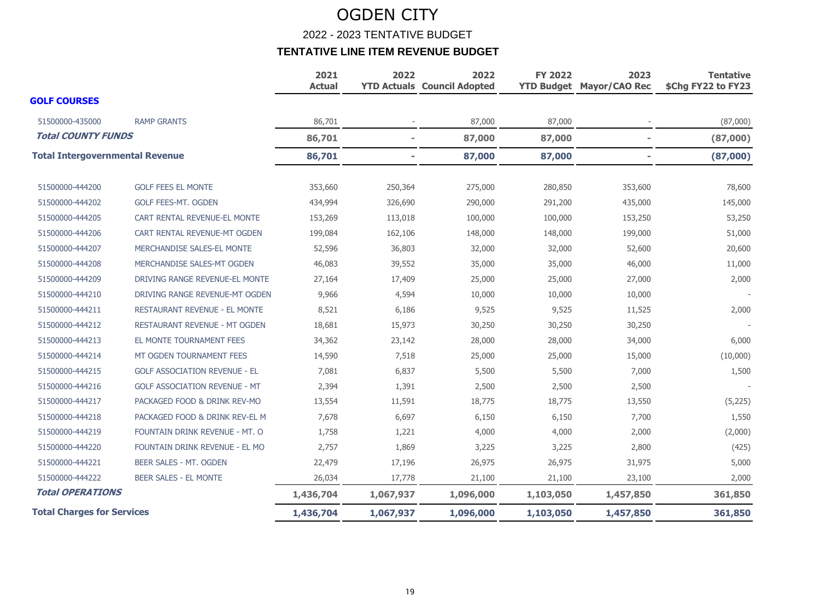2022 - 2023 TENTATIVE BUDGET

|                                        |                                      | 2021<br><b>Actual</b> | 2022           | 2022<br><b>YTD Actuals Council Adopted</b> | <b>FY 2022</b> | 2023<br><b>YTD Budget Mayor/CAO Rec</b> | <b>Tentative</b><br>\$Chg FY22 to FY23 |
|----------------------------------------|--------------------------------------|-----------------------|----------------|--------------------------------------------|----------------|-----------------------------------------|----------------------------------------|
| <b>GOLF COURSES</b>                    |                                      |                       |                |                                            |                |                                         |                                        |
| 51500000-435000                        | <b>RAMP GRANTS</b>                   | 86,701                |                | 87,000                                     | 87,000         |                                         | (87,000)                               |
| <b>Total COUNTY FUNDS</b>              |                                      | 86,701                | $\blacksquare$ | 87,000                                     | 87,000         | $\sim$                                  | (87,000)                               |
| <b>Total Intergovernmental Revenue</b> |                                      | 86,701                |                | 87,000                                     | 87,000         | ٠                                       | (87,000)                               |
| 51500000-444200                        | <b>GOLF FEES EL MONTE</b>            | 353,660               | 250,364        | 275,000                                    | 280,850        | 353,600                                 | 78,600                                 |
| 51500000-444202                        | <b>GOLF FEES-MT. OGDEN</b>           | 434,994               | 326,690        | 290,000                                    | 291,200        | 435,000                                 | 145,000                                |
| 51500000-444205                        | CART RENTAL REVENUE-EL MONTE         | 153,269               | 113,018        | 100,000                                    | 100,000        | 153,250                                 | 53,250                                 |
| 51500000-444206                        | CART RENTAL REVENUE-MT OGDEN         | 199,084               | 162,106        | 148,000                                    | 148,000        | 199,000                                 | 51,000                                 |
| 51500000-444207                        | MERCHANDISE SALES-EL MONTE           | 52,596                | 36,803         | 32,000                                     | 32,000         | 52,600                                  | 20,600                                 |
| 51500000-444208                        | MERCHANDISE SALES-MT OGDEN           | 46,083                | 39,552         | 35,000                                     | 35,000         | 46,000                                  | 11,000                                 |
| 51500000-444209                        | DRIVING RANGE REVENUE-EL MONTE       | 27,164                | 17,409         | 25,000                                     | 25,000         | 27,000                                  | 2,000                                  |
| 51500000-444210                        | DRIVING RANGE REVENUE-MT OGDEN       | 9,966                 | 4,594          | 10,000                                     | 10,000         | 10,000                                  |                                        |
| 51500000-444211                        | RESTAURANT REVENUE - EL MONTE        | 8,521                 | 6,186          | 9,525                                      | 9,525          | 11,525                                  | 2,000                                  |
| 51500000-444212                        | <b>RESTAURANT REVENUE - MT OGDEN</b> | 18,681                | 15,973         | 30,250                                     | 30,250         | 30,250                                  |                                        |
| 51500000-444213                        | EL MONTE TOURNAMENT FEES             | 34,362                | 23,142         | 28,000                                     | 28,000         | 34,000                                  | 6,000                                  |
| 51500000-444214                        | MT OGDEN TOURNAMENT FEES             | 14,590                | 7,518          | 25,000                                     | 25,000         | 15,000                                  | (10,000)                               |
| 51500000-444215                        | <b>GOLF ASSOCIATION REVENUE - EL</b> | 7,081                 | 6,837          | 5,500                                      | 5,500          | 7,000                                   | 1,500                                  |
| 51500000-444216                        | <b>GOLF ASSOCIATION REVENUE - MT</b> | 2,394                 | 1,391          | 2,500                                      | 2,500          | 2,500                                   |                                        |
| 51500000-444217                        | PACKAGED FOOD & DRINK REV-MO         | 13,554                | 11,591         | 18,775                                     | 18,775         | 13,550                                  | (5,225)                                |
| 51500000-444218                        | PACKAGED FOOD & DRINK REV-EL M       | 7,678                 | 6,697          | 6,150                                      | 6,150          | 7,700                                   | 1,550                                  |
| 51500000-444219                        | FOUNTAIN DRINK REVENUE - MT. O       | 1,758                 | 1,221          | 4,000                                      | 4,000          | 2,000                                   | (2,000)                                |
| 51500000-444220                        | FOUNTAIN DRINK REVENUE - EL MO       | 2,757                 | 1,869          | 3,225                                      | 3,225          | 2,800                                   | (425)                                  |
| 51500000-444221                        | BEER SALES - MT. OGDEN               | 22,479                | 17,196         | 26,975                                     | 26,975         | 31,975                                  | 5,000                                  |
| 51500000-444222                        | BEER SALES - EL MONTE                | 26,034                | 17,778         | 21,100                                     | 21,100         | 23,100                                  | 2,000                                  |
| <b>Total OPERATIONS</b>                |                                      | 1,436,704             | 1,067,937      | 1,096,000                                  | 1,103,050      | 1,457,850                               | 361,850                                |
| <b>Total Charges for Services</b>      |                                      | 1,436,704             | 1,067,937      | 1,096,000                                  | 1,103,050      | 1,457,850                               | 361,850                                |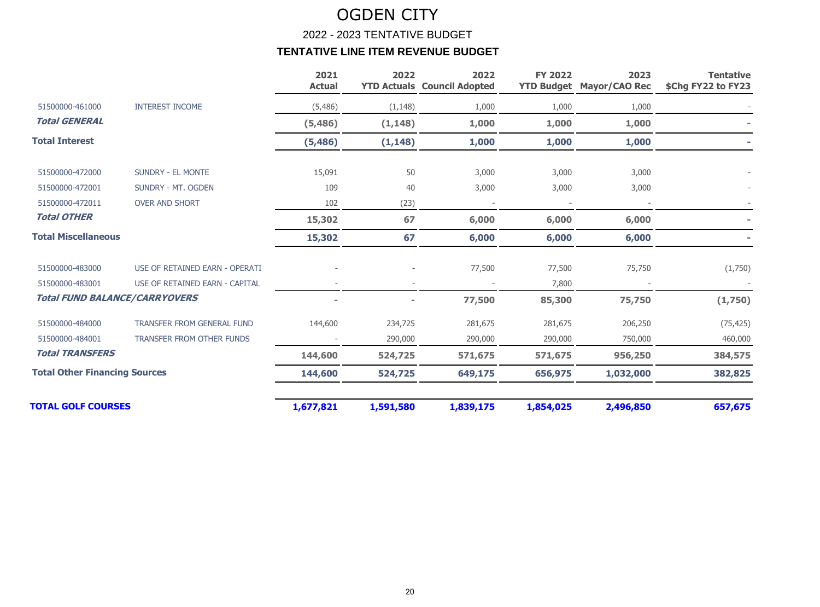#### 2022 - 2023 TENTATIVE BUDGET

|                                      |                                      | 2021<br><b>Actual</b> | 2022      | 2022<br><b>YTD Actuals Council Adopted</b> | <b>FY 2022</b> | 2023<br><b>YTD Budget Mayor/CAO Rec</b> | <b>Tentative</b><br>\$Chg FY22 to FY23 |
|--------------------------------------|--------------------------------------|-----------------------|-----------|--------------------------------------------|----------------|-----------------------------------------|----------------------------------------|
| 51500000-461000                      | <b>INTEREST INCOME</b>               | (5, 486)              | (1, 148)  | 1,000                                      | 1,000          | 1,000                                   |                                        |
| <b>Total GENERAL</b>                 |                                      | (5, 486)              | (1, 148)  | 1,000                                      | 1,000          | 1,000                                   |                                        |
| <b>Total Interest</b>                |                                      | (5, 486)              | (1, 148)  | 1,000                                      | 1,000          | 1,000                                   |                                        |
| 51500000-472000                      | <b>SUNDRY - EL MONTE</b>             | 15,091                | 50        | 3,000                                      | 3,000          | 3,000                                   |                                        |
| 51500000-472001                      | SUNDRY - MT. OGDEN                   | 109                   | 40        | 3,000                                      | 3,000          | 3,000                                   |                                        |
| 51500000-472011                      | <b>OVER AND SHORT</b>                | 102                   | (23)      |                                            |                |                                         |                                        |
| <b>Total OTHER</b>                   |                                      | 15,302                | 67        | 6,000                                      | 6,000          | 6,000                                   |                                        |
| <b>Total Miscellaneous</b>           |                                      | 15,302                | 67        | 6,000                                      | 6,000          | 6,000                                   |                                        |
| 51500000-483000                      | USE OF RETAINED EARN - OPERATI       |                       |           | 77,500                                     | 77,500         | 75,750                                  | (1,750)                                |
| 51500000-483001                      | USE OF RETAINED EARN - CAPITAL       |                       |           |                                            | 7,800          |                                         |                                        |
|                                      | <b>Total FUND BALANCE/CARRYOVERS</b> |                       |           | 77,500                                     | 85,300         | 75,750                                  | (1,750)                                |
| 51500000-484000                      | TRANSFER FROM GENERAL FUND           | 144,600               | 234,725   | 281,675                                    | 281,675        | 206,250                                 | (75, 425)                              |
| 51500000-484001                      | <b>TRANSFER FROM OTHER FUNDS</b>     |                       | 290,000   | 290,000                                    | 290,000        | 750,000                                 | 460,000                                |
| <b>Total TRANSFERS</b>               |                                      | 144,600               | 524,725   | 571,675                                    | 571,675        | 956,250                                 | 384,575                                |
| <b>Total Other Financing Sources</b> |                                      | 144,600               | 524,725   | 649,175                                    | 656,975        | 1,032,000                               | 382,825                                |
| <b>TOTAL GOLF COURSES</b>            |                                      | 1,677,821             | 1,591,580 | 1,839,175                                  | 1,854,025      | 2,496,850                               | 657,675                                |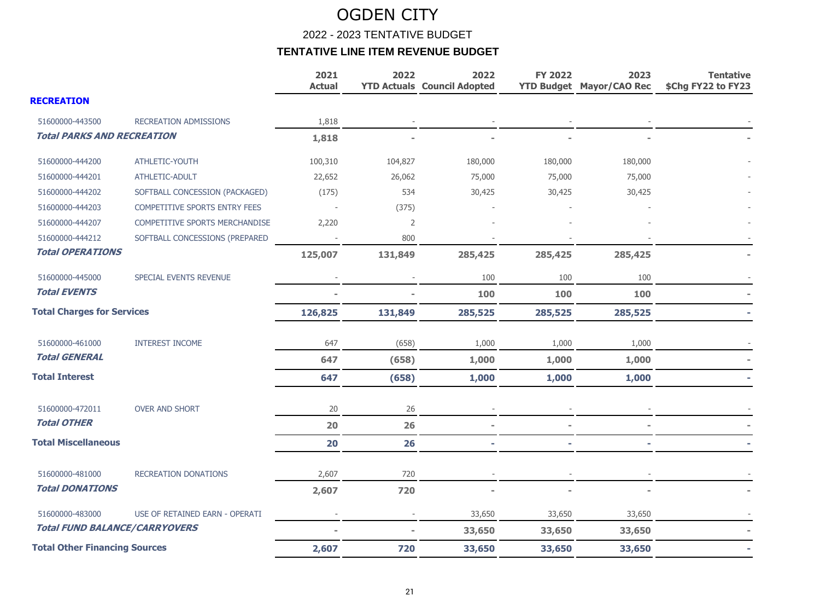2022 - 2023 TENTATIVE BUDGET

|                                      |                                | 2021<br><b>Actual</b> | 2022    | 2022<br><b>YTD Actuals Council Adopted</b> | <b>FY 2022</b> | 2023<br><b>YTD Budget Mayor/CAO Rec</b> | <b>Tentative</b><br>\$Chg FY22 to FY23 |
|--------------------------------------|--------------------------------|-----------------------|---------|--------------------------------------------|----------------|-----------------------------------------|----------------------------------------|
| <b>RECREATION</b>                    |                                |                       |         |                                            |                |                                         |                                        |
| 51600000-443500                      | <b>RECREATION ADMISSIONS</b>   | 1,818                 |         |                                            |                |                                         |                                        |
| <b>Total PARKS AND RECREATION</b>    |                                | 1,818                 |         |                                            |                |                                         |                                        |
| 51600000-444200                      | ATHLETIC-YOUTH                 | 100,310               | 104,827 | 180,000                                    | 180,000        | 180,000                                 |                                        |
| 51600000-444201                      | ATHLETIC-ADULT                 | 22,652                | 26,062  | 75,000                                     | 75,000         | 75,000                                  |                                        |
| 51600000-444202                      | SOFTBALL CONCESSION (PACKAGED) | (175)                 | 534     | 30,425                                     | 30,425         | 30,425                                  |                                        |
| 51600000-444203                      | COMPETITIVE SPORTS ENTRY FEES  |                       | (375)   |                                            |                |                                         |                                        |
| 51600000-444207                      | COMPETITIVE SPORTS MERCHANDISE | 2,220                 | 2       |                                            |                |                                         |                                        |
| 51600000-444212                      | SOFTBALL CONCESSIONS (PREPARED |                       | 800     |                                            |                |                                         |                                        |
| <b>Total OPERATIONS</b>              |                                | 125,007               | 131,849 | 285,425                                    | 285,425        | 285,425                                 |                                        |
| 51600000-445000                      | SPECIAL EVENTS REVENUE         |                       |         | 100                                        | 100            | 100                                     |                                        |
| <b>Total EVENTS</b>                  |                                |                       |         | 100                                        | 100            | 100                                     |                                        |
| <b>Total Charges for Services</b>    |                                | 126,825               | 131,849 | 285,525                                    | 285,525        | 285,525                                 |                                        |
| 51600000-461000                      | <b>INTEREST INCOME</b>         | 647                   | (658)   | 1,000                                      | 1,000          | 1,000                                   |                                        |
| <b>Total GENERAL</b>                 |                                | 647                   | (658)   | 1,000                                      | 1,000          | 1,000                                   |                                        |
| <b>Total Interest</b>                |                                | 647                   | (658)   | 1,000                                      | 1,000          | 1,000                                   |                                        |
| 51600000-472011                      | <b>OVER AND SHORT</b>          | 20                    | 26      |                                            |                |                                         |                                        |
| <b>Total OTHER</b>                   |                                | 20                    | 26      |                                            |                |                                         |                                        |
| <b>Total Miscellaneous</b>           |                                | 20                    | 26      |                                            |                |                                         |                                        |
| 51600000-481000                      | RECREATION DONATIONS           | 2,607                 | 720     |                                            |                |                                         |                                        |
| <b>Total DONATIONS</b>               |                                | 2,607                 | 720     |                                            |                |                                         |                                        |
| 51600000-483000                      | USE OF RETAINED EARN - OPERATI |                       |         | 33,650                                     | 33,650         | 33,650                                  |                                        |
| <b>Total FUND BALANCE/CARRYOVERS</b> |                                |                       |         | 33,650                                     | 33,650         | 33,650                                  |                                        |
| <b>Total Other Financing Sources</b> |                                | 2,607                 | 720     | 33,650                                     | 33,650         | 33,650                                  |                                        |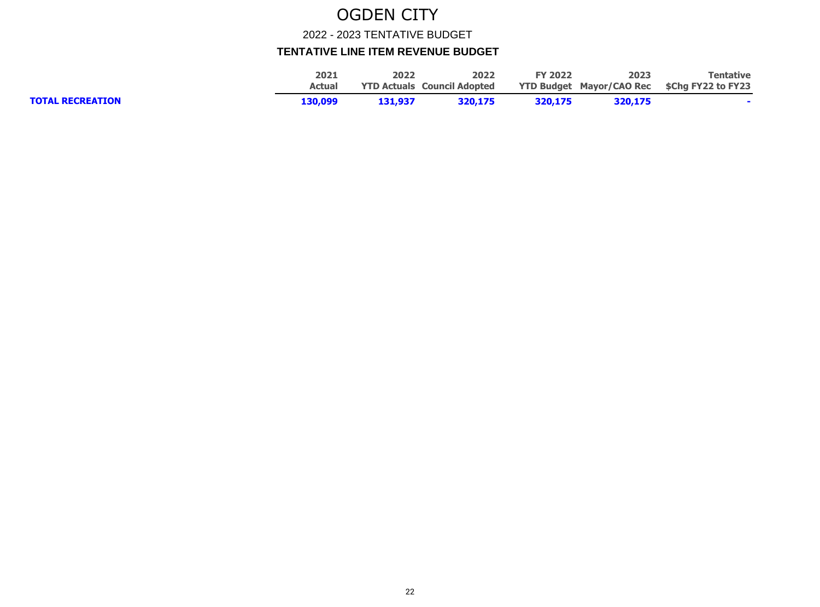2022 - 2023 TENTATIVE BUDGET

|                         | 2021          | 2022    | 2022                               | <b>FY 2022</b> | 2023    | Tentative                                          |
|-------------------------|---------------|---------|------------------------------------|----------------|---------|----------------------------------------------------|
|                         | <b>Actual</b> |         | <b>YTD Actuals Council Adopted</b> |                |         | <b>YTD Budget Mayor/CAO Rec \$Chg FY22 to FY23</b> |
| <b>TOTAL RECREATION</b> | 130,099       | 131,937 | 320,175                            | 320.175        | 320,175 |                                                    |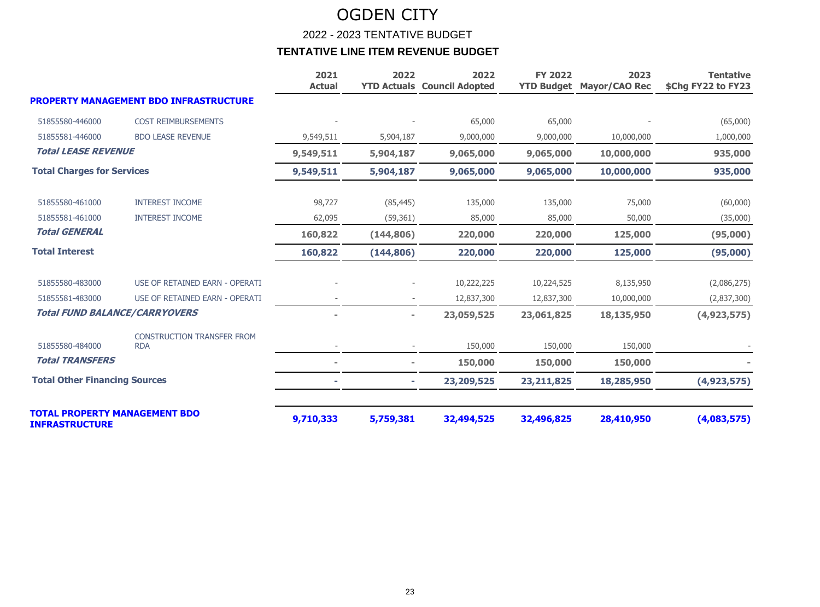2022 - 2023 TENTATIVE BUDGET

|                                                               |                                                 | 2021<br><b>Actual</b> | 2022       | 2022<br><b>YTD Actuals Council Adopted</b> | <b>FY 2022</b> | 2023<br><b>YTD Budget Mayor/CAO Rec</b> | <b>Tentative</b><br>\$Chg FY22 to FY23 |
|---------------------------------------------------------------|-------------------------------------------------|-----------------------|------------|--------------------------------------------|----------------|-----------------------------------------|----------------------------------------|
|                                                               | <b>PROPERTY MANAGEMENT BDO INFRASTRUCTURE</b>   |                       |            |                                            |                |                                         |                                        |
| 51855580-446000                                               | <b>COST REIMBURSEMENTS</b>                      |                       |            | 65,000                                     | 65,000         |                                         | (65,000)                               |
| 51855581-446000                                               | <b>BDO LEASE REVENUE</b>                        | 9,549,511             | 5,904,187  | 9,000,000                                  | 9,000,000      | 10,000,000                              | 1,000,000                              |
| <b>Total LEASE REVENUE</b>                                    |                                                 | 9,549,511             | 5,904,187  | 9,065,000                                  | 9,065,000      | 10,000,000                              | 935,000                                |
| <b>Total Charges for Services</b>                             |                                                 | 9,549,511             | 5,904,187  | 9,065,000                                  | 9,065,000      | 10,000,000                              | 935,000                                |
| 51855580-461000                                               | <b>INTEREST INCOME</b>                          | 98,727                | (85, 445)  | 135,000                                    | 135,000        | 75,000                                  | (60,000)                               |
| 51855581-461000                                               | <b>INTEREST INCOME</b>                          | 62,095                | (59, 361)  | 85,000                                     | 85,000         | 50,000                                  | (35,000)                               |
| <b>Total GENERAL</b>                                          |                                                 | 160,822               | (144, 806) | 220,000                                    | 220,000        | 125,000                                 | (95,000)                               |
| <b>Total Interest</b>                                         |                                                 | 160,822               | (144, 806) | 220,000                                    | 220,000        | 125,000                                 | (95,000)                               |
| 51855580-483000                                               | USE OF RETAINED EARN - OPERATI                  |                       |            | 10,222,225                                 | 10,224,525     | 8,135,950                               | (2,086,275)                            |
| 51855581-483000                                               | USE OF RETAINED EARN - OPERATI                  |                       |            | 12,837,300                                 | 12,837,300     | 10,000,000                              | (2,837,300)                            |
| <b>Total FUND BALANCE/CARRYOVERS</b>                          |                                                 |                       |            | 23,059,525                                 | 23,061,825     | 18,135,950                              | (4,923,575)                            |
| 51855580-484000                                               | <b>CONSTRUCTION TRANSFER FROM</b><br><b>RDA</b> |                       |            | 150,000                                    | 150,000        | 150,000                                 |                                        |
| <b>Total TRANSFERS</b>                                        |                                                 |                       |            | 150,000                                    | 150,000        | 150,000                                 |                                        |
| <b>Total Other Financing Sources</b>                          |                                                 |                       |            | 23,209,525                                 | 23, 211, 825   | 18,285,950                              | (4,923,575)                            |
| <b>TOTAL PROPERTY MANAGEMENT BDO</b><br><b>INFRASTRUCTURE</b> |                                                 | 9,710,333             | 5,759,381  | 32,494,525                                 | 32,496,825     | 28,410,950                              | (4,083,575)                            |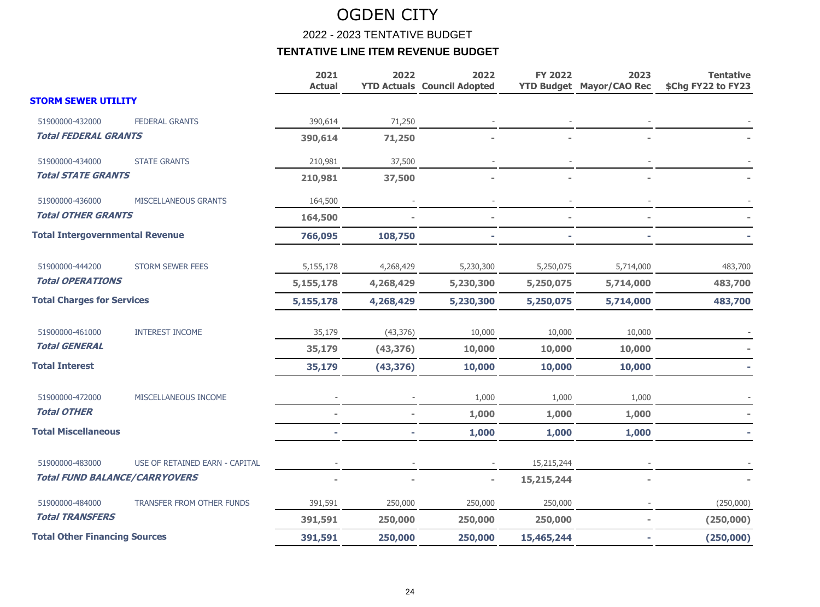2022 - 2023 TENTATIVE BUDGET

|                                        |                                | 2021<br><b>Actual</b> | 2022      | 2022<br><b>YTD Actuals Council Adopted</b> | <b>FY 2022</b> | 2023<br><b>YTD Budget Mayor/CAO Rec</b> | <b>Tentative</b><br>\$Chg FY22 to FY23 |
|----------------------------------------|--------------------------------|-----------------------|-----------|--------------------------------------------|----------------|-----------------------------------------|----------------------------------------|
| <b>STORM SEWER UTILITY</b>             |                                |                       |           |                                            |                |                                         |                                        |
| 51900000-432000                        | <b>FEDERAL GRANTS</b>          | 390,614               | 71,250    |                                            |                |                                         |                                        |
| <b>Total FEDERAL GRANTS</b>            |                                | 390,614               | 71,250    |                                            |                |                                         |                                        |
| 51900000-434000                        | <b>STATE GRANTS</b>            | 210,981               | 37,500    |                                            |                |                                         |                                        |
| <b>Total STATE GRANTS</b>              |                                | 210,981               | 37,500    |                                            |                |                                         |                                        |
| 51900000-436000                        | MISCELLANEOUS GRANTS           | 164,500               |           |                                            |                |                                         |                                        |
| <b>Total OTHER GRANTS</b>              |                                | 164,500               |           |                                            |                |                                         |                                        |
| <b>Total Intergovernmental Revenue</b> |                                | 766,095               | 108,750   |                                            |                |                                         |                                        |
| 51900000-444200                        | <b>STORM SEWER FEES</b>        | 5,155,178             | 4,268,429 | 5,230,300                                  | 5,250,075      | 5,714,000                               | 483,700                                |
| <b>Total OPERATIONS</b>                |                                | 5,155,178             | 4,268,429 | 5,230,300                                  | 5,250,075      | 5,714,000                               | 483,700                                |
| <b>Total Charges for Services</b>      |                                | 5,155,178             | 4,268,429 | 5,230,300                                  | 5,250,075      | 5,714,000                               | 483,700                                |
| 51900000-461000                        | <b>INTEREST INCOME</b>         | 35,179                | (43, 376) | 10,000                                     | 10,000         | 10,000                                  |                                        |
| <b>Total GENERAL</b>                   |                                | 35,179                | (43, 376) | 10,000                                     | 10,000         | 10,000                                  |                                        |
| <b>Total Interest</b>                  |                                | 35,179                | (43, 376) | 10,000                                     | 10,000         | 10,000                                  |                                        |
| 51900000-472000                        | MISCELLANEOUS INCOME           |                       |           | 1,000                                      | 1,000          | 1,000                                   |                                        |
| <b>Total OTHER</b>                     |                                |                       |           | 1,000                                      | 1,000          | 1,000                                   |                                        |
| <b>Total Miscellaneous</b>             |                                |                       |           | 1,000                                      | 1,000          | 1,000                                   |                                        |
| 51900000-483000                        | USE OF RETAINED EARN - CAPITAL |                       |           |                                            | 15,215,244     |                                         |                                        |
| <b>Total FUND BALANCE/CARRYOVERS</b>   |                                |                       |           | $\overline{a}$                             | 15,215,244     |                                         |                                        |
| 51900000-484000                        | TRANSFER FROM OTHER FUNDS      | 391,591               | 250,000   | 250,000                                    | 250,000        |                                         | (250,000)                              |
| <b>Total TRANSFERS</b>                 |                                | 391,591               | 250,000   | 250,000                                    | 250,000        |                                         | (250,000)                              |
| <b>Total Other Financing Sources</b>   |                                | 391,591               | 250,000   | 250,000                                    | 15,465,244     |                                         | (250,000)                              |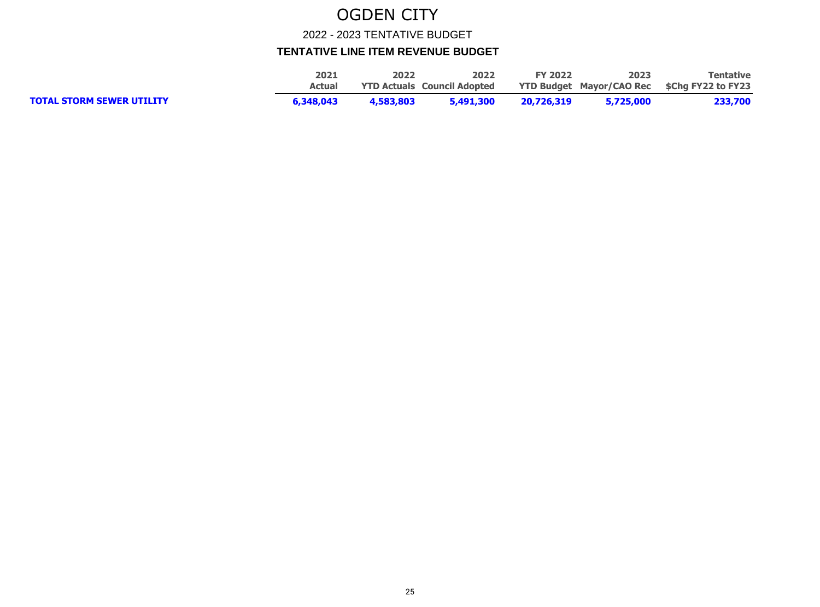2022 - 2023 TENTATIVE BUDGET

|                                  | 2021      | 2022      | 2022                               | <b>FY 2022</b> | 2023      | <b>Tentative</b>                                   |
|----------------------------------|-----------|-----------|------------------------------------|----------------|-----------|----------------------------------------------------|
|                                  | Actual    |           | <b>YTD Actuals Council Adopted</b> |                |           | <b>YTD Budget Mayor/CAO Rec \$Chg FY22 to FY23</b> |
| <b>TOTAL STORM SEWER UTILITY</b> | 6,348,043 | 4,583,803 | 5,491,300                          | 20,726,319     | 5,725,000 | 233,700                                            |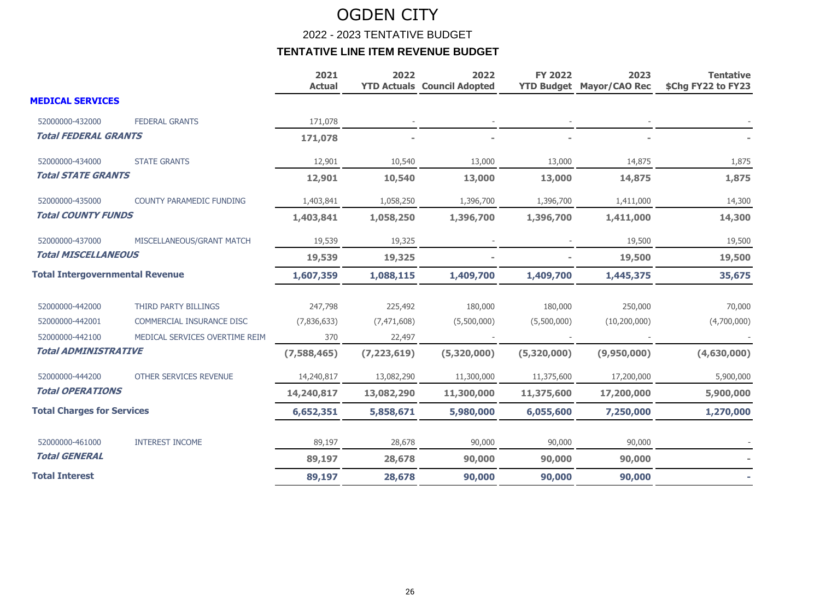2022 - 2023 TENTATIVE BUDGET

|                                        |                                 | 2021<br><b>Actual</b> | 2022          | 2022<br><b>YTD Actuals Council Adopted</b> | <b>FY 2022</b> | 2023<br><b>YTD Budget Mayor/CAO Rec</b> | <b>Tentative</b><br>\$Chg FY22 to FY23 |
|----------------------------------------|---------------------------------|-----------------------|---------------|--------------------------------------------|----------------|-----------------------------------------|----------------------------------------|
| <b>MEDICAL SERVICES</b>                |                                 |                       |               |                                            |                |                                         |                                        |
| 52000000-432000                        | <b>FEDERAL GRANTS</b>           | 171,078               |               |                                            |                |                                         |                                        |
| <b>Total FEDERAL GRANTS</b>            |                                 | 171,078               |               |                                            |                |                                         |                                        |
| 52000000-434000                        | <b>STATE GRANTS</b>             | 12,901                | 10,540        | 13,000                                     | 13,000         | 14,875                                  | 1,875                                  |
| <b>Total STATE GRANTS</b>              |                                 | 12,901                | 10,540        | 13,000                                     | 13,000         | 14,875                                  | 1,875                                  |
| 52000000-435000                        | <b>COUNTY PARAMEDIC FUNDING</b> | 1,403,841             | 1,058,250     | 1,396,700                                  | 1,396,700      | 1,411,000                               | 14,300                                 |
| <b>Total COUNTY FUNDS</b>              |                                 | 1,403,841             | 1,058,250     | 1,396,700                                  | 1,396,700      | 1,411,000                               | 14,300                                 |
| 52000000-437000                        | MISCELLANEOUS/GRANT MATCH       | 19,539                | 19,325        |                                            |                | 19,500                                  | 19,500                                 |
| <b>Total MISCELLANEOUS</b>             |                                 | 19,539                | 19,325        |                                            |                | 19,500                                  | 19,500                                 |
| <b>Total Intergovernmental Revenue</b> |                                 | 1,607,359             | 1,088,115     | 1,409,700                                  | 1,409,700      | 1,445,375                               | 35,675                                 |
| 52000000-442000                        | THIRD PARTY BILLINGS            | 247,798               | 225,492       | 180,000                                    | 180,000        | 250,000                                 | 70,000                                 |
| 52000000-442001                        | COMMERCIAL INSURANCE DISC       | (7,836,633)           | (7, 471, 608) | (5,500,000)                                | (5,500,000)    | (10, 200, 000)                          | (4,700,000)                            |
| 52000000-442100                        | MEDICAL SERVICES OVERTIME REIM  | 370                   | 22,497        |                                            |                |                                         |                                        |
| <b>Total ADMINISTRATIVE</b>            |                                 | (7,588,465)           | (7, 223, 619) | (5,320,000)                                | (5,320,000)    | (9,950,000)                             | (4,630,000)                            |
| 52000000-444200                        | <b>OTHER SERVICES REVENUE</b>   | 14,240,817            | 13,082,290    | 11,300,000                                 | 11,375,600     | 17,200,000                              | 5,900,000                              |
| <b>Total OPERATIONS</b>                |                                 | 14,240,817            | 13,082,290    | 11,300,000                                 | 11,375,600     | 17,200,000                              | 5,900,000                              |
| <b>Total Charges for Services</b>      |                                 | 6,652,351             | 5,858,671     | 5,980,000                                  | 6,055,600      | 7,250,000                               | 1,270,000                              |
| 52000000-461000                        | <b>INTEREST INCOME</b>          | 89,197                | 28,678        | 90,000                                     | 90,000         | 90,000                                  |                                        |
| <b>Total GENERAL</b>                   |                                 | 89,197                | 28,678        | 90,000                                     | 90,000         | 90,000                                  |                                        |
| <b>Total Interest</b>                  |                                 | 89,197                | 28,678        | 90,000                                     | 90,000         | 90,000                                  |                                        |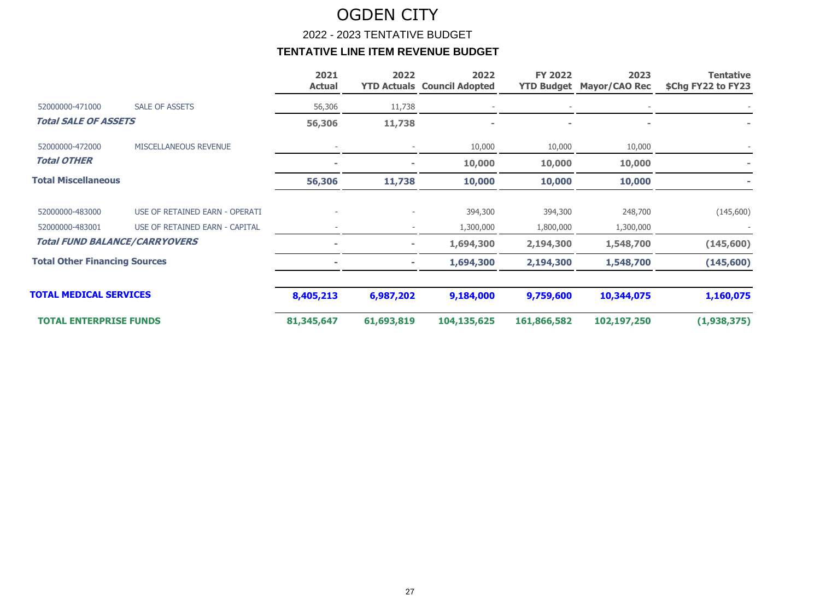2022 - 2023 TENTATIVE BUDGET

|                                      |                                      | 2021<br><b>Actual</b> | 2022           | 2022<br><b>YTD Actuals Council Adopted</b> | <b>FY 2022</b> | 2023<br><b>YTD Budget Mayor/CAO Rec</b> | <b>Tentative</b><br>\$Chg FY22 to FY23 |
|--------------------------------------|--------------------------------------|-----------------------|----------------|--------------------------------------------|----------------|-----------------------------------------|----------------------------------------|
| 52000000-471000                      | <b>SALE OF ASSETS</b>                | 56,306                | 11,738         |                                            |                |                                         |                                        |
| <b>Total SALE OF ASSETS</b>          |                                      | 56,306                | 11,738         |                                            |                |                                         |                                        |
| 52000000-472000                      | MISCELLANEOUS REVENUE                |                       |                | 10,000                                     | 10,000         | 10,000                                  |                                        |
| <b>Total OTHER</b>                   |                                      | $\blacksquare$        | $\equiv$       | 10,000                                     | 10,000         | 10,000                                  |                                        |
| <b>Total Miscellaneous</b>           |                                      | 56,306                | 11,738         | 10,000                                     | 10,000         | 10,000                                  |                                        |
| 52000000-483000                      | USE OF RETAINED EARN - OPERATI       |                       |                | 394,300                                    | 394,300        | 248,700                                 | (145,600)                              |
| 52000000-483001                      | USE OF RETAINED EARN - CAPITAL       |                       |                | 1,300,000                                  | 1,800,000      | 1,300,000                               |                                        |
|                                      | <b>Total FUND BALANCE/CARRYOVERS</b> | $\blacksquare$        | $\blacksquare$ | 1,694,300                                  | 2,194,300      | 1,548,700                               | (145,600)                              |
| <b>Total Other Financing Sources</b> |                                      | ÷                     | ۰.             | 1,694,300                                  | 2,194,300      | 1,548,700                               | (145, 600)                             |
| <b>TOTAL MEDICAL SERVICES</b>        |                                      | 8,405,213             | 6,987,202      | 9,184,000                                  | 9,759,600      | 10,344,075                              | 1,160,075                              |
| <b>TOTAL ENTERPRISE FUNDS</b>        |                                      | 81,345,647            | 61,693,819     | 104,135,625                                | 161,866,582    | 102,197,250                             | (1,938,375)                            |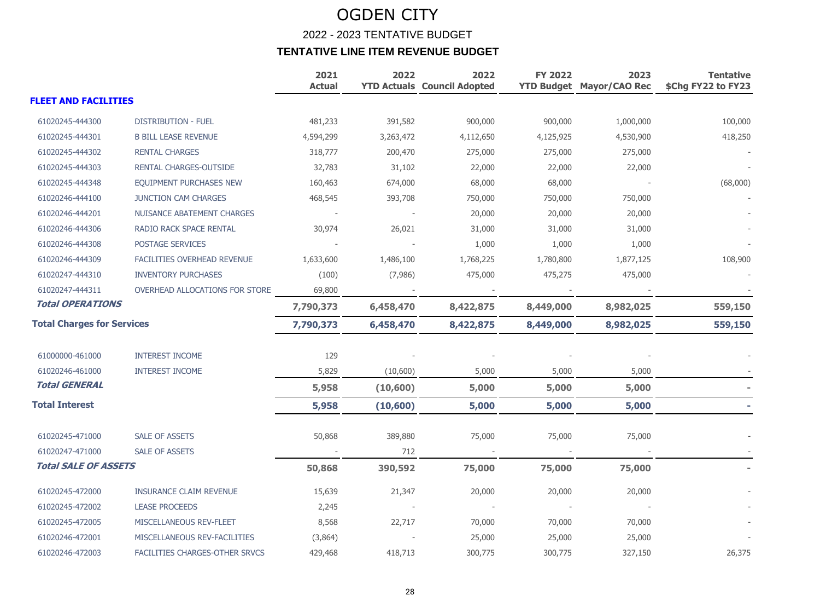### OGDEN CITY 2022 - 2023 TENTATIVE BUDGET **TENTATIVE LINE ITEM REVENUE BUDGET**

|                                   |                                       | 2021<br><b>Actual</b> | 2022      | 2022<br><b>YTD Actuals Council Adopted</b> | <b>FY 2022</b> | 2023<br><b>YTD Budget Mayor/CAO Rec</b> | <b>Tentative</b><br>\$Chg FY22 to FY23 |
|-----------------------------------|---------------------------------------|-----------------------|-----------|--------------------------------------------|----------------|-----------------------------------------|----------------------------------------|
| <b>FLEET AND FACILITIES</b>       |                                       |                       |           |                                            |                |                                         |                                        |
| 61020245-444300                   | <b>DISTRIBUTION - FUEL</b>            | 481,233               | 391,582   | 900,000                                    | 900,000        | 1,000,000                               | 100,000                                |
| 61020245-444301                   | <b>B BILL LEASE REVENUE</b>           | 4,594,299             | 3,263,472 | 4,112,650                                  | 4,125,925      | 4,530,900                               | 418,250                                |
| 61020245-444302                   | <b>RENTAL CHARGES</b>                 | 318,777               | 200,470   | 275,000                                    | 275,000        | 275,000                                 |                                        |
| 61020245-444303                   | RENTAL CHARGES-OUTSIDE                | 32,783                | 31,102    | 22,000                                     | 22,000         | 22,000                                  |                                        |
| 61020245-444348                   | <b>EQUIPMENT PURCHASES NEW</b>        | 160,463               | 674,000   | 68,000                                     | 68,000         |                                         | (68,000)                               |
| 61020246-444100                   | <b>JUNCTION CAM CHARGES</b>           | 468,545               | 393,708   | 750,000                                    | 750,000        | 750,000                                 |                                        |
| 61020246-444201                   | NUISANCE ABATEMENT CHARGES            |                       |           | 20,000                                     | 20,000         | 20,000                                  |                                        |
| 61020246-444306                   | RADIO RACK SPACE RENTAL               | 30,974                | 26,021    | 31,000                                     | 31,000         | 31,000                                  |                                        |
| 61020246-444308                   | POSTAGE SERVICES                      |                       |           | 1,000                                      | 1,000          | 1,000                                   |                                        |
| 61020246-444309                   | FACILITIES OVERHEAD REVENUE           | 1,633,600             | 1,486,100 | 1,768,225                                  | 1,780,800      | 1,877,125                               | 108,900                                |
| 61020247-444310                   | <b>INVENTORY PURCHASES</b>            | (100)                 | (7,986)   | 475,000                                    | 475,275        | 475,000                                 |                                        |
| 61020247-444311                   | OVERHEAD ALLOCATIONS FOR STORE        | 69,800                |           |                                            |                |                                         |                                        |
| <b>Total OPERATIONS</b>           |                                       | 7,790,373             | 6,458,470 | 8,422,875                                  | 8,449,000      | 8,982,025                               | 559,150                                |
| <b>Total Charges for Services</b> |                                       | 7,790,373             | 6,458,470 | 8,422,875                                  | 8,449,000      | 8,982,025                               | 559,150                                |
| 61000000-461000                   | <b>INTEREST INCOME</b>                | 129                   |           |                                            |                |                                         |                                        |
| 61020246-461000                   | <b>INTEREST INCOME</b>                | 5,829                 | (10,600)  | 5,000                                      | 5,000          | 5,000                                   |                                        |
| <b>Total GENERAL</b>              |                                       | 5,958                 | (10, 600) | 5,000                                      | 5,000          | 5,000                                   |                                        |
| <b>Total Interest</b>             |                                       | 5,958                 | (10, 600) | 5,000                                      | 5,000          | 5,000                                   |                                        |
| 61020245-471000                   | <b>SALE OF ASSETS</b>                 | 50,868                | 389,880   | 75,000                                     | 75,000         | 75,000                                  |                                        |
| 61020247-471000                   | <b>SALE OF ASSETS</b>                 |                       | 712       |                                            |                |                                         |                                        |
| Total SALE OF ASSETS              |                                       | 50,868                | 390,592   | 75,000                                     | 75,000         | 75,000                                  |                                        |
| 61020245-472000                   | <b>INSURANCE CLAIM REVENUE</b>        | 15,639                | 21,347    | 20,000                                     | 20,000         | 20,000                                  |                                        |
| 61020245-472002                   | <b>LEASE PROCEEDS</b>                 | 2,245                 |           |                                            |                |                                         |                                        |
| 61020245-472005                   | MISCELLANEOUS REV-FLEET               | 8,568                 | 22,717    | 70,000                                     | 70,000         | 70,000                                  |                                        |
| 61020246-472001                   | MISCELLANEOUS REV-FACILITIES          | (3,864)               |           | 25,000                                     | 25,000         | 25,000                                  |                                        |
| 61020246-472003                   | <b>FACILITIES CHARGES-OTHER SRVCS</b> | 429,468               | 418,713   | 300,775                                    | 300,775        | 327,150                                 | 26,375                                 |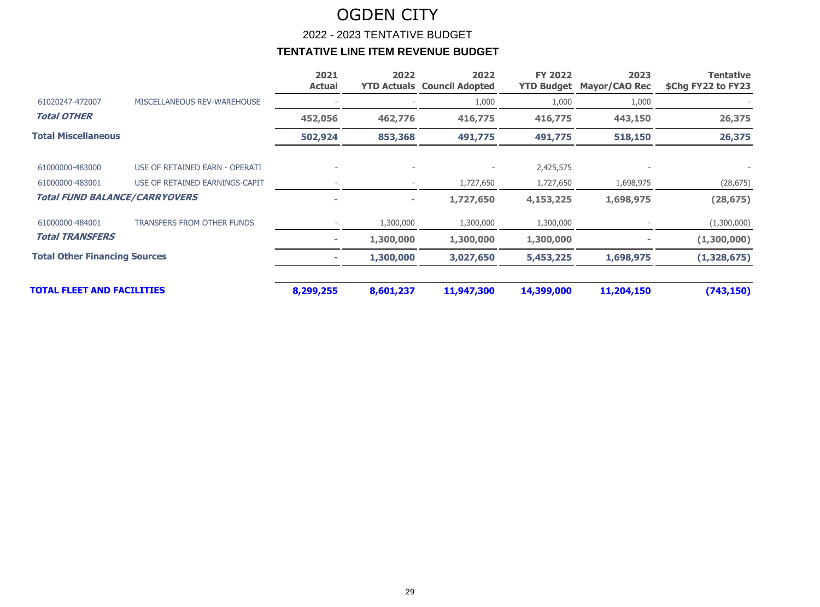2022 - 2023 TENTATIVE BUDGET

|                                      |                                   | 2021<br><b>Actual</b> | 2022                     | 2022<br><b>YTD Actuals Council Adopted</b> | <b>FY 2022</b><br><b>YTD Budget</b> | 2023<br><b>Mayor/CAO Rec</b> | Tentative<br>\$Chg FY22 to FY23 |
|--------------------------------------|-----------------------------------|-----------------------|--------------------------|--------------------------------------------|-------------------------------------|------------------------------|---------------------------------|
| 61020247-472007                      | MISCELLANEOUS REV-WAREHOUSE       |                       |                          | 1,000                                      | 1,000                               | 1,000                        |                                 |
| <b>Total OTHER</b>                   |                                   | 452,056               | 462,776                  | 416,775                                    | 416,775                             | 443,150                      | 26,375                          |
| <b>Total Miscellaneous</b>           |                                   | 502,924               | 853,368                  | 491,775                                    | 491,775                             | 518,150                      | 26,375                          |
| 61000000-483000                      | USE OF RETAINED EARN - OPERATI    |                       |                          |                                            | 2,425,575                           |                              |                                 |
| 61000000-483001                      | USE OF RETAINED EARNINGS-CAPIT    |                       | $\overline{\phantom{a}}$ | 1,727,650                                  | 1,727,650                           | 1,698,975                    | (28, 675)                       |
| <b>Total FUND BALANCE/CARRYOVERS</b> |                                   | ÷                     | $\sim$                   | 1,727,650                                  | 4,153,225                           | 1,698,975                    | (28, 675)                       |
| 61000000-484001                      | <b>TRANSFERS FROM OTHER FUNDS</b> |                       | 1,300,000                | 1,300,000                                  | 1,300,000                           |                              | (1,300,000)                     |
| <b>Total TRANSFERS</b>               |                                   | ۰                     | 1,300,000                | 1,300,000                                  | 1,300,000                           |                              | (1,300,000)                     |
| <b>Total Other Financing Sources</b> |                                   |                       | 1,300,000                | 3,027,650                                  | 5,453,225                           | 1,698,975                    | (1,328,675)                     |
| <b>TOTAL FLEET AND FACILITIES</b>    |                                   | 8,299,255             | 8,601,237                | 11,947,300                                 | 14,399,000                          | 11,204,150                   | (743, 150)                      |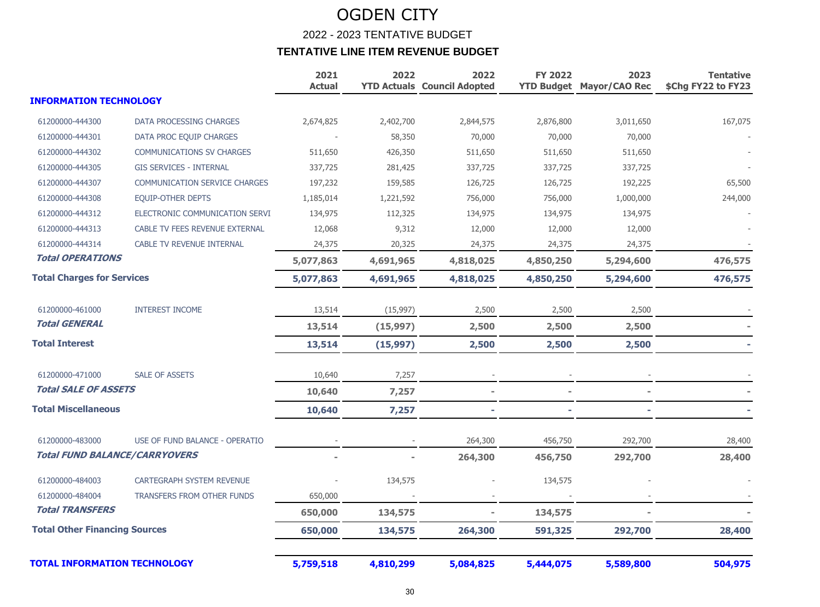### OGDEN CITY 2022 - 2023 TENTATIVE BUDGET **TENTATIVE LINE ITEM REVENUE BUDGET**

|                                      |                                      | 2021<br><b>Actual</b> | 2022      | 2022<br><b>YTD Actuals Council Adopted</b> | <b>FY 2022</b> | 2023<br><b>YTD Budget Mayor/CAO Rec</b> | <b>Tentative</b><br>\$Chg FY22 to FY23 |
|--------------------------------------|--------------------------------------|-----------------------|-----------|--------------------------------------------|----------------|-----------------------------------------|----------------------------------------|
| <b>INFORMATION TECHNOLOGY</b>        |                                      |                       |           |                                            |                |                                         |                                        |
| 61200000-444300                      | DATA PROCESSING CHARGES              | 2,674,825             | 2,402,700 | 2,844,575                                  | 2,876,800      | 3,011,650                               | 167,075                                |
| 61200000-444301                      | DATA PROC EQUIP CHARGES              |                       | 58,350    | 70,000                                     | 70,000         | 70,000                                  |                                        |
| 61200000-444302                      | <b>COMMUNICATIONS SV CHARGES</b>     | 511,650               | 426,350   | 511,650                                    | 511,650        | 511,650                                 |                                        |
| 61200000-444305                      | <b>GIS SERVICES - INTERNAL</b>       | 337,725               | 281,425   | 337,725                                    | 337,725        | 337,725                                 |                                        |
| 61200000-444307                      | <b>COMMUNICATION SERVICE CHARGES</b> | 197,232               | 159,585   | 126,725                                    | 126,725        | 192,225                                 | 65,500                                 |
| 61200000-444308                      | <b>EQUIP-OTHER DEPTS</b>             | 1,185,014             | 1,221,592 | 756,000                                    | 756,000        | 1,000,000                               | 244,000                                |
| 61200000-444312                      | ELECTRONIC COMMUNICATION SERVI       | 134,975               | 112,325   | 134,975                                    | 134,975        | 134,975                                 |                                        |
| 61200000-444313                      | CABLE TV FEES REVENUE EXTERNAL       | 12,068                | 9,312     | 12,000                                     | 12,000         | 12,000                                  |                                        |
| 61200000-444314                      | <b>CABLE TV REVENUE INTERNAL</b>     | 24,375                | 20,325    | 24,375                                     | 24,375         | 24,375                                  |                                        |
| <b>Total OPERATIONS</b>              |                                      | 5,077,863             | 4,691,965 | 4,818,025                                  | 4,850,250      | 5,294,600                               | 476,575                                |
| <b>Total Charges for Services</b>    |                                      | 5,077,863             | 4,691,965 | 4,818,025                                  | 4,850,250      | 5,294,600                               | 476,575                                |
| 61200000-461000                      | <b>INTEREST INCOME</b>               | 13,514                | (15,997)  | 2,500                                      | 2,500          | 2,500                                   |                                        |
| <b>Total GENERAL</b>                 |                                      | 13,514                | (15, 997) | 2,500                                      | 2,500          | 2,500                                   |                                        |
| <b>Total Interest</b>                |                                      | 13,514                | (15, 997) | 2,500                                      | 2,500          | 2,500                                   |                                        |
| 61200000-471000                      | <b>SALE OF ASSETS</b>                | 10,640                | 7,257     |                                            |                |                                         |                                        |
| <b>Total SALE OF ASSETS</b>          |                                      | 10,640                | 7,257     |                                            |                |                                         |                                        |
| <b>Total Miscellaneous</b>           |                                      | 10,640                | 7,257     |                                            |                |                                         |                                        |
| 61200000-483000                      | USE OF FUND BALANCE - OPERATIO       |                       |           | 264,300                                    | 456,750        | 292,700                                 | 28,400                                 |
| Total FUND BALANCE/CARRYOVERS        |                                      |                       |           | 264,300                                    | 456,750        | 292,700                                 | 28,400                                 |
| 61200000-484003                      | <b>CARTEGRAPH SYSTEM REVENUE</b>     |                       | 134,575   |                                            | 134,575        |                                         |                                        |
| 61200000-484004                      | TRANSFERS FROM OTHER FUNDS           | 650,000               |           |                                            |                |                                         |                                        |
| <b>Total TRANSFERS</b>               |                                      | 650,000               | 134,575   |                                            | 134,575        |                                         |                                        |
| <b>Total Other Financing Sources</b> |                                      | 650,000               | 134,575   | 264,300                                    | 591,325        | 292,700                                 | 28,400                                 |
| <b>TOTAL INFORMATION TECHNOLOGY</b>  |                                      | 5,759,518             | 4,810,299 | 5,084,825                                  | 5,444,075      | 5,589,800                               | 504,975                                |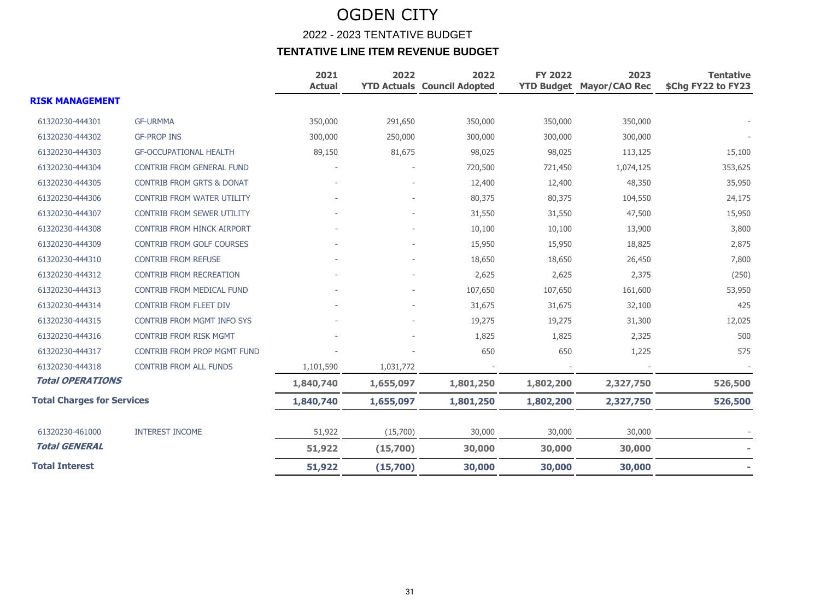|                                   |                                      | 2021<br><b>Actual</b> | 2022      | 2022<br><b>YTD Actuals Council Adopted</b> | <b>FY 2022</b> | 2023<br><b>YTD Budget Mayor/CAO Rec</b> | <b>Tentative</b><br>\$Chg FY22 to FY23 |
|-----------------------------------|--------------------------------------|-----------------------|-----------|--------------------------------------------|----------------|-----------------------------------------|----------------------------------------|
| <b>RISK MANAGEMENT</b>            |                                      |                       |           |                                            |                |                                         |                                        |
| 61320230-444301                   | <b>GF-URMMA</b>                      | 350,000               | 291,650   | 350,000                                    | 350,000        | 350,000                                 |                                        |
| 61320230-444302                   | <b>GF-PROP INS</b>                   | 300,000               | 250,000   | 300,000                                    | 300,000        | 300,000                                 |                                        |
| 61320230-444303                   | <b>GF-OCCUPATIONAL HEALTH</b>        | 89,150                | 81,675    | 98,025                                     | 98,025         | 113,125                                 | 15,100                                 |
| 61320230-444304                   | CONTRIB FROM GENERAL FUND            |                       |           | 720,500                                    | 721,450        | 1,074,125                               | 353,625                                |
| 61320230-444305                   | <b>CONTRIB FROM GRTS &amp; DONAT</b> |                       |           | 12,400                                     | 12,400         | 48,350                                  | 35,950                                 |
| 61320230-444306                   | <b>CONTRIB FROM WATER UTILITY</b>    |                       |           | 80,375                                     | 80,375         | 104,550                                 | 24,175                                 |
| 61320230-444307                   | <b>CONTRIB FROM SEWER UTILITY</b>    |                       |           | 31,550                                     | 31,550         | 47,500                                  | 15,950                                 |
| 61320230-444308                   | <b>CONTRIB FROM HINCK AIRPORT</b>    |                       |           | 10,100                                     | 10,100         | 13,900                                  | 3,800                                  |
| 61320230-444309                   | <b>CONTRIB FROM GOLF COURSES</b>     |                       |           | 15,950                                     | 15,950         | 18,825                                  | 2,875                                  |
| 61320230-444310                   | <b>CONTRIB FROM REFUSE</b>           |                       |           | 18,650                                     | 18,650         | 26,450                                  | 7,800                                  |
| 61320230-444312                   | <b>CONTRIB FROM RECREATION</b>       |                       |           | 2,625                                      | 2,625          | 2,375                                   | (250)                                  |
| 61320230-444313                   | CONTRIB FROM MEDICAL FUND            |                       |           | 107,650                                    | 107,650        | 161,600                                 | 53,950                                 |
| 61320230-444314                   | <b>CONTRIB FROM FLEET DIV</b>        |                       |           | 31,675                                     | 31,675         | 32,100                                  | 425                                    |
| 61320230-444315                   | <b>CONTRIB FROM MGMT INFO SYS</b>    |                       |           | 19,275                                     | 19,275         | 31,300                                  | 12,025                                 |
| 61320230-444316                   | <b>CONTRIB FROM RISK MGMT</b>        |                       |           | 1,825                                      | 1,825          | 2,325                                   | 500                                    |
| 61320230-444317                   | CONTRIB FROM PROP MGMT FUND          |                       |           | 650                                        | 650            | 1,225                                   | 575                                    |
| 61320230-444318                   | <b>CONTRIB FROM ALL FUNDS</b>        | 1,101,590             | 1,031,772 |                                            |                |                                         |                                        |
| <b>Total OPERATIONS</b>           |                                      | 1,840,740             | 1,655,097 | 1,801,250                                  | 1,802,200      | 2,327,750                               | 526,500                                |
| <b>Total Charges for Services</b> |                                      | 1,840,740             | 1,655,097 | 1,801,250                                  | 1,802,200      | 2,327,750                               | 526,500                                |
| 61320230-461000                   | <b>INTEREST INCOME</b>               | 51,922                | (15,700)  | 30,000                                     | 30,000         | 30,000                                  |                                        |
| <b>Total GENERAL</b>              |                                      | 51,922                | (15,700)  | 30,000                                     | 30,000         | 30,000                                  |                                        |
| <b>Total Interest</b>             |                                      | 51,922                | (15,700)  | 30,000                                     | 30,000         | 30,000                                  |                                        |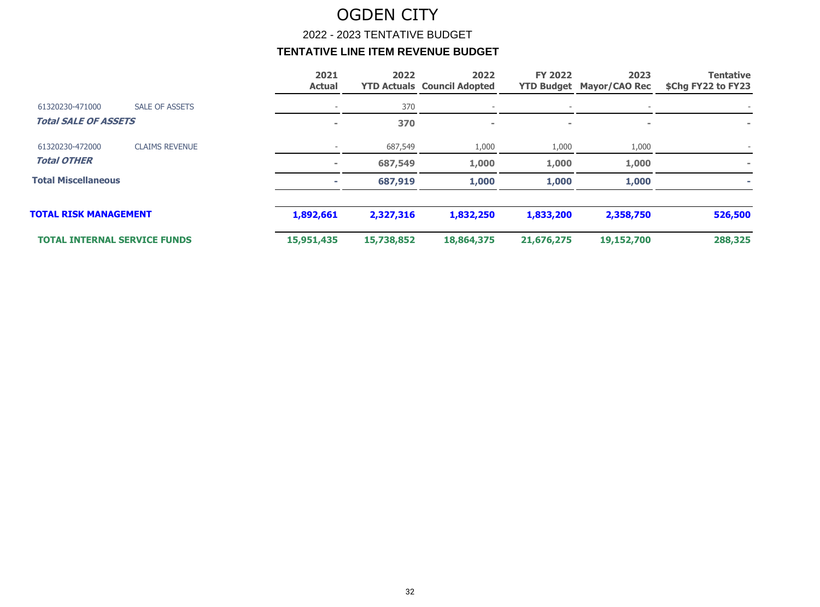2022 - 2023 TENTATIVE BUDGET

|                                     |                       | 2021<br><b>Actual</b>    | 2022       | 2022<br><b>YTD Actuals Council Adopted</b> | <b>FY 2022</b> | 2023<br><b>YTD Budget Mayor/CAO Rec</b> | <b>Tentative</b><br>\$Chg FY22 to FY23 |
|-------------------------------------|-----------------------|--------------------------|------------|--------------------------------------------|----------------|-----------------------------------------|----------------------------------------|
| 61320230-471000                     | <b>SALE OF ASSETS</b> | $\overline{\phantom{0}}$ | 370        |                                            |                |                                         |                                        |
| <b>Total SALE OF ASSETS</b>         |                       | $\blacksquare$           | 370        | $\sim$                                     | $\sim$         | $\sim$                                  | $\equiv$                               |
| 61320230-472000                     | <b>CLAIMS REVENUE</b> |                          | 687,549    | 1,000                                      | 1,000          | 1,000                                   |                                        |
| <b>Total OTHER</b>                  |                       | $\sim$                   | 687,549    | 1,000                                      | 1,000          | 1,000                                   |                                        |
| <b>Total Miscellaneous</b>          |                       | ÷                        | 687,919    | 1,000                                      | 1,000          | 1,000                                   |                                        |
| <b>TOTAL RISK MANAGEMENT</b>        |                       | 1,892,661                | 2,327,316  | 1,832,250                                  | 1,833,200      | 2,358,750                               | 526,500                                |
| <b>TOTAL INTERNAL SERVICE FUNDS</b> |                       | 15,951,435               | 15,738,852 | 18,864,375                                 | 21,676,275     | 19,152,700                              | 288,325                                |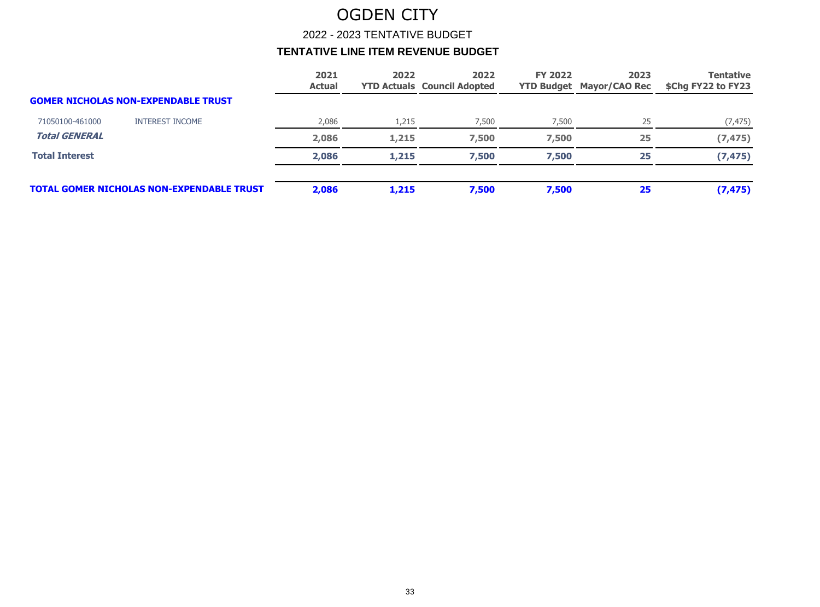2022 - 2023 TENTATIVE BUDGET

|                       |                                                  | 2021<br><b>Actual</b> | 2022  | 2022<br><b>YTD Actuals Council Adopted</b> | <b>FY 2022</b> | 2023<br><b>YTD Budget Mayor/CAO Rec</b> | <b>Tentative</b><br>\$Chg FY22 to FY23 |
|-----------------------|--------------------------------------------------|-----------------------|-------|--------------------------------------------|----------------|-----------------------------------------|----------------------------------------|
|                       | <b>GOMER NICHOLAS NON-EXPENDABLE TRUST</b>       |                       |       |                                            |                |                                         |                                        |
| 71050100-461000       | INTEREST INCOME                                  | 2,086                 | 1,215 | 7,500                                      | 7,500          | 25                                      | (7, 475)                               |
| <b>Total GENERAL</b>  |                                                  | 2,086                 | 1,215 | 7,500                                      | 7,500          | 25                                      | (7, 475)                               |
| <b>Total Interest</b> |                                                  | 2,086                 | 1,215 | 7,500                                      | 7,500          | 25                                      | (7, 475)                               |
|                       | <b>TOTAL GOMER NICHOLAS NON-EXPENDABLE TRUST</b> | 2,086                 | 1,215 | 7,500                                      | 7,500          | 25                                      | (7, 475)                               |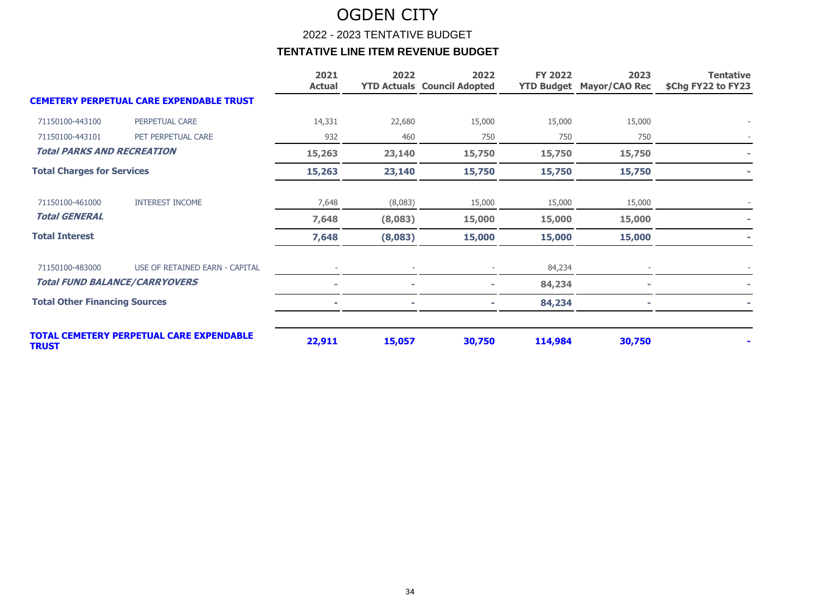2022 - 2023 TENTATIVE BUDGET

|                                      |                                                 | 2021<br><b>Actual</b> | 2022    | 2022<br><b>YTD Actuals Council Adopted</b> | <b>FY 2022</b> | 2023<br><b>YTD Budget Mayor/CAO Rec</b> | <b>Tentative</b><br>\$Chg FY22 to FY23 |
|--------------------------------------|-------------------------------------------------|-----------------------|---------|--------------------------------------------|----------------|-----------------------------------------|----------------------------------------|
|                                      | <b>CEMETERY PERPETUAL CARE EXPENDABLE TRUST</b> |                       |         |                                            |                |                                         |                                        |
| 71150100-443100                      | PERPETUAL CARE                                  | 14,331                | 22,680  | 15,000                                     | 15,000         | 15,000                                  |                                        |
| 71150100-443101                      | PET PERPETUAL CARE                              | 932                   | 460     | 750                                        | 750            | 750                                     |                                        |
| <b>Total PARKS AND RECREATION</b>    |                                                 | 15,263                | 23,140  | 15,750                                     | 15,750         | 15,750                                  |                                        |
| <b>Total Charges for Services</b>    |                                                 | 15,263                | 23,140  | 15,750                                     | 15,750         | 15,750                                  |                                        |
| 71150100-461000                      | <b>INTEREST INCOME</b>                          | 7,648                 | (8,083) | 15,000                                     | 15,000         | 15,000                                  |                                        |
| <b>Total GENERAL</b>                 |                                                 | 7,648                 | (8,083) | 15,000                                     | 15,000         | 15,000                                  |                                        |
| <b>Total Interest</b>                |                                                 | 7,648                 | (8,083) | 15,000                                     | 15,000         | 15,000                                  |                                        |
| 71150100-483000                      | USE OF RETAINED EARN - CAPITAL                  |                       |         |                                            | 84,234         |                                         |                                        |
|                                      | <b>Total FUND BALANCE/CARRYOVERS</b>            |                       |         |                                            | 84,234         |                                         |                                        |
| <b>Total Other Financing Sources</b> |                                                 |                       |         |                                            | 84,234         |                                         |                                        |
| <b>TRUST</b>                         | <b>TOTAL CEMETERY PERPETUAL CARE EXPENDABLE</b> | 22,911                | 15,057  | 30,750                                     | 114,984        | 30,750                                  |                                        |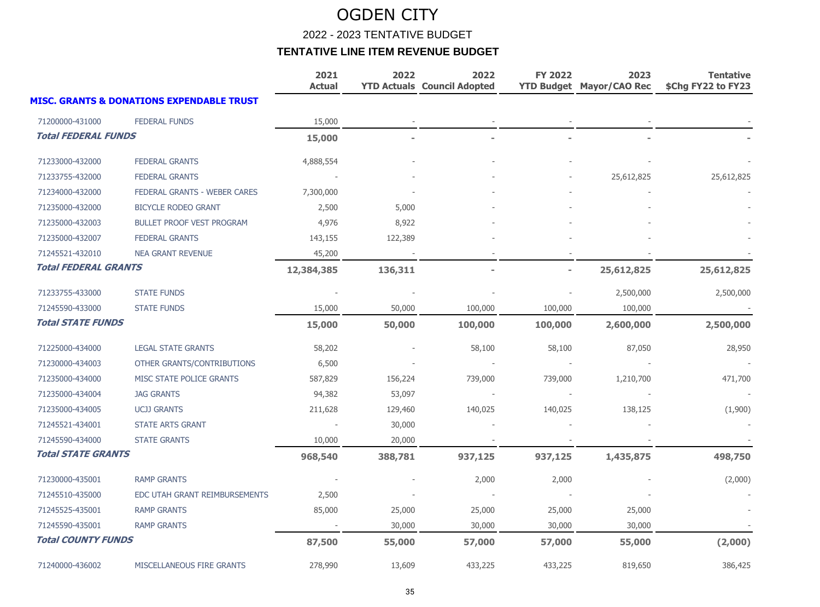2022 - 2023 TENTATIVE BUDGET

|                             |                                                      | 2021<br><b>Actual</b> | 2022    | 2022<br><b>YTD Actuals Council Adopted</b> | <b>FY 2022</b> | 2023<br><b>YTD Budget Mayor/CAO Rec</b> | <b>Tentative</b><br>\$Chg FY22 to FY23 |
|-----------------------------|------------------------------------------------------|-----------------------|---------|--------------------------------------------|----------------|-----------------------------------------|----------------------------------------|
|                             | <b>MISC. GRANTS &amp; DONATIONS EXPENDABLE TRUST</b> |                       |         |                                            |                |                                         |                                        |
| 71200000-431000             | <b>FEDERAL FUNDS</b>                                 | 15,000                |         |                                            |                |                                         |                                        |
| <b>Total FEDERAL FUNDS</b>  |                                                      | 15,000                |         |                                            |                |                                         |                                        |
| 71233000-432000             | <b>FEDERAL GRANTS</b>                                | 4,888,554             |         |                                            |                |                                         |                                        |
| 71233755-432000             | <b>FEDERAL GRANTS</b>                                |                       |         |                                            |                | 25,612,825                              | 25,612,825                             |
| 71234000-432000             | FEDERAL GRANTS - WEBER CARES                         | 7,300,000             |         |                                            |                |                                         |                                        |
| 71235000-432000             | <b>BICYCLE RODEO GRANT</b>                           | 2,500                 | 5,000   |                                            |                |                                         |                                        |
| 71235000-432003             | <b>BULLET PROOF VEST PROGRAM</b>                     | 4,976                 | 8,922   |                                            |                |                                         |                                        |
| 71235000-432007             | <b>FEDERAL GRANTS</b>                                | 143,155               | 122,389 |                                            |                |                                         |                                        |
| 71245521-432010             | <b>NEA GRANT REVENUE</b>                             | 45,200                |         |                                            |                |                                         |                                        |
| <b>Total FEDERAL GRANTS</b> |                                                      | 12,384,385            | 136,311 |                                            |                | 25,612,825                              | 25,612,825                             |
| 71233755-433000             | <b>STATE FUNDS</b>                                   |                       |         |                                            |                | 2,500,000                               | 2,500,000                              |
| 71245590-433000             | <b>STATE FUNDS</b>                                   | 15,000                | 50,000  | 100,000                                    | 100,000        | 100,000                                 |                                        |
| <b>Total STATE FUNDS</b>    |                                                      | 15,000                | 50,000  | 100,000                                    | 100,000        | 2,600,000                               | 2,500,000                              |
| 71225000-434000             | <b>LEGAL STATE GRANTS</b>                            | 58,202                |         | 58,100                                     | 58,100         | 87,050                                  | 28,950                                 |
| 71230000-434003             | OTHER GRANTS/CONTRIBUTIONS                           | 6,500                 |         |                                            |                |                                         |                                        |
| 71235000-434000             | MISC STATE POLICE GRANTS                             | 587,829               | 156,224 | 739,000                                    | 739,000        | 1,210,700                               | 471,700                                |
| 71235000-434004             | <b>JAG GRANTS</b>                                    | 94,382                | 53,097  |                                            |                |                                         |                                        |
| 71235000-434005             | <b>UCJJ GRANTS</b>                                   | 211,628               | 129,460 | 140,025                                    | 140,025        | 138,125                                 | (1,900)                                |
| 71245521-434001             | <b>STATE ARTS GRANT</b>                              |                       | 30,000  |                                            |                |                                         |                                        |
| 71245590-434000             | <b>STATE GRANTS</b>                                  | 10,000                | 20,000  |                                            |                |                                         |                                        |
| <b>Total STATE GRANTS</b>   |                                                      | 968,540               | 388,781 | 937,125                                    | 937,125        | 1,435,875                               | 498,750                                |
| 71230000-435001             | <b>RAMP GRANTS</b>                                   |                       |         | 2,000                                      | 2,000          |                                         | (2,000)                                |
| 71245510-435000             | EDC UTAH GRANT REIMBURSEMENTS                        | 2,500                 |         |                                            |                |                                         |                                        |
| 71245525-435001             | <b>RAMP GRANTS</b>                                   | 85,000                | 25,000  | 25,000                                     | 25,000         | 25,000                                  |                                        |
| 71245590-435001             | <b>RAMP GRANTS</b>                                   |                       | 30,000  | 30,000                                     | 30,000         | 30,000                                  |                                        |
| <b>Total COUNTY FUNDS</b>   |                                                      | 87,500                | 55,000  | 57,000                                     | 57,000         | 55,000                                  | (2,000)                                |
| 71240000-436002             | MISCELLANEOUS FIRE GRANTS                            | 278,990               | 13,609  | 433,225                                    | 433,225        | 819,650                                 | 386,425                                |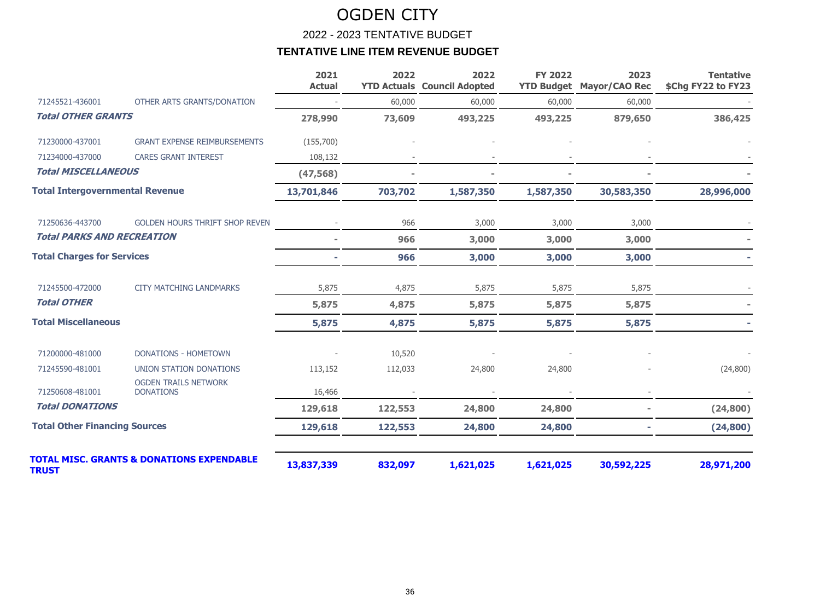2022 - 2023 TENTATIVE BUDGET

|                                        |                                                      | 2021<br><b>Actual</b> | 2022    | 2022<br><b>YTD Actuals Council Adopted</b> | <b>FY 2022</b> | 2023<br><b>YTD Budget Mayor/CAO Rec</b> | <b>Tentative</b><br>\$Chg FY22 to FY23 |
|----------------------------------------|------------------------------------------------------|-----------------------|---------|--------------------------------------------|----------------|-----------------------------------------|----------------------------------------|
| 71245521-436001                        | OTHER ARTS GRANTS/DONATION                           |                       | 60,000  | 60,000                                     | 60,000         | 60,000                                  |                                        |
| <b>Total OTHER GRANTS</b>              |                                                      | 278,990               | 73,609  | 493,225                                    | 493,225        | 879,650                                 | 386,425                                |
| 71230000-437001                        | <b>GRANT EXPENSE REIMBURSEMENTS</b>                  | (155,700)             |         |                                            |                |                                         |                                        |
| 71234000-437000                        | <b>CARES GRANT INTEREST</b>                          | 108,132               |         |                                            |                |                                         |                                        |
| <b>Total MISCELLANEOUS</b>             |                                                      | (47, 568)             |         |                                            |                |                                         |                                        |
| <b>Total Intergovernmental Revenue</b> |                                                      | 13,701,846            | 703,702 | 1,587,350                                  | 1,587,350      | 30,583,350                              | 28,996,000                             |
| 71250636-443700                        | <b>GOLDEN HOURS THRIFT SHOP REVEN</b>                |                       | 966     | 3,000                                      | 3,000          | 3,000                                   |                                        |
| <b>Total PARKS AND RECREATION</b>      |                                                      |                       | 966     | 3,000                                      | 3,000          | 3,000                                   |                                        |
| <b>Total Charges for Services</b>      |                                                      |                       | 966     | 3,000                                      | 3,000          | 3,000                                   |                                        |
| 71245500-472000                        | <b>CITY MATCHING LANDMARKS</b>                       | 5,875                 | 4,875   | 5,875                                      | 5,875          | 5,875                                   |                                        |
| <b>Total OTHER</b>                     |                                                      | 5,875                 | 4,875   | 5,875                                      | 5,875          | 5,875                                   |                                        |
| <b>Total Miscellaneous</b>             |                                                      | 5,875                 | 4,875   | 5,875                                      | 5,875          | 5,875                                   |                                        |
| 71200000-481000                        | <b>DONATIONS - HOMETOWN</b>                          |                       | 10,520  |                                            |                |                                         |                                        |
| 71245590-481001                        | UNION STATION DONATIONS                              | 113,152               | 112,033 | 24,800                                     | 24,800         |                                         | (24, 800)                              |
| 71250608-481001                        | <b>OGDEN TRAILS NETWORK</b><br><b>DONATIONS</b>      | 16,466                |         |                                            |                |                                         |                                        |
| <b>Total DONATIONS</b>                 |                                                      | 129,618               | 122,553 | 24,800                                     | 24,800         |                                         | (24, 800)                              |
| <b>Total Other Financing Sources</b>   |                                                      | 129,618               | 122,553 | 24,800                                     | 24,800         |                                         | (24, 800)                              |
| <b>TRUST</b>                           | <b>TOTAL MISC. GRANTS &amp; DONATIONS EXPENDABLE</b> | 13,837,339            | 832,097 | 1,621,025                                  | 1,621,025      | 30,592,225                              | 28,971,200                             |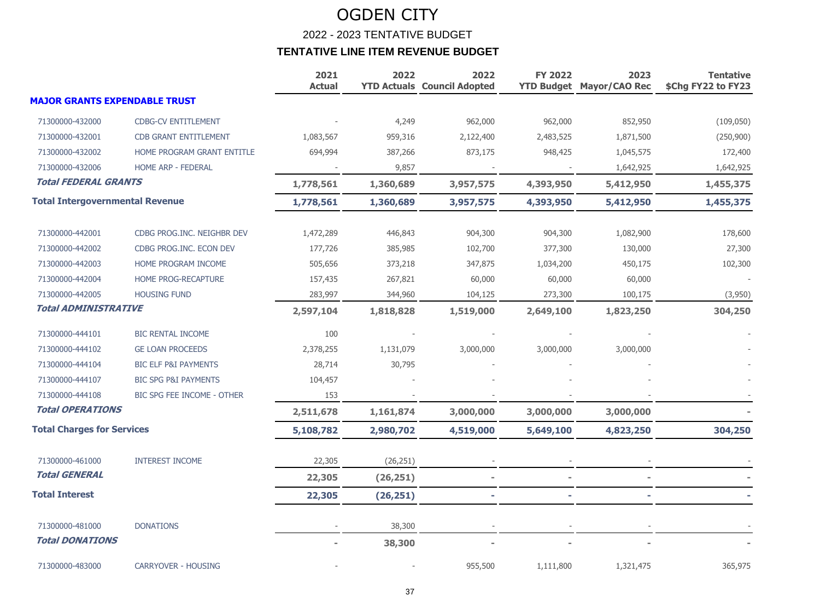|                                        |                                 | 2021<br><b>Actual</b> | 2022      | 2022<br><b>YTD Actuals Council Adopted</b> | <b>FY 2022</b> | 2023<br><b>YTD Budget Mayor/CAO Rec</b> | <b>Tentative</b><br>\$Chg FY22 to FY23 |
|----------------------------------------|---------------------------------|-----------------------|-----------|--------------------------------------------|----------------|-----------------------------------------|----------------------------------------|
| <b>MAJOR GRANTS EXPENDABLE TRUST</b>   |                                 |                       |           |                                            |                |                                         |                                        |
| 71300000-432000                        | <b>CDBG-CV ENTITLEMENT</b>      |                       | 4,249     | 962,000                                    | 962,000        | 852,950                                 | (109, 050)                             |
| 71300000-432001                        | <b>CDB GRANT ENTITLEMENT</b>    | 1,083,567             | 959,316   | 2,122,400                                  | 2,483,525      | 1,871,500                               | (250,900)                              |
| 71300000-432002                        | HOME PROGRAM GRANT ENTITLE      | 694,994               | 387,266   | 873,175                                    | 948,425        | 1,045,575                               | 172,400                                |
| 71300000-432006                        | HOME ARP - FEDERAL              |                       | 9,857     |                                            |                | 1,642,925                               | 1,642,925                              |
| <b>Total FEDERAL GRANTS</b>            |                                 | 1,778,561             | 1,360,689 | 3,957,575                                  | 4,393,950      | 5,412,950                               | 1,455,375                              |
| <b>Total Intergovernmental Revenue</b> |                                 | 1,778,561             | 1,360,689 | 3,957,575                                  | 4,393,950      | 5,412,950                               | 1,455,375                              |
| 71300000-442001                        | CDBG PROG.INC. NEIGHBR DEV      | 1,472,289             | 446,843   | 904,300                                    | 904,300        | 1,082,900                               | 178,600                                |
| 71300000-442002                        | CDBG PROG.INC. ECON DEV         | 177,726               | 385,985   | 102,700                                    | 377,300        | 130,000                                 | 27,300                                 |
| 71300000-442003                        | HOME PROGRAM INCOME             | 505,656               | 373,218   | 347,875                                    | 1,034,200      | 450,175                                 | 102,300                                |
| 71300000-442004                        | HOME PROG-RECAPTURE             | 157,435               | 267,821   | 60,000                                     | 60,000         | 60,000                                  |                                        |
| 71300000-442005                        | <b>HOUSING FUND</b>             | 283,997               | 344,960   | 104,125                                    | 273,300        | 100,175                                 | (3,950)                                |
| <b>Total ADMINISTRATIVE</b>            |                                 | 2,597,104             | 1,818,828 | 1,519,000                                  | 2,649,100      | 1,823,250                               | 304,250                                |
| 71300000-444101                        | <b>BIC RENTAL INCOME</b>        | 100                   |           |                                            |                |                                         |                                        |
| 71300000-444102                        | <b>GE LOAN PROCEEDS</b>         | 2,378,255             | 1,131,079 | 3,000,000                                  | 3,000,000      | 3,000,000                               |                                        |
| 71300000-444104                        | <b>BIC ELF P&amp;I PAYMENTS</b> | 28,714                | 30,795    |                                            |                |                                         |                                        |
| 71300000-444107                        | <b>BIC SPG P&amp;I PAYMENTS</b> | 104,457               |           |                                            |                |                                         |                                        |
| 71300000-444108                        | BIC SPG FEE INCOME - OTHER      | 153                   |           |                                            |                |                                         |                                        |
| <b>Total OPERATIONS</b>                |                                 | 2,511,678             | 1,161,874 | 3,000,000                                  | 3,000,000      | 3,000,000                               |                                        |
| <b>Total Charges for Services</b>      |                                 | 5,108,782             | 2,980,702 | 4,519,000                                  | 5,649,100      | 4,823,250                               | 304,250                                |
| 71300000-461000                        | <b>INTEREST INCOME</b>          | 22,305                | (26, 251) |                                            |                |                                         |                                        |
| <b>Total GENERAL</b>                   |                                 | 22,305                | (26, 251) |                                            |                |                                         |                                        |
| <b>Total Interest</b>                  |                                 | 22,305                | (26, 251) |                                            |                |                                         |                                        |
| 71300000-481000                        | <b>DONATIONS</b>                |                       | 38,300    |                                            |                |                                         |                                        |
| <b>Total DONATIONS</b>                 |                                 |                       | 38,300    |                                            |                |                                         |                                        |
| 71300000-483000                        | <b>CARRYOVER - HOUSING</b>      |                       |           | 955,500                                    | 1,111,800      | 1,321,475                               | 365,975                                |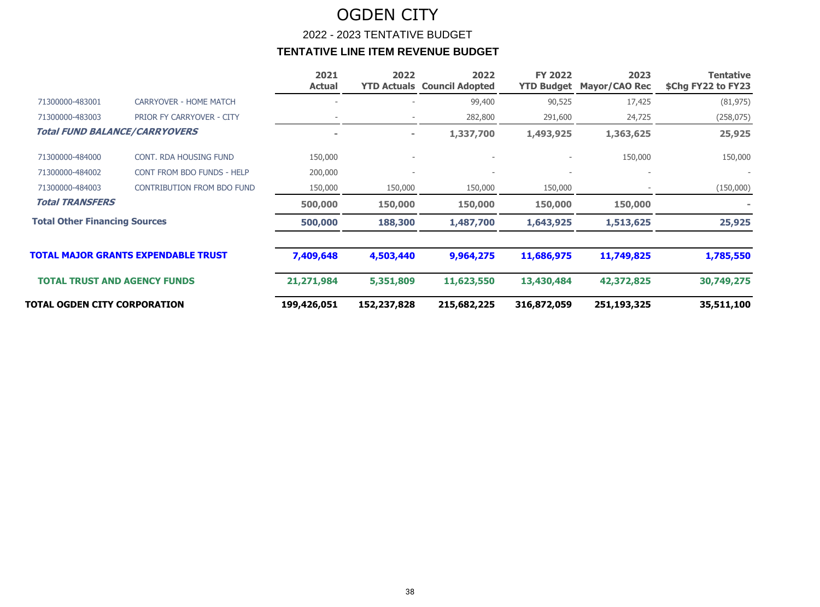### OGDEN CITY 2022 - 2023 TENTATIVE BUDGET **TENTATIVE LINE ITEM REVENUE BUDGET**

|                                      |                                            | 2021<br><b>Actual</b> | 2022<br><b>YTD Actuals</b> | 2022<br><b>Council Adopted</b> | <b>FY 2022</b><br><b>YTD Budget</b> | 2023<br>Mayor/CAO Rec | Tentative<br>\$Chg FY22 to FY23 |
|--------------------------------------|--------------------------------------------|-----------------------|----------------------------|--------------------------------|-------------------------------------|-----------------------|---------------------------------|
| 71300000-483001                      | <b>CARRYOVER - HOME MATCH</b>              |                       |                            | 99,400                         | 90,525                              | 17,425                | (81, 975)                       |
| 71300000-483003                      | PRIOR FY CARRYOVER - CITY                  |                       |                            | 282,800                        | 291,600                             | 24,725                | (258, 075)                      |
|                                      | <b>Total FUND BALANCE/CARRYOVERS</b>       |                       | $\equiv$                   | 1,337,700                      | 1,493,925                           | 1,363,625             | 25,925                          |
| 71300000-484000                      | <b>CONT. RDA HOUSING FUND</b>              | 150,000               |                            | $\overline{\phantom{a}}$       |                                     | 150,000               | 150,000                         |
| 71300000-484002                      | CONT FROM BDO FUNDS - HELP                 | 200,000               |                            |                                |                                     |                       |                                 |
| 71300000-484003                      | <b>CONTRIBUTION FROM BDO FUND</b>          | 150,000               | 150,000                    | 150,000                        | 150,000                             |                       | (150,000)                       |
| <b>Total TRANSFERS</b>               |                                            | 500,000               | 150,000                    | 150,000                        | 150,000                             | 150,000               |                                 |
| <b>Total Other Financing Sources</b> |                                            | 500,000               | 188,300                    | 1,487,700                      | 1,643,925                           | 1,513,625             | 25,925                          |
|                                      | <b>TOTAL MAJOR GRANTS EXPENDABLE TRUST</b> | 7,409,648             | 4,503,440                  | 9,964,275                      | 11,686,975                          | 11,749,825            | 1,785,550                       |
| <b>TOTAL TRUST AND AGENCY FUNDS</b>  |                                            | 21,271,984            | 5,351,809                  | 11,623,550                     | 13,430,484                          | 42,372,825            | 30,749,275                      |
| TOTAL OGDEN CITY CORPORATION         |                                            | 199,426,051           | 152,237,828                | 215,682,225                    | 316,872,059                         | 251,193,325           | 35,511,100                      |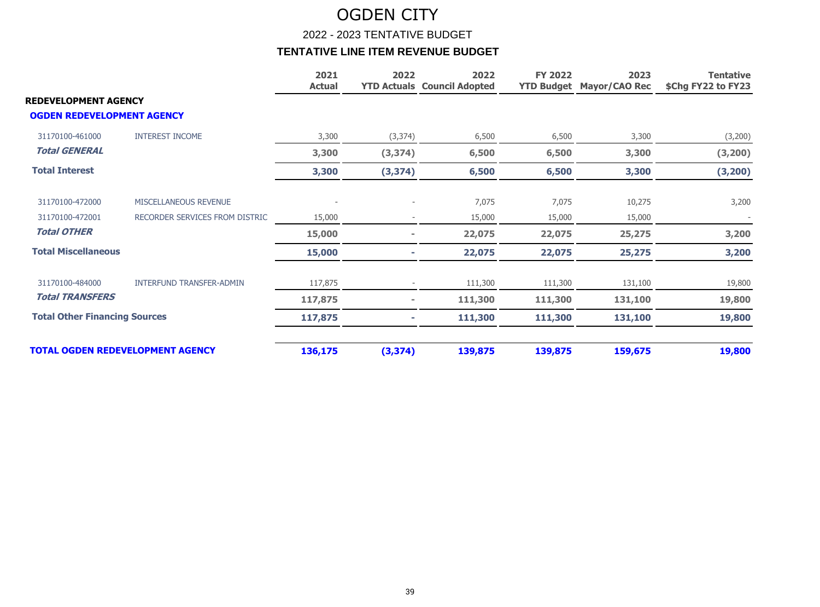#### 2022 - 2023 TENTATIVE BUDGET

|                                                                  |                                 | 2021<br><b>Actual</b> | 2022           | 2022<br><b>YTD Actuals Council Adopted</b> | <b>FY 2022</b><br><b>YTD Budget</b> | 2023<br><b>Mayor/CAO Rec</b> | <b>Tentative</b><br>\$Chg FY22 to FY23 |
|------------------------------------------------------------------|---------------------------------|-----------------------|----------------|--------------------------------------------|-------------------------------------|------------------------------|----------------------------------------|
| <b>REDEVELOPMENT AGENCY</b><br><b>OGDEN REDEVELOPMENT AGENCY</b> |                                 |                       |                |                                            |                                     |                              |                                        |
| 31170100-461000                                                  | <b>INTEREST INCOME</b>          | 3,300                 | (3, 374)       | 6,500                                      | 6,500                               | 3,300                        | (3,200)                                |
| <b>Total GENERAL</b>                                             |                                 | 3,300                 | (3, 374)       | 6,500                                      | 6,500                               | 3,300                        | (3, 200)                               |
| <b>Total Interest</b>                                            |                                 | 3,300                 | (3, 374)       | 6,500                                      | 6,500                               | 3,300                        | (3, 200)                               |
| 31170100-472000                                                  | MISCELLANEOUS REVENUE           |                       |                | 7,075                                      | 7,075                               | 10,275                       | 3,200                                  |
| 31170100-472001                                                  | RECORDER SERVICES FROM DISTRIC  | 15,000                |                | 15,000                                     | 15,000                              | 15,000                       |                                        |
| <b>Total OTHER</b>                                               |                                 | 15,000                |                | 22,075                                     | 22,075                              | 25,275                       | 3,200                                  |
| <b>Total Miscellaneous</b>                                       |                                 | 15,000                |                | 22,075                                     | 22,075                              | 25,275                       | 3,200                                  |
| 31170100-484000                                                  | <b>INTERFUND TRANSFER-ADMIN</b> | 117,875               |                | 111,300                                    | 111,300                             | 131,100                      | 19,800                                 |
| <b>Total TRANSFERS</b>                                           |                                 | 117,875               | $\blacksquare$ | 111,300                                    | 111,300                             | 131,100                      | 19,800                                 |
| <b>Total Other Financing Sources</b>                             |                                 | 117,875               |                | 111,300                                    | 111,300                             | 131,100                      | 19,800                                 |
| <b>TOTAL OGDEN REDEVELOPMENT AGENCY</b>                          |                                 | 136,175               | (3, 374)       | 139,875                                    | 139,875                             | 159,675                      | 19,800                                 |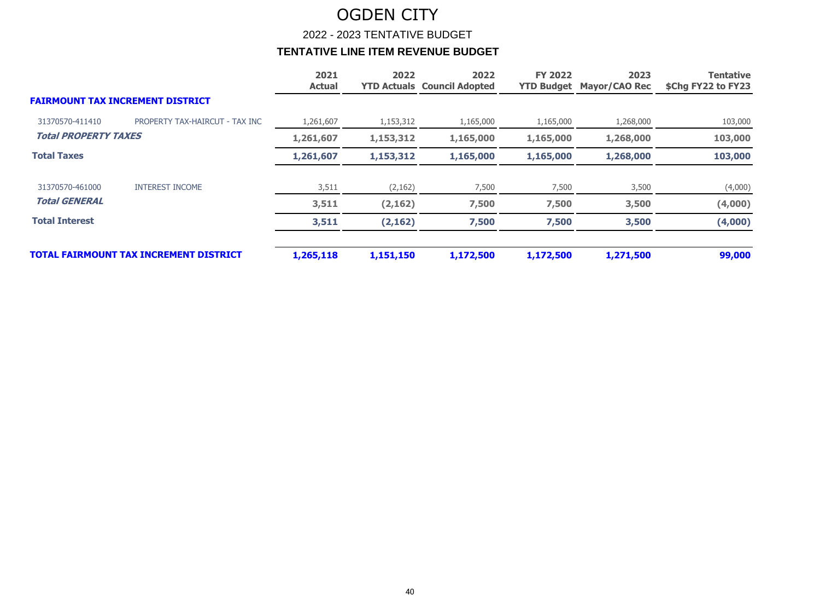2022 - 2023 TENTATIVE BUDGET

|                                         |                                               | 2021<br><b>Actual</b> | 2022      | 2022<br><b>YTD Actuals Council Adopted</b> | <b>FY 2022</b><br><b>YTD Budget</b> | 2023<br><b>Mayor/CAO Rec</b> | <b>Tentative</b><br>\$Chg FY22 to FY23 |
|-----------------------------------------|-----------------------------------------------|-----------------------|-----------|--------------------------------------------|-------------------------------------|------------------------------|----------------------------------------|
| <b>FAIRMOUNT TAX INCREMENT DISTRICT</b> |                                               |                       |           |                                            |                                     |                              |                                        |
| 31370570-411410                         | PROPERTY TAX-HAIRCUT - TAX INC                | 1,261,607             | 1,153,312 | 1,165,000                                  | 1,165,000                           | 1,268,000                    | 103,000                                |
| <b>Total PROPERTY TAXES</b>             |                                               | 1,261,607             | 1,153,312 | 1,165,000                                  | 1,165,000                           | 1,268,000                    | 103,000                                |
| <b>Total Taxes</b>                      |                                               | 1,261,607             | 1,153,312 | 1,165,000                                  | 1,165,000                           | 1,268,000                    | 103,000                                |
| 31370570-461000                         | <b>INTEREST INCOME</b>                        | 3,511                 | (2,162)   | 7,500                                      | 7,500                               | 3,500                        | (4,000)                                |
| <b>Total GENERAL</b>                    |                                               | 3,511                 | (2, 162)  | 7,500                                      | 7,500                               | 3,500                        | (4,000)                                |
| <b>Total Interest</b>                   |                                               | 3,511                 | (2, 162)  | 7,500                                      | 7,500                               | 3,500                        | (4,000)                                |
|                                         | <b>TOTAL FAIRMOUNT TAX INCREMENT DISTRICT</b> | 1,265,118             | 1,151,150 | 1,172,500                                  | 1,172,500                           | 1,271,500                    | 99,000                                 |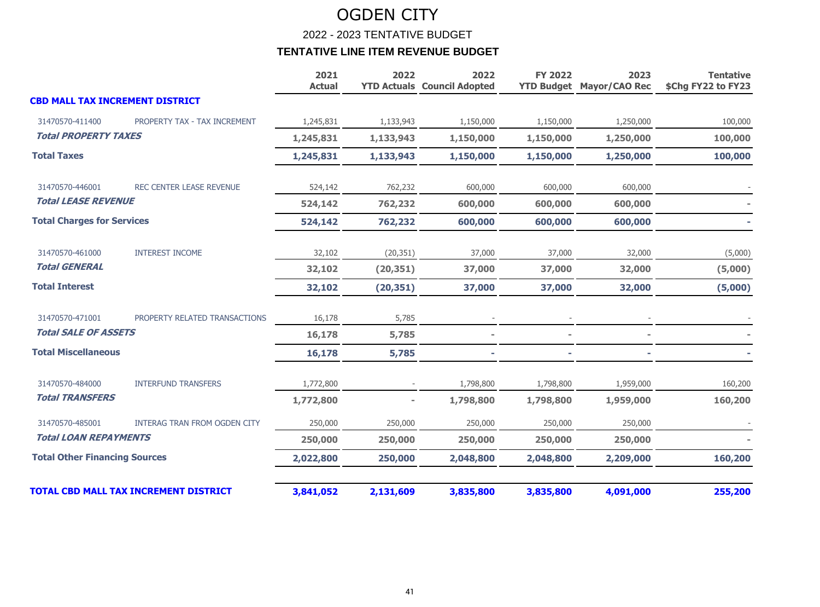2022 - 2023 TENTATIVE BUDGET

|                                        |                                              | 2021<br><b>Actual</b> | 2022      | 2022<br><b>YTD Actuals Council Adopted</b> | <b>FY 2022</b> | 2023<br><b>YTD Budget Mayor/CAO Rec</b> | <b>Tentative</b><br>\$Chg FY22 to FY23 |
|----------------------------------------|----------------------------------------------|-----------------------|-----------|--------------------------------------------|----------------|-----------------------------------------|----------------------------------------|
| <b>CBD MALL TAX INCREMENT DISTRICT</b> |                                              |                       |           |                                            |                |                                         |                                        |
| 31470570-411400                        | PROPERTY TAX - TAX INCREMENT                 | 1,245,831             | 1,133,943 | 1,150,000                                  | 1,150,000      | 1,250,000                               | 100,000                                |
| <b>Total PROPERTY TAXES</b>            |                                              | 1,245,831             | 1,133,943 | 1,150,000                                  | 1,150,000      | 1,250,000                               | 100,000                                |
| <b>Total Taxes</b>                     |                                              | 1,245,831             | 1,133,943 | 1,150,000                                  | 1,150,000      | 1,250,000                               | 100,000                                |
| 31470570-446001                        | <b>REC CENTER LEASE REVENUE</b>              | 524,142               | 762,232   | 600,000                                    | 600,000        | 600,000                                 |                                        |
| <b>Total LEASE REVENUE</b>             |                                              | 524,142               | 762,232   | 600,000                                    | 600,000        | 600,000                                 |                                        |
| <b>Total Charges for Services</b>      |                                              | 524,142               | 762,232   | 600,000                                    | 600,000        | 600,000                                 |                                        |
| 31470570-461000                        | <b>INTEREST INCOME</b>                       | 32,102                | (20, 351) | 37,000                                     | 37,000         | 32,000                                  | (5,000)                                |
| <b>Total GENERAL</b>                   |                                              | 32,102                | (20, 351) | 37,000                                     | 37,000         | 32,000                                  | (5,000)                                |
| <b>Total Interest</b>                  |                                              | 32,102                | (20, 351) | 37,000                                     | 37,000         | 32,000                                  | (5,000)                                |
| 31470570-471001                        | PROPERTY RELATED TRANSACTIONS                | 16,178                | 5,785     |                                            |                |                                         |                                        |
| <b>Total SALE OF ASSETS</b>            |                                              | 16,178                | 5,785     |                                            |                |                                         |                                        |
| <b>Total Miscellaneous</b>             |                                              | 16,178                | 5,785     |                                            |                |                                         |                                        |
| 31470570-484000                        | <b>INTERFUND TRANSFERS</b>                   | 1,772,800             |           | 1,798,800                                  | 1,798,800      | 1,959,000                               | 160,200                                |
| <b>Total TRANSFERS</b>                 |                                              | 1,772,800             |           | 1,798,800                                  | 1,798,800      | 1,959,000                               | 160,200                                |
| 31470570-485001                        | INTERAG TRAN FROM OGDEN CITY                 | 250,000               | 250,000   | 250,000                                    | 250,000        | 250,000                                 |                                        |
| <b>Total LOAN REPAYMENTS</b>           |                                              | 250,000               | 250,000   | 250,000                                    | 250,000        | 250,000                                 |                                        |
| <b>Total Other Financing Sources</b>   |                                              | 2,022,800             | 250,000   | 2,048,800                                  | 2,048,800      | 2,209,000                               | 160,200                                |
|                                        | <b>TOTAL CBD MALL TAX INCREMENT DISTRICT</b> | 3,841,052             | 2,131,609 | 3,835,800                                  | 3,835,800      | 4,091,000                               | 255,200                                |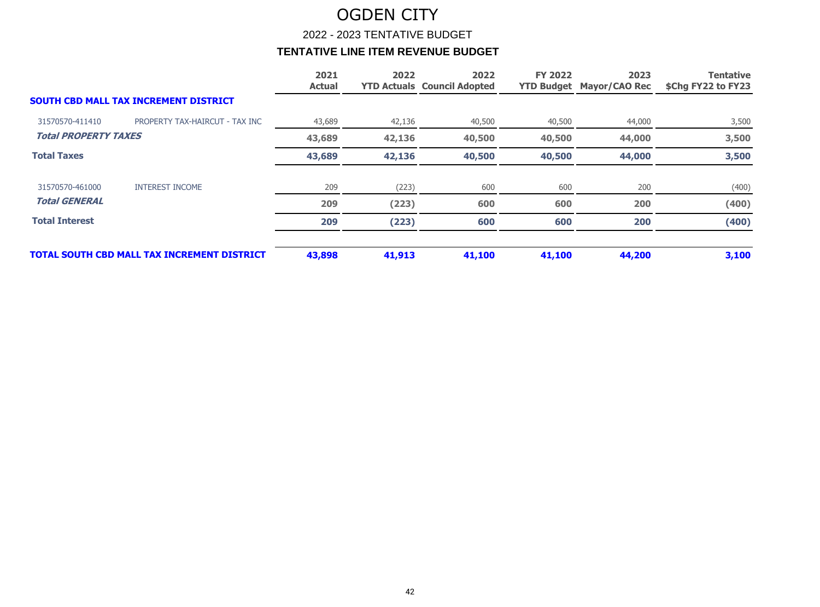2022 - 2023 TENTATIVE BUDGET

|                             |                                                    | 2021<br><b>Actual</b> | 2022   | 2022<br><b>YTD Actuals Council Adopted</b> | <b>FY 2022</b> | 2023<br><b>YTD Budget Mayor/CAO Rec</b> | <b>Tentative</b><br>\$Chg FY22 to FY23 |
|-----------------------------|----------------------------------------------------|-----------------------|--------|--------------------------------------------|----------------|-----------------------------------------|----------------------------------------|
|                             | <b>SOUTH CBD MALL TAX INCREMENT DISTRICT</b>       |                       |        |                                            |                |                                         |                                        |
| 31570570-411410             | PROPERTY TAX-HAIRCUT - TAX INC                     | 43,689                | 42,136 | 40,500                                     | 40,500         | 44,000                                  | 3,500                                  |
| <b>Total PROPERTY TAXES</b> |                                                    | 43,689                | 42,136 | 40,500                                     | 40,500         | 44,000                                  | 3,500                                  |
| <b>Total Taxes</b>          |                                                    | 43,689                | 42,136 | 40,500                                     | 40,500         | 44,000                                  | 3,500                                  |
| 31570570-461000             | <b>INTEREST INCOME</b>                             | 209                   | (223)  | 600                                        | 600            | 200                                     | (400)                                  |
| <b>Total GENERAL</b>        |                                                    | 209                   | (223)  | 600                                        | 600            | 200                                     | (400)                                  |
| <b>Total Interest</b>       |                                                    | 209                   | (223)  | 600                                        | 600            | 200                                     | (400)                                  |
|                             | <b>TOTAL SOUTH CBD MALL TAX INCREMENT DISTRICT</b> | 43,898                | 41,913 | 41,100                                     | 41,100         | 44,200                                  | 3,100                                  |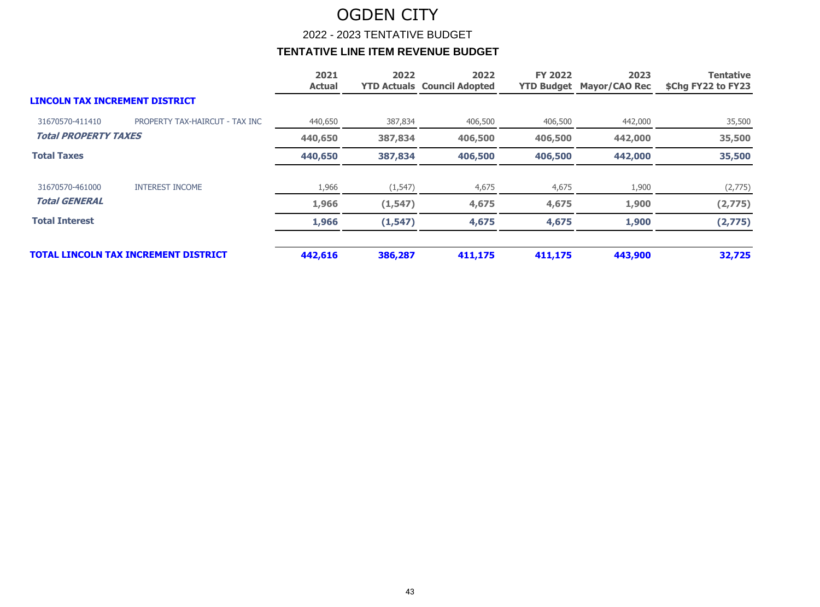2022 - 2023 TENTATIVE BUDGET

|                                       |                                             | 2021<br><b>Actual</b> | 2022     | 2022<br><b>YTD Actuals Council Adopted</b> | <b>FY 2022</b> | 2023<br><b>YTD Budget Mayor/CAO Rec</b> | <b>Tentative</b><br>\$Chg FY22 to FY23 |
|---------------------------------------|---------------------------------------------|-----------------------|----------|--------------------------------------------|----------------|-----------------------------------------|----------------------------------------|
| <b>LINCOLN TAX INCREMENT DISTRICT</b> |                                             |                       |          |                                            |                |                                         |                                        |
| 31670570-411410                       | PROPERTY TAX-HAIRCUT - TAX INC              | 440,650               | 387,834  | 406,500                                    | 406,500        | 442,000                                 | 35,500                                 |
| <b>Total PROPERTY TAXES</b>           |                                             | 440,650               | 387,834  | 406,500                                    | 406,500        | 442,000                                 | 35,500                                 |
| <b>Total Taxes</b>                    |                                             | 440,650               | 387,834  | 406,500                                    | 406,500        | 442,000                                 | 35,500                                 |
| 31670570-461000                       | <b>INTEREST INCOME</b>                      | 1,966                 | (1, 547) | 4,675                                      | 4,675          | 1,900                                   | (2,775)                                |
| <b>Total GENERAL</b>                  |                                             | 1,966                 | (1, 547) | 4,675                                      | 4,675          | 1,900                                   | (2,775)                                |
| <b>Total Interest</b>                 |                                             | 1,966                 | (1, 547) | 4,675                                      | 4,675          | 1,900                                   | (2,775)                                |
|                                       | <b>TOTAL LINCOLN TAX INCREMENT DISTRICT</b> | 442,616               | 386,287  | 411,175                                    | 411,175        | 443,900                                 | 32,725                                 |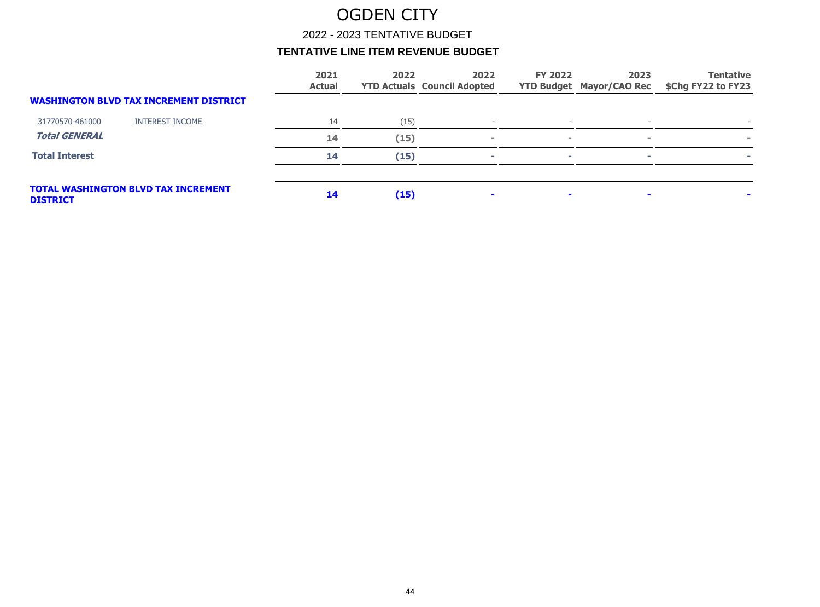2022 - 2023 TENTATIVE BUDGET

|                       |                                               | 2021<br><b>Actual</b> | 2022 | 2022<br><b>YTD Actuals Council Adopted</b> | <b>FY 2022</b> | 2023<br><b>YTD Budget Mayor/CAO Rec</b> | <b>Tentative</b><br>\$Chg FY22 to FY23 |
|-----------------------|-----------------------------------------------|-----------------------|------|--------------------------------------------|----------------|-----------------------------------------|----------------------------------------|
|                       | <b>WASHINGTON BLVD TAX INCREMENT DISTRICT</b> |                       |      |                                            |                |                                         |                                        |
| 31770570-461000       | <b>INTEREST INCOME</b>                        | 14                    | (15) |                                            |                | $\overline{\phantom{a}}$                |                                        |
| <b>Total GENERAL</b>  |                                               | 14                    | (15) |                                            | $\sim$         | $\sim$                                  |                                        |
| <b>Total Interest</b> |                                               | 14                    | (15) | ÷                                          | <b>COL</b>     | ×.                                      |                                        |
| <b>DISTRICT</b>       | <b>TOTAL WASHINGTON BLVD TAX INCREMENT</b>    | 14                    | (15) |                                            | $\blacksquare$ |                                         |                                        |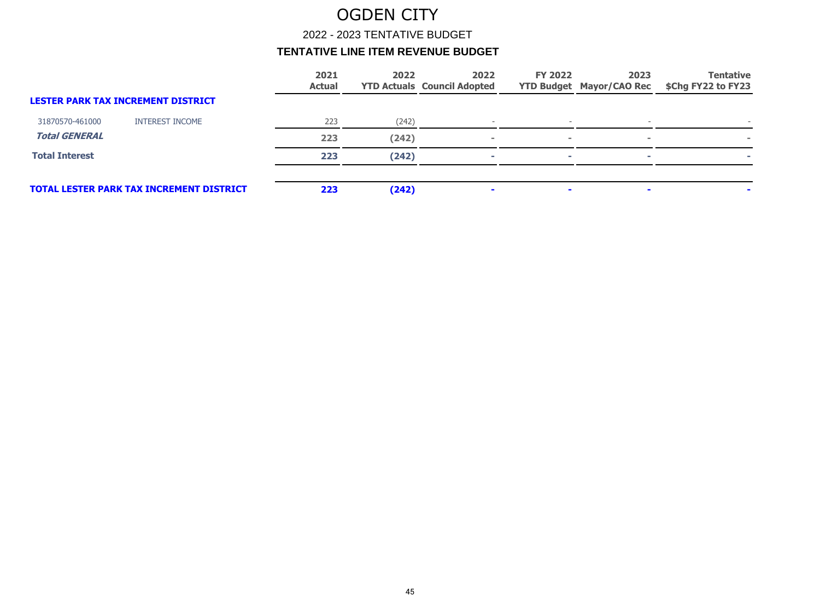2022 - 2023 TENTATIVE BUDGET

|                                                 | 2021<br><b>Actual</b> | 2022  | 2022 | <b>FY 2022</b>                     | 2023 | <b>Tentative</b><br>\$Chg FY22 to FY23 |
|-------------------------------------------------|-----------------------|-------|------|------------------------------------|------|----------------------------------------|
| <b>LESTER PARK TAX INCREMENT DISTRICT</b>       |                       |       |      |                                    |      |                                        |
| <b>INTEREST INCOME</b>                          | 223                   | (242) |      |                                    |      |                                        |
|                                                 | 223                   | (242) |      | $\sim$                             |      |                                        |
|                                                 | 223                   | (242) |      | <b>COL</b>                         |      |                                        |
| <b>TOTAL LESTER PARK TAX INCREMENT DISTRICT</b> | 223                   | (242) |      | $\mathbf{r}$                       |      |                                        |
|                                                 |                       |       |      | <b>YTD Actuals Council Adopted</b> |      | <b>YTD Budget Mayor/CAO Rec</b>        |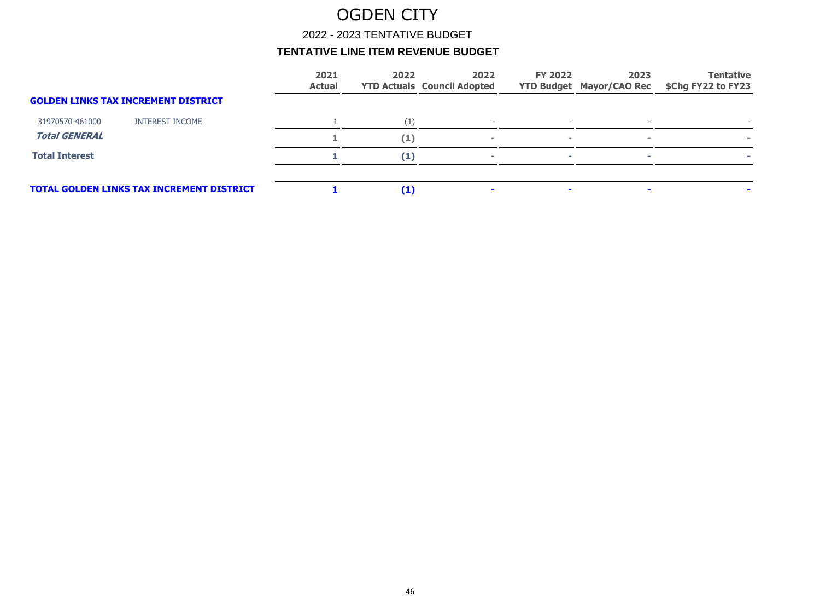2022 - 2023 TENTATIVE BUDGET

|                       |                                                  | 2021<br><b>Actual</b> | 2022     | 2022<br><b>YTD Actuals Council Adopted</b> | <b>FY 2022</b> | 2023<br><b>YTD Budget Mayor/CAO Rec</b> | <b>Tentative</b><br>\$Chg FY22 to FY23 |
|-----------------------|--------------------------------------------------|-----------------------|----------|--------------------------------------------|----------------|-----------------------------------------|----------------------------------------|
|                       | <b>GOLDEN LINKS TAX INCREMENT DISTRICT</b>       |                       |          |                                            |                |                                         |                                        |
| 31970570-461000       | <b>INTEREST INCOME</b>                           |                       |          |                                            |                |                                         |                                        |
| <b>Total GENERAL</b>  |                                                  |                       | (1)      |                                            | $\blacksquare$ |                                         |                                        |
| <b>Total Interest</b> |                                                  |                       | $\bf(1)$ |                                            | <b>COL</b>     |                                         |                                        |
|                       | <b>TOTAL GOLDEN LINKS TAX INCREMENT DISTRICT</b> |                       | $\bf(1)$ |                                            |                |                                         |                                        |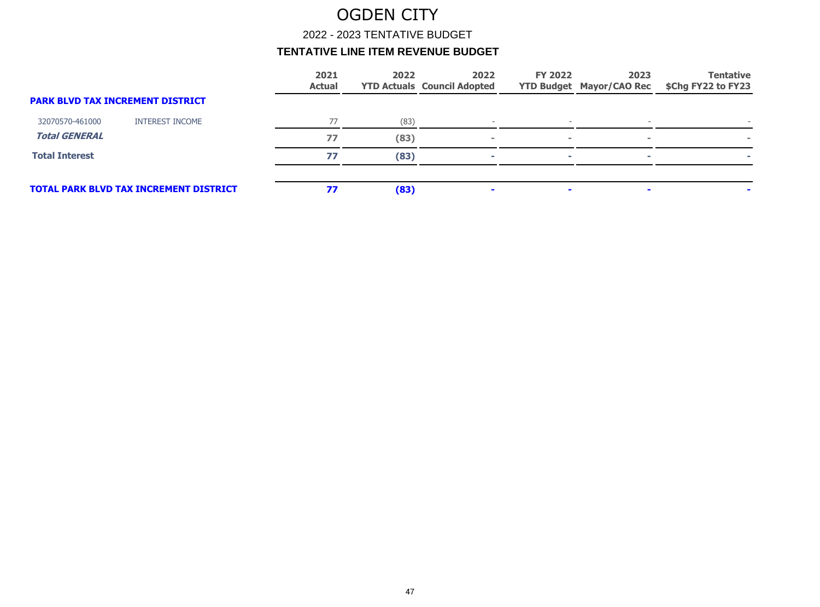2022 - 2023 TENTATIVE BUDGET

|                                         |                                               | 2021<br><b>Actual</b> | 2022 | 2022<br><b>YTD Actuals Council Adopted</b> | <b>FY 2022</b> | 2023<br><b>YTD Budget Mayor/CAO Rec</b> | <b>Tentative</b><br>\$Chg FY22 to FY23 |
|-----------------------------------------|-----------------------------------------------|-----------------------|------|--------------------------------------------|----------------|-----------------------------------------|----------------------------------------|
| <b>PARK BLVD TAX INCREMENT DISTRICT</b> |                                               |                       |      |                                            |                |                                         |                                        |
| 32070570-461000                         | <b>INTEREST INCOME</b>                        | 77                    | (83) |                                            |                |                                         |                                        |
| <b>Total GENERAL</b>                    |                                               | 77                    | (83) |                                            | $\sim$         |                                         |                                        |
| <b>Total Interest</b>                   |                                               | 77                    | (83) |                                            | <b>COL</b>     |                                         |                                        |
|                                         | <b>TOTAL PARK BLVD TAX INCREMENT DISTRICT</b> | 77                    | (83) |                                            | $\blacksquare$ |                                         |                                        |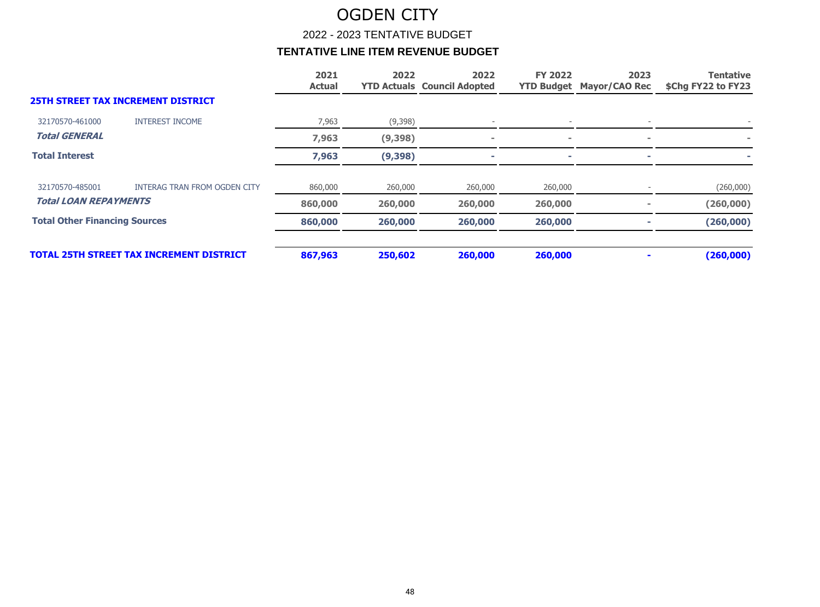2022 - 2023 TENTATIVE BUDGET

|                                      |                                                 | 2021<br><b>Actual</b> | 2022     | 2022<br><b>YTD Actuals Council Adopted</b> | <b>FY 2022</b> | 2023<br><b>YTD Budget Mayor/CAO Rec</b> | <b>Tentative</b><br>\$Chg FY22 to FY23 |
|--------------------------------------|-------------------------------------------------|-----------------------|----------|--------------------------------------------|----------------|-----------------------------------------|----------------------------------------|
|                                      | <b>25TH STREET TAX INCREMENT DISTRICT</b>       |                       |          |                                            |                |                                         |                                        |
| 32170570-461000                      | <b>INTEREST INCOME</b>                          | 7,963                 | (9,398)  |                                            |                |                                         |                                        |
| <b>Total GENERAL</b>                 |                                                 | 7,963                 | (9, 398) |                                            | $\sim$         |                                         |                                        |
| <b>Total Interest</b>                |                                                 | 7,963                 | (9, 398) |                                            |                |                                         |                                        |
| 32170570-485001                      | <b>INTERAG TRAN FROM OGDEN CITY</b>             | 860,000               | 260,000  | 260,000                                    | 260,000        |                                         | (260,000)                              |
| <b>Total LOAN REPAYMENTS</b>         |                                                 | 860,000               | 260,000  | 260,000                                    | 260,000        |                                         | (260,000)                              |
| <b>Total Other Financing Sources</b> |                                                 | 860,000               | 260,000  | 260,000                                    | 260,000        |                                         | (260, 000)                             |
|                                      | <b>TOTAL 25TH STREET TAX INCREMENT DISTRICT</b> | 867,963               | 250,602  | 260,000                                    | 260,000        |                                         | (260,000)                              |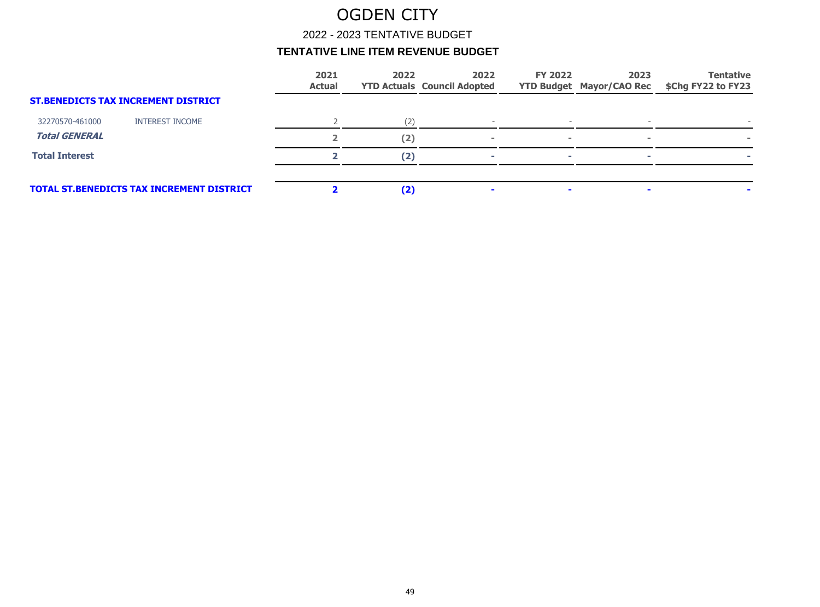2022 - 2023 TENTATIVE BUDGET

|                       |                                                  | 2021<br><b>Actual</b> | 2022 | 2022<br><b>YTD Actuals Council Adopted</b> | <b>FY 2022</b> | 2023<br><b>YTD Budget Mayor/CAO Rec</b> | <b>Tentative</b><br>\$Chg FY22 to FY23 |
|-----------------------|--------------------------------------------------|-----------------------|------|--------------------------------------------|----------------|-----------------------------------------|----------------------------------------|
|                       | <b>ST.BENEDICTS TAX INCREMENT DISTRICT</b>       |                       |      |                                            |                |                                         |                                        |
| 32270570-461000       | <b>INTEREST INCOME</b>                           |                       | (2)  |                                            |                |                                         |                                        |
| <b>Total GENERAL</b>  |                                                  |                       | (2)  |                                            | <b>COL</b>     |                                         |                                        |
| <b>Total Interest</b> |                                                  |                       | (2)  |                                            | <b>COL</b>     |                                         |                                        |
|                       | <b>TOTAL ST.BENEDICTS TAX INCREMENT DISTRICT</b> |                       | (2)  |                                            | $\blacksquare$ |                                         |                                        |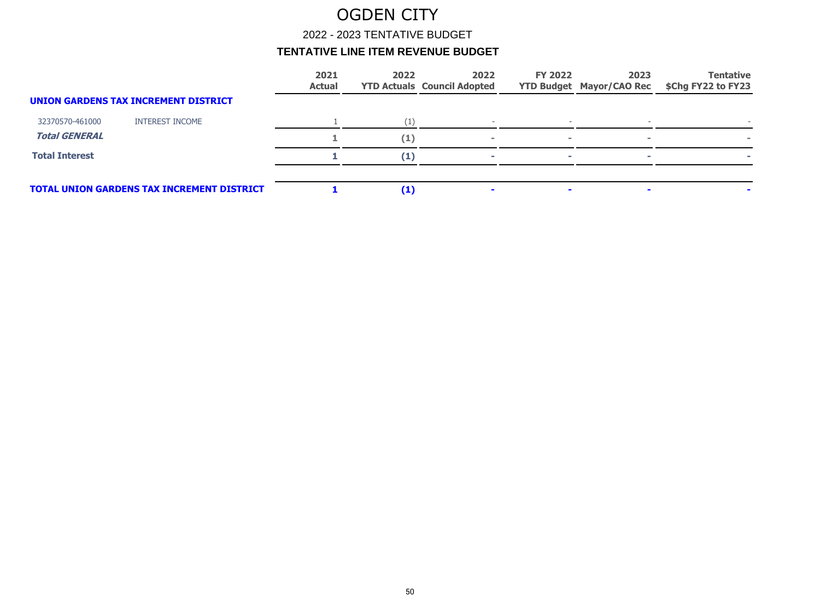2022 - 2023 TENTATIVE BUDGET

|                       |                                                   | 2021<br><b>Actual</b> | 2022     | 2022<br><b>YTD Actuals Council Adopted</b> | <b>FY 2022</b> | 2023<br><b>YTD Budget Mayor/CAO Rec</b> | <b>Tentative</b><br>\$Chg FY22 to FY23 |
|-----------------------|---------------------------------------------------|-----------------------|----------|--------------------------------------------|----------------|-----------------------------------------|----------------------------------------|
|                       | UNION GARDENS TAX INCREMENT DISTRICT              |                       |          |                                            |                |                                         |                                        |
| 32370570-461000       | <b>INTEREST INCOME</b>                            |                       |          |                                            |                |                                         |                                        |
| <b>Total GENERAL</b>  |                                                   |                       | (1)      |                                            | $\blacksquare$ |                                         |                                        |
| <b>Total Interest</b> |                                                   |                       | (1)      |                                            | <b>COL</b>     |                                         |                                        |
|                       | <b>TOTAL UNION GARDENS TAX INCREMENT DISTRICT</b> |                       | $\bf(1)$ |                                            | $\blacksquare$ |                                         |                                        |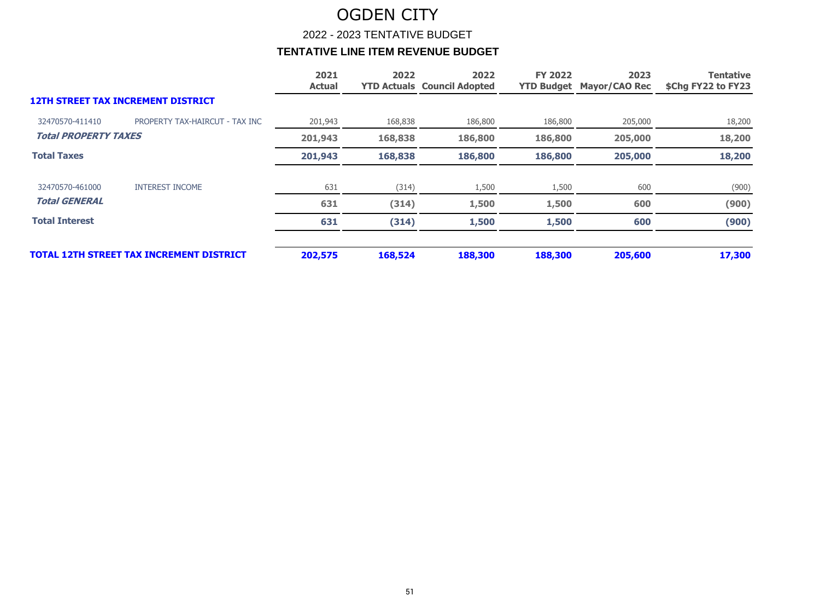2022 - 2023 TENTATIVE BUDGET

|                             |                                                 | 2021<br><b>Actual</b> | 2022    | 2022<br><b>YTD Actuals Council Adopted</b> | <b>FY 2022</b> | 2023<br><b>YTD Budget Mayor/CAO Rec</b> | <b>Tentative</b><br>\$Chg FY22 to FY23 |
|-----------------------------|-------------------------------------------------|-----------------------|---------|--------------------------------------------|----------------|-----------------------------------------|----------------------------------------|
|                             | <b>12TH STREET TAX INCREMENT DISTRICT</b>       |                       |         |                                            |                |                                         |                                        |
| 32470570-411410             | PROPERTY TAX-HAIRCUT - TAX INC                  | 201,943               | 168,838 | 186,800                                    | 186,800        | 205,000                                 | 18,200                                 |
| <b>Total PROPERTY TAXES</b> |                                                 | 201,943               | 168,838 | 186,800                                    | 186,800        | 205,000                                 | 18,200                                 |
| <b>Total Taxes</b>          |                                                 | 201,943               | 168,838 | 186,800                                    | 186,800        | 205,000                                 | 18,200                                 |
| 32470570-461000             | <b>INTEREST INCOME</b>                          | 631                   | (314)   | 1,500                                      | 1,500          | 600                                     | (900)                                  |
| <b>Total GENERAL</b>        |                                                 | 631                   | (314)   | 1,500                                      | 1,500          | 600                                     | (900)                                  |
| <b>Total Interest</b>       |                                                 | 631                   | (314)   | 1,500                                      | 1,500          | 600                                     | (900)                                  |
|                             | <b>TOTAL 12TH STREET TAX INCREMENT DISTRICT</b> | 202,575               | 168,524 | 188,300                                    | 188,300        | 205,600                                 | 17,300                                 |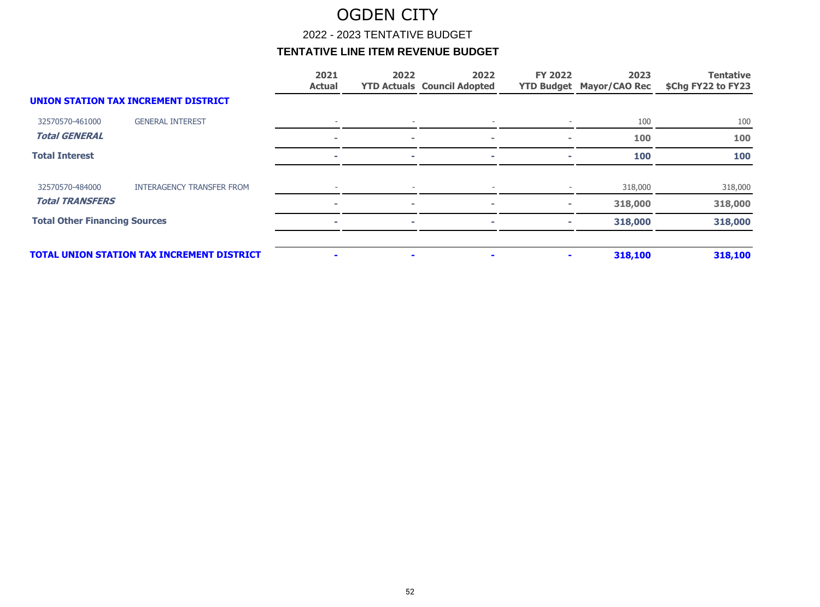2022 - 2023 TENTATIVE BUDGET

|                                      |                                                   | 2021<br><b>Actual</b> | 2022                     | 2022<br><b>YTD Actuals Council Adopted</b> | <b>FY 2022</b> | 2023<br><b>YTD Budget Mayor/CAO Rec</b> | <b>Tentative</b><br>\$Chg FY22 to FY23 |
|--------------------------------------|---------------------------------------------------|-----------------------|--------------------------|--------------------------------------------|----------------|-----------------------------------------|----------------------------------------|
|                                      | <b>UNION STATION TAX INCREMENT DISTRICT</b>       |                       |                          |                                            |                |                                         |                                        |
| 32570570-461000                      | <b>GENERAL INTEREST</b>                           |                       |                          |                                            |                | 100                                     | 100                                    |
| <b>Total GENERAL</b>                 |                                                   | $\sim$                | $\overline{\phantom{a}}$ | $\blacksquare$                             | $\sim$         | 100                                     | 100                                    |
| <b>Total Interest</b>                |                                                   |                       |                          |                                            |                | 100                                     | 100                                    |
| 32570570-484000                      | <b>INTERAGENCY TRANSFER FROM</b>                  |                       |                          |                                            |                | 318,000                                 | 318,000                                |
| <b>Total TRANSFERS</b>               |                                                   | $\blacksquare$        | $\sim$                   | $\sim$                                     | $\sim$         | 318,000                                 | 318,000                                |
| <b>Total Other Financing Sources</b> |                                                   |                       | ÷                        | ÷                                          |                | 318,000                                 | 318,000                                |
|                                      | <b>TOTAL UNION STATION TAX INCREMENT DISTRICT</b> |                       | $\blacksquare$           |                                            |                | 318,100                                 | 318,100                                |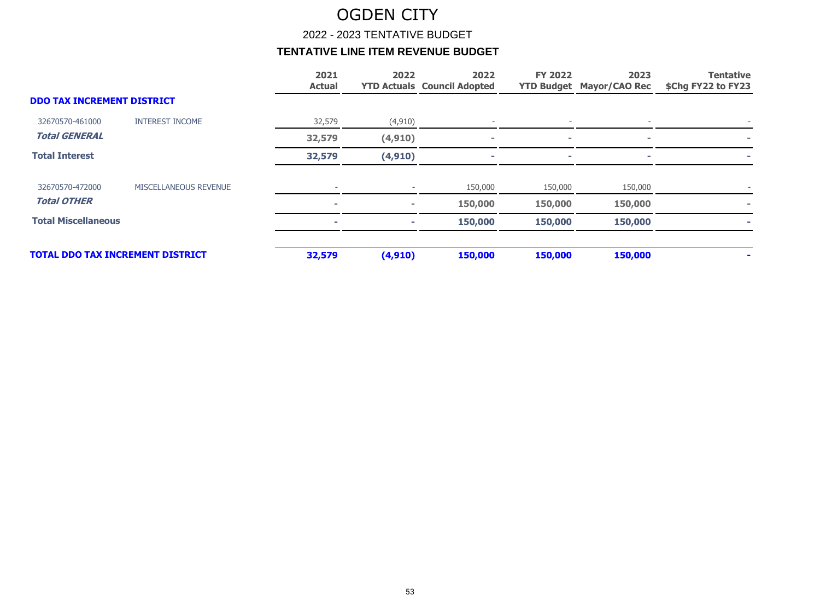2022 - 2023 TENTATIVE BUDGET

|                                   |                                         | 2021<br><b>Actual</b> | 2022     | 2022<br><b>YTD Actuals Council Adopted</b> | <b>FY 2022</b> | 2023<br><b>YTD Budget Mayor/CAO Rec</b> | <b>Tentative</b><br>\$Chg FY22 to FY23 |
|-----------------------------------|-----------------------------------------|-----------------------|----------|--------------------------------------------|----------------|-----------------------------------------|----------------------------------------|
| <b>DDO TAX INCREMENT DISTRICT</b> |                                         |                       |          |                                            |                |                                         |                                        |
| 32670570-461000                   | <b>INTEREST INCOME</b>                  | 32,579                | (4, 910) |                                            |                |                                         |                                        |
| <b>Total GENERAL</b>              |                                         | 32,579                | (4, 910) | $\sim$                                     |                | $\sim$                                  |                                        |
| <b>Total Interest</b>             |                                         | 32,579                | (4, 910) | $\sim$                                     |                |                                         | ٠                                      |
| 32670570-472000                   | MISCELLANEOUS REVENUE                   |                       |          | 150,000                                    | 150,000        | 150,000                                 |                                        |
| <b>Total OTHER</b>                |                                         | $\equiv$              | $\sim$   | 150,000                                    | 150,000        | 150,000                                 |                                        |
| <b>Total Miscellaneous</b>        |                                         |                       | $\sim$   | 150,000                                    | 150,000        | 150,000                                 |                                        |
|                                   | <b>TOTAL DDO TAX INCREMENT DISTRICT</b> | 32,579                | (4, 910) | 150,000                                    | 150,000        | 150,000                                 |                                        |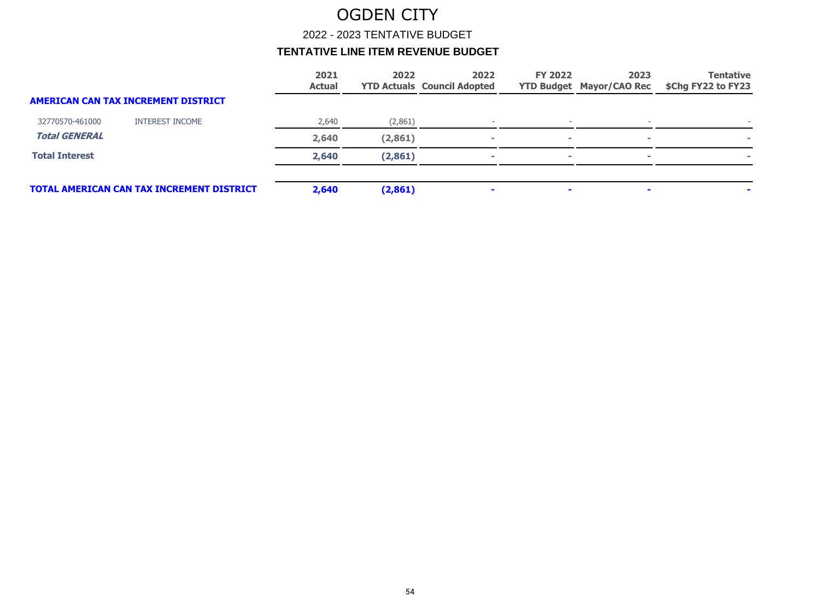2022 - 2023 TENTATIVE BUDGET

|                       |                                                  | 2021<br><b>Actual</b> | 2022     | 2022<br><b>YTD Actuals Council Adopted</b> | <b>FY 2022</b> | 2023<br><b>YTD Budget Mayor/CAO Rec</b> | <b>Tentative</b><br>\$Chg FY22 to FY23 |
|-----------------------|--------------------------------------------------|-----------------------|----------|--------------------------------------------|----------------|-----------------------------------------|----------------------------------------|
|                       | AMERICAN CAN TAX INCREMENT DISTRICT              |                       |          |                                            |                |                                         |                                        |
| 32770570-461000       | <b>INTEREST INCOME</b>                           | 2,640                 | (2,861)  |                                            |                |                                         |                                        |
| <b>Total GENERAL</b>  |                                                  | 2,640                 | (2, 861) |                                            | $\sim$         | $\sim$                                  |                                        |
| <b>Total Interest</b> |                                                  | 2,640                 | (2, 861) |                                            | ×.             |                                         |                                        |
|                       |                                                  |                       |          |                                            |                |                                         |                                        |
|                       | <b>TOTAL AMERICAN CAN TAX INCREMENT DISTRICT</b> | 2,640                 | (2,861)  |                                            | $\mathbf{r}$   |                                         |                                        |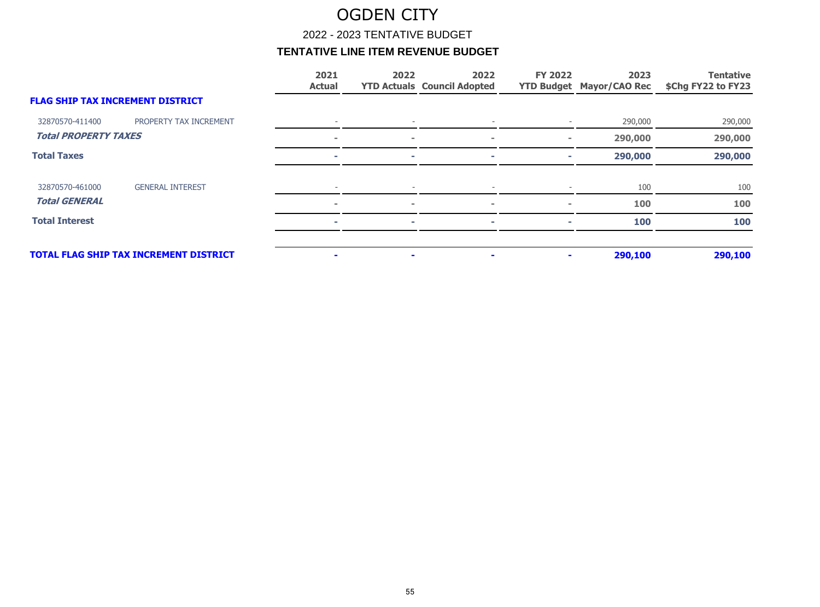2022 - 2023 TENTATIVE BUDGET

|                                         |                                               | 2021<br><b>Actual</b>    | 2022           | 2022<br><b>YTD Actuals Council Adopted</b> | <b>FY 2022</b> | 2023<br><b>YTD Budget Mayor/CAO Rec</b> | <b>Tentative</b><br>\$Chg FY22 to FY23 |
|-----------------------------------------|-----------------------------------------------|--------------------------|----------------|--------------------------------------------|----------------|-----------------------------------------|----------------------------------------|
| <b>FLAG SHIP TAX INCREMENT DISTRICT</b> |                                               |                          |                |                                            |                |                                         |                                        |
| 32870570-411400                         | PROPERTY TAX INCREMENT                        |                          |                |                                            |                | 290,000                                 | 290,000                                |
| <b>Total PROPERTY TAXES</b>             |                                               | $\blacksquare$           | $\sim$         | $\sim$                                     |                | 290,000                                 | 290,000                                |
| <b>Total Taxes</b>                      |                                               |                          |                |                                            | $\sim$         | 290,000                                 | 290,000                                |
| 32870570-461000                         | <b>GENERAL INTEREST</b>                       |                          |                |                                            |                | 100                                     | 100                                    |
| <b>Total GENERAL</b>                    |                                               | $\blacksquare$           | $\sim$         | $\equiv$                                   | $\sim$         | 100                                     | 100                                    |
| <b>Total Interest</b>                   |                                               | $\overline{\phantom{a}}$ | ×              | ÷                                          | m.             | 100                                     | 100                                    |
|                                         | <b>TOTAL FLAG SHIP TAX INCREMENT DISTRICT</b> | $\blacksquare$           | $\blacksquare$ | $\blacksquare$                             |                | 290,100                                 | 290,100                                |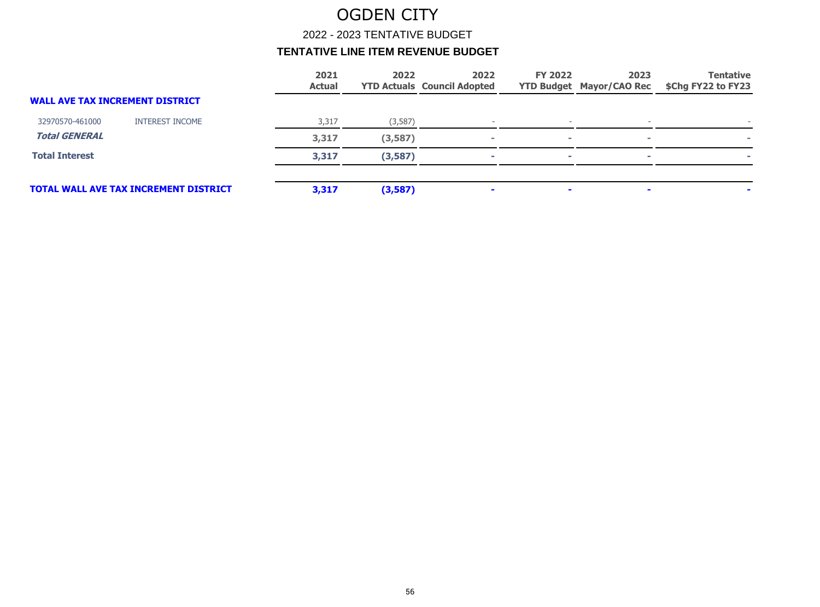2022 - 2023 TENTATIVE BUDGET

|                                        |                                              | 2021<br><b>Actual</b> | 2022    | 2022<br><b>YTD Actuals Council Adopted</b> | <b>FY 2022</b> | 2023<br><b>YTD Budget Mayor/CAO Rec</b> | <b>Tentative</b><br>\$Chg FY22 to FY23 |
|----------------------------------------|----------------------------------------------|-----------------------|---------|--------------------------------------------|----------------|-----------------------------------------|----------------------------------------|
| <b>WALL AVE TAX INCREMENT DISTRICT</b> |                                              |                       |         |                                            |                |                                         |                                        |
| 32970570-461000                        | <b>INTEREST INCOME</b>                       | 3,317                 | (3,587) |                                            |                |                                         |                                        |
| <b>Total GENERAL</b>                   |                                              | 3,317                 | (3,587) |                                            | $\sim$         | $\blacksquare$                          |                                        |
| <b>Total Interest</b>                  |                                              | 3,317                 | (3,587) |                                            | <b>COL</b>     |                                         |                                        |
|                                        | <b>TOTAL WALL AVE TAX INCREMENT DISTRICT</b> | 3,317                 | (3,587) |                                            | $\mathbf{r}$   |                                         |                                        |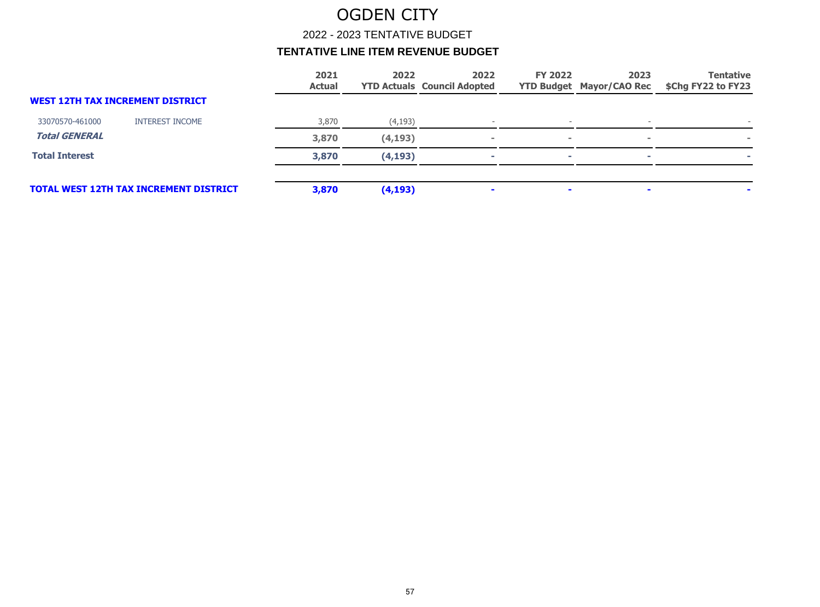2022 - 2023 TENTATIVE BUDGET

|                       |                                               | 2021<br><b>Actual</b> | 2022     | 2022<br><b>YTD Actuals Council Adopted</b> | <b>FY 2022</b> | 2023<br><b>YTD Budget Mayor/CAO Rec</b> | <b>Tentative</b><br>\$Chg FY22 to FY23 |
|-----------------------|-----------------------------------------------|-----------------------|----------|--------------------------------------------|----------------|-----------------------------------------|----------------------------------------|
|                       | <b>WEST 12TH TAX INCREMENT DISTRICT</b>       |                       |          |                                            |                |                                         |                                        |
| 33070570-461000       | <b>INTEREST INCOME</b>                        | 3,870                 | (4, 193) |                                            |                |                                         |                                        |
| <b>Total GENERAL</b>  |                                               | 3,870                 | (4,193)  |                                            | $\sim$         | $\sim$                                  |                                        |
| <b>Total Interest</b> |                                               | 3,870                 | (4, 193) |                                            | -              |                                         |                                        |
|                       | <b>TOTAL WEST 12TH TAX INCREMENT DISTRICT</b> | 3,870                 | (4, 193) |                                            | $\sim$         |                                         |                                        |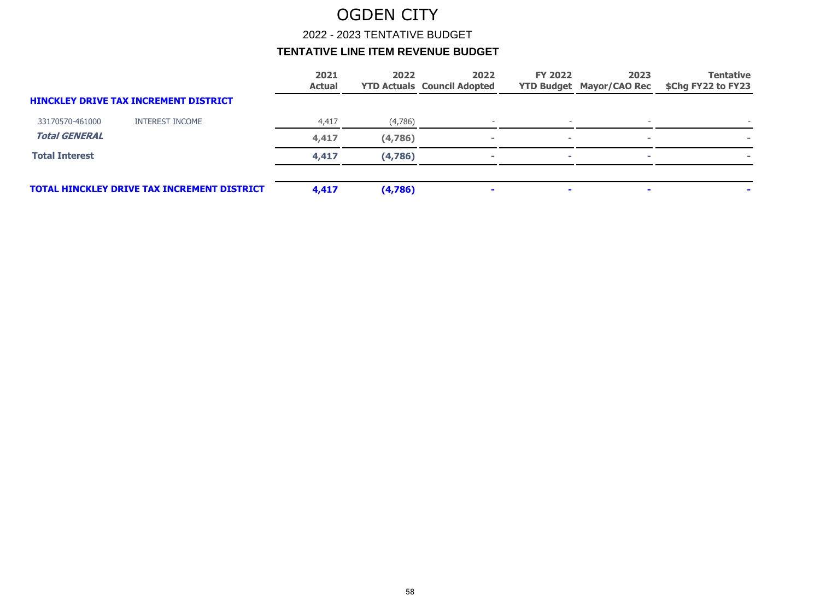2022 - 2023 TENTATIVE BUDGET

|                       |                                              | 2021<br><b>Actual</b> | 2022    | 2022<br><b>YTD Actuals Council Adopted</b> | <b>FY 2022</b> | 2023<br><b>YTD Budget Mayor/CAO Rec</b> | <b>Tentative</b><br>\$Chg FY22 to FY23 |
|-----------------------|----------------------------------------------|-----------------------|---------|--------------------------------------------|----------------|-----------------------------------------|----------------------------------------|
|                       | <b>HINCKLEY DRIVE TAX INCREMENT DISTRICT</b> |                       |         |                                            |                |                                         |                                        |
| 33170570-461000       | <b>INTEREST INCOME</b>                       | 4,417                 | (4,786) |                                            |                |                                         |                                        |
| <b>Total GENERAL</b>  |                                              | 4,417                 | (4,786) | $\sim$                                     | $\sim$         | $\sim$                                  |                                        |
| <b>Total Interest</b> |                                              | 4,417                 | (4,786) |                                            | $\sim$         |                                         |                                        |
|                       | TOTAL HINCKLEY DRIVE TAX INCREMENT DISTRICT  | 4,417                 | (4,786) | $\sim$                                     | $\sim$         |                                         |                                        |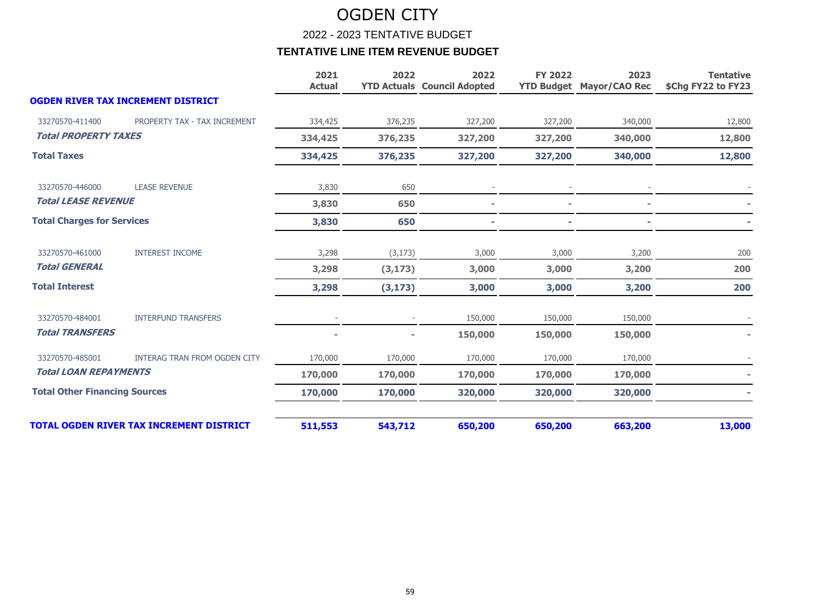2022 - 2023 TENTATIVE BUDGET

|                                      |                                                 | 2021<br><b>Actual</b> | 2022     | 2022<br><b>YTD Actuals Council Adopted</b> | <b>FY 2022</b> | 2023<br><b>YTD Budget Mayor/CAO Rec</b> | <b>Tentative</b><br>\$Chg FY22 to FY23 |
|--------------------------------------|-------------------------------------------------|-----------------------|----------|--------------------------------------------|----------------|-----------------------------------------|----------------------------------------|
|                                      | <b>OGDEN RIVER TAX INCREMENT DISTRICT</b>       |                       |          |                                            |                |                                         |                                        |
| 33270570-411400                      | PROPERTY TAX - TAX INCREMENT                    | 334,425               | 376,235  | 327,200                                    | 327,200        | 340,000                                 | 12,800                                 |
| <b>Total PROPERTY TAXES</b>          |                                                 | 334,425               | 376,235  | 327,200                                    | 327,200        | 340,000                                 | 12,800                                 |
| <b>Total Taxes</b>                   |                                                 | 334,425               | 376,235  | 327,200                                    | 327,200        | 340,000                                 | 12,800                                 |
| 33270570-446000                      | <b>LEASE REVENUE</b>                            | 3,830                 | 650      |                                            |                |                                         |                                        |
| <b>Total LEASE REVENUE</b>           |                                                 | 3,830                 | 650      |                                            |                |                                         |                                        |
| <b>Total Charges for Services</b>    |                                                 | 3,830                 | 650      |                                            |                |                                         |                                        |
| 33270570-461000                      | <b>INTEREST INCOME</b>                          | 3,298                 | (3, 173) | 3,000                                      | 3,000          | 3,200                                   | 200                                    |
| <b>Total GENERAL</b>                 |                                                 | 3,298                 | (3, 173) | 3,000                                      | 3,000          | 3,200                                   | 200                                    |
| <b>Total Interest</b>                |                                                 | 3,298                 | (3, 173) | 3,000                                      | 3,000          | 3,200                                   | 200                                    |
| 33270570-484001                      | <b>INTERFUND TRANSFERS</b>                      |                       |          | 150,000                                    | 150,000        | 150,000                                 |                                        |
| <b>Total TRANSFERS</b>               |                                                 |                       |          | 150,000                                    | 150,000        | 150,000                                 |                                        |
| 33270570-485001                      | <b>INTERAG TRAN FROM OGDEN CITY</b>             | 170,000               | 170,000  | 170,000                                    | 170,000        | 170,000                                 |                                        |
| <b>Total LOAN REPAYMENTS</b>         |                                                 | 170,000               | 170,000  | 170,000                                    | 170,000        | 170,000                                 |                                        |
| <b>Total Other Financing Sources</b> |                                                 | 170,000               | 170,000  | 320,000                                    | 320,000        | 320,000                                 |                                        |
|                                      | <b>TOTAL OGDEN RIVER TAX INCREMENT DISTRICT</b> | 511,553               | 543,712  | 650,200                                    | 650,200        | 663,200                                 | 13,000                                 |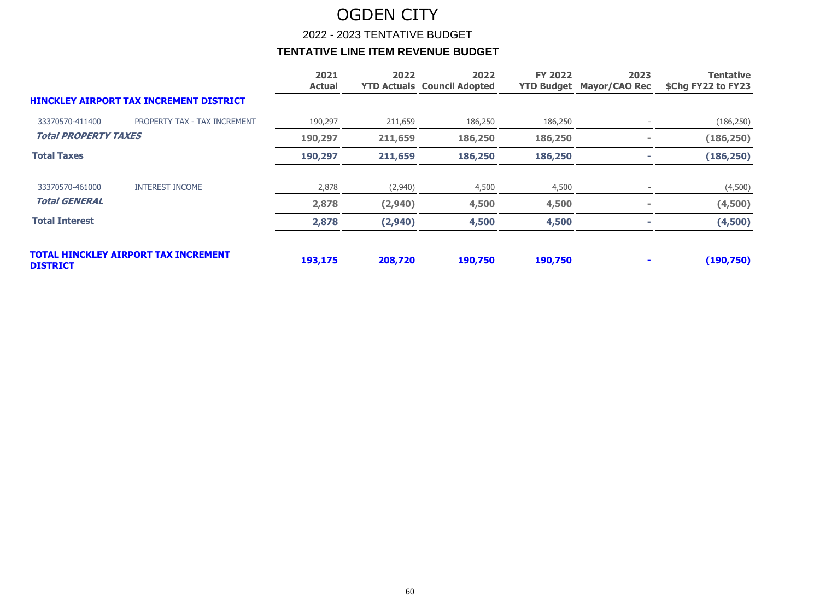2022 - 2023 TENTATIVE BUDGET

|                             |                                         | 2021<br><b>Actual</b> | 2022    | 2022<br><b>YTD Actuals Council Adopted</b> | <b>FY 2022</b> | 2023<br><b>YTD Budget Mayor/CAO Rec</b> | <b>Tentative</b><br>\$Chg FY22 to FY23 |
|-----------------------------|-----------------------------------------|-----------------------|---------|--------------------------------------------|----------------|-----------------------------------------|----------------------------------------|
|                             | HINCKLEY AIRPORT TAX INCREMENT DISTRICT |                       |         |                                            |                |                                         |                                        |
| 33370570-411400             | PROPERTY TAX - TAX INCREMENT            | 190,297               | 211,659 | 186,250                                    | 186,250        |                                         | (186, 250)                             |
| <b>Total PROPERTY TAXES</b> |                                         | 190,297               | 211,659 | 186,250                                    | 186,250        | ٠                                       | (186, 250)                             |
| <b>Total Taxes</b>          |                                         | 190,297               | 211,659 | 186,250                                    | 186,250        |                                         | (186, 250)                             |
| 33370570-461000             | <b>INTEREST INCOME</b>                  | 2,878                 | (2,940) | 4,500                                      | 4,500          |                                         | (4,500)                                |
| <b>Total GENERAL</b>        |                                         | 2,878                 | (2,940) | 4,500                                      | 4,500          |                                         | (4,500)                                |
| <b>Total Interest</b>       |                                         | 2,878                 | (2,940) | 4,500                                      | 4,500          |                                         | (4,500)                                |
| <b>DISTRICT</b>             | TOTAL HINCKLEY AIRPORT TAX INCREMENT    | 193,175               | 208,720 | 190,750                                    | 190,750        |                                         | (190, 750)                             |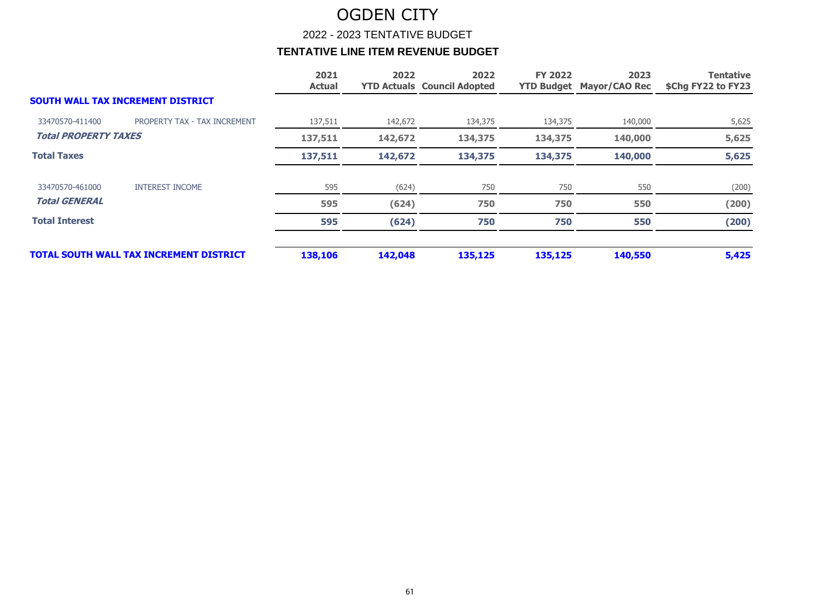2022 - 2023 TENTATIVE BUDGET

|                             |                                                | 2021<br><b>Actual</b> | 2022    | 2022<br><b>YTD Actuals Council Adopted</b> | <b>FY 2022</b> | 2023<br><b>YTD Budget Mayor/CAO Rec</b> | <b>Tentative</b><br>\$Chg FY22 to FY23 |
|-----------------------------|------------------------------------------------|-----------------------|---------|--------------------------------------------|----------------|-----------------------------------------|----------------------------------------|
|                             | SOUTH WALL TAX INCREMENT DISTRICT              |                       |         |                                            |                |                                         |                                        |
| 33470570-411400             | PROPERTY TAX - TAX INCREMENT                   | 137,511               | 142,672 | 134,375                                    | 134,375        | 140,000                                 | 5,625                                  |
| <b>Total PROPERTY TAXES</b> |                                                | 137,511               | 142,672 | 134,375                                    | 134,375        | 140,000                                 | 5,625                                  |
| <b>Total Taxes</b>          |                                                | 137,511               | 142,672 | 134,375                                    | 134,375        | 140,000                                 | 5,625                                  |
| 33470570-461000             | <b>INTEREST INCOME</b>                         | 595                   | (624)   | 750                                        | 750            | 550                                     | (200)                                  |
| <b>Total GENERAL</b>        |                                                | 595                   | (624)   | 750                                        | 750            | 550                                     | (200)                                  |
| <b>Total Interest</b>       |                                                | 595                   | (624)   | 750                                        | 750            | 550                                     | (200)                                  |
|                             | <b>TOTAL SOUTH WALL TAX INCREMENT DISTRICT</b> | 138,106               | 142,048 | 135,125                                    | 135,125        | 140,550                                 | 5,425                                  |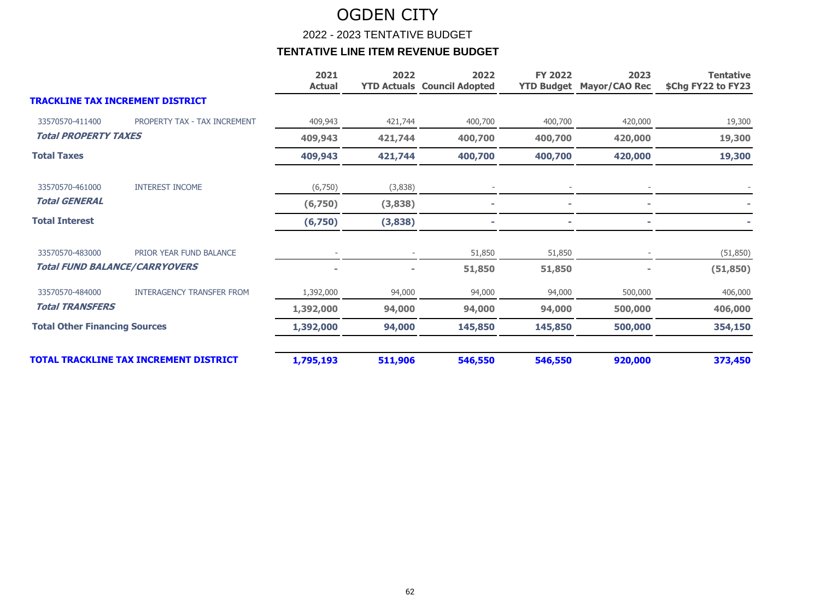2022 - 2023 TENTATIVE BUDGET

|                                               |                                  | 2021<br><b>Actual</b> | 2022    | 2022<br><b>YTD Actuals Council Adopted</b> | <b>FY 2022</b><br><b>YTD Budget</b> | 2023<br><b>Mayor/CAO Rec</b> | <b>Tentative</b><br>\$Chg FY22 to FY23 |
|-----------------------------------------------|----------------------------------|-----------------------|---------|--------------------------------------------|-------------------------------------|------------------------------|----------------------------------------|
| <b>TRACKLINE TAX INCREMENT DISTRICT</b>       |                                  |                       |         |                                            |                                     |                              |                                        |
| 33570570-411400                               | PROPERTY TAX - TAX INCREMENT     | 409,943               | 421,744 | 400,700                                    | 400,700                             | 420,000                      | 19,300                                 |
| <b>Total PROPERTY TAXES</b>                   |                                  | 409,943               | 421,744 | 400,700                                    | 400,700                             | 420,000                      | 19,300                                 |
| <b>Total Taxes</b>                            |                                  | 409,943               | 421,744 | 400,700                                    | 400,700                             | 420,000                      | 19,300                                 |
| 33570570-461000                               | <b>INTEREST INCOME</b>           | (6,750)               | (3,838) |                                            |                                     |                              |                                        |
| <b>Total GENERAL</b>                          |                                  | (6,750)               | (3,838) |                                            |                                     |                              |                                        |
| <b>Total Interest</b>                         |                                  | (6,750)               | (3,838) |                                            |                                     |                              |                                        |
| 33570570-483000                               | PRIOR YEAR FUND BALANCE          |                       |         | 51,850                                     | 51,850                              |                              | (51, 850)                              |
| <b>Total FUND BALANCE/CARRYOVERS</b>          |                                  |                       |         | 51,850                                     | 51,850                              |                              | (51, 850)                              |
| 33570570-484000                               | <b>INTERAGENCY TRANSFER FROM</b> | 1,392,000             | 94,000  | 94,000                                     | 94,000                              | 500,000                      | 406,000                                |
| <b>Total TRANSFERS</b>                        |                                  | 1,392,000             | 94,000  | 94,000                                     | 94,000                              | 500,000                      | 406,000                                |
| <b>Total Other Financing Sources</b>          |                                  | 1,392,000             | 94,000  | 145,850                                    | 145,850                             | 500,000                      | 354,150                                |
| <b>TOTAL TRACKLINE TAX INCREMENT DISTRICT</b> |                                  | 1,795,193             | 511,906 | 546,550                                    | 546,550                             | 920,000                      | 373,450                                |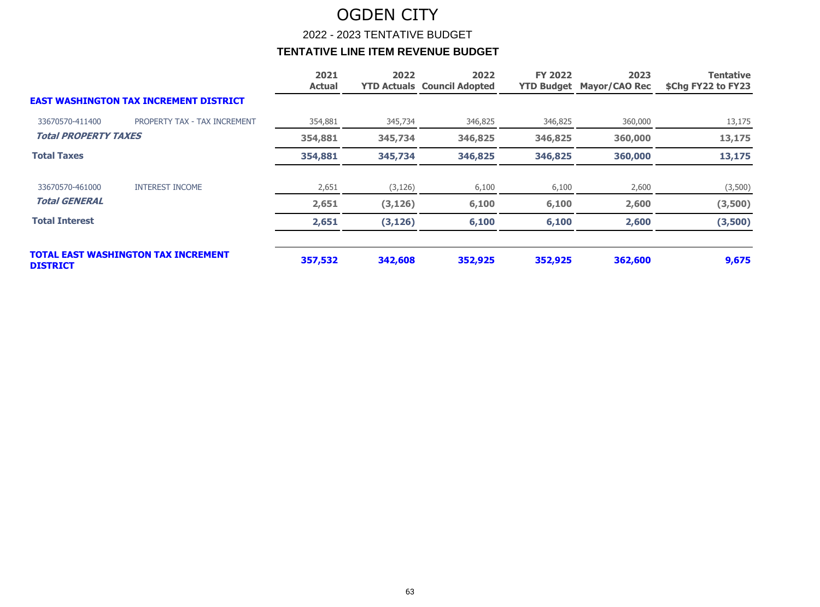2022 - 2023 TENTATIVE BUDGET

|                             |                                               | 2021<br><b>Actual</b> | 2022     | 2022<br><b>YTD Actuals Council Adopted</b> | <b>FY 2022</b> | 2023<br><b>YTD Budget Mayor/CAO Rec</b> | <b>Tentative</b><br>\$Chg FY22 to FY23 |
|-----------------------------|-----------------------------------------------|-----------------------|----------|--------------------------------------------|----------------|-----------------------------------------|----------------------------------------|
|                             | <b>EAST WASHINGTON TAX INCREMENT DISTRICT</b> |                       |          |                                            |                |                                         |                                        |
| 33670570-411400             | PROPERTY TAX - TAX INCREMENT                  | 354,881               | 345,734  | 346,825                                    | 346,825        | 360,000                                 | 13,175                                 |
| <b>Total PROPERTY TAXES</b> |                                               | 354,881               | 345,734  | 346,825                                    | 346,825        | 360,000                                 | 13,175                                 |
| <b>Total Taxes</b>          |                                               | 354,881               | 345,734  | 346,825                                    | 346,825        | 360,000                                 | 13,175                                 |
| 33670570-461000             | <b>INTEREST INCOME</b>                        | 2,651                 | (3, 126) | 6,100                                      | 6,100          | 2,600                                   | (3,500)                                |
| <b>Total GENERAL</b>        |                                               | 2,651                 | (3, 126) | 6,100                                      | 6,100          | 2,600                                   | (3,500)                                |
| <b>Total Interest</b>       |                                               | 2,651                 | (3, 126) | 6,100                                      | 6,100          | 2,600                                   | (3,500)                                |
| <b>DISTRICT</b>             | <b>TOTAL EAST WASHINGTON TAX INCREMENT</b>    | 357,532               | 342,608  | 352,925                                    | 352,925        | 362,600                                 | 9,675                                  |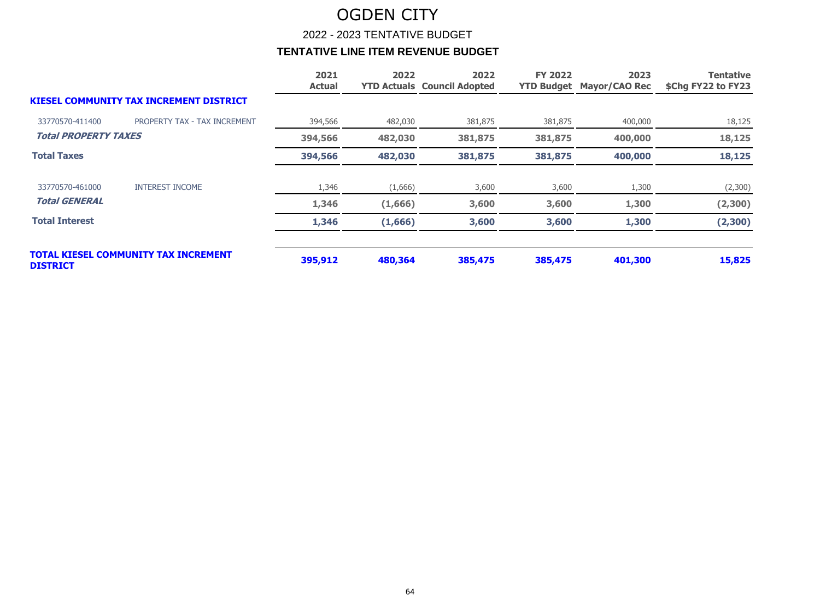2022 - 2023 TENTATIVE BUDGET

|                             |                                                | 2021<br><b>Actual</b> | 2022    | 2022<br><b>YTD Actuals Council Adopted</b> | <b>FY 2022</b> | 2023<br><b>YTD Budget Mayor/CAO Rec</b> | <b>Tentative</b><br>\$Chg FY22 to FY23 |
|-----------------------------|------------------------------------------------|-----------------------|---------|--------------------------------------------|----------------|-----------------------------------------|----------------------------------------|
|                             | <b>KIESEL COMMUNITY TAX INCREMENT DISTRICT</b> |                       |         |                                            |                |                                         |                                        |
| 33770570-411400             | PROPERTY TAX - TAX INCREMENT                   | 394,566               | 482,030 | 381,875                                    | 381,875        | 400,000                                 | 18,125                                 |
| <b>Total PROPERTY TAXES</b> |                                                | 394,566               | 482,030 | 381,875                                    | 381,875        | 400,000                                 | 18,125                                 |
| <b>Total Taxes</b>          |                                                | 394,566               | 482,030 | 381,875                                    | 381,875        | 400,000                                 | 18,125                                 |
| 33770570-461000             | <b>INTEREST INCOME</b>                         | 1,346                 | (1,666) | 3,600                                      | 3,600          | 1,300                                   | (2,300)                                |
| <b>Total GENERAL</b>        |                                                | 1,346                 | (1,666) | 3,600                                      | 3,600          | 1,300                                   | (2,300)                                |
| <b>Total Interest</b>       |                                                | 1,346                 | (1,666) | 3,600                                      | 3,600          | 1,300                                   | (2,300)                                |
| <b>DISTRICT</b>             | <b>TOTAL KIESEL COMMUNITY TAX INCREMENT</b>    | 395,912               | 480,364 | 385,475                                    | 385,475        | 401,300                                 | 15,825                                 |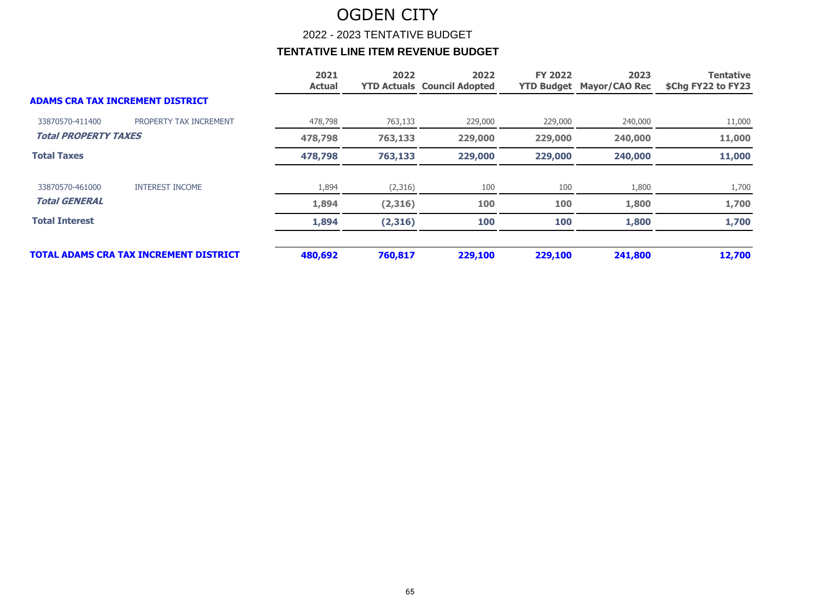2022 - 2023 TENTATIVE BUDGET

|                             |                                               | 2021<br><b>Actual</b> | 2022    | 2022<br><b>YTD Actuals Council Adopted</b> | <b>FY 2022</b> | 2023<br><b>YTD Budget Mayor/CAO Rec</b> | <b>Tentative</b><br>\$Chg FY22 to FY23 |
|-----------------------------|-----------------------------------------------|-----------------------|---------|--------------------------------------------|----------------|-----------------------------------------|----------------------------------------|
|                             | <b>ADAMS CRA TAX INCREMENT DISTRICT</b>       |                       |         |                                            |                |                                         |                                        |
| 33870570-411400             | PROPERTY TAX INCREMENT                        | 478,798               | 763,133 | 229,000                                    | 229,000        | 240,000                                 | 11,000                                 |
| <b>Total PROPERTY TAXES</b> |                                               | 478,798               | 763,133 | 229,000                                    | 229,000        | 240,000                                 | 11,000                                 |
| <b>Total Taxes</b>          |                                               | 478,798               | 763,133 | 229,000                                    | 229,000        | 240,000                                 | 11,000                                 |
| 33870570-461000             | <b>INTEREST INCOME</b>                        | 1,894                 | (2,316) | 100                                        | 100            | 1,800                                   | 1,700                                  |
| <b>Total GENERAL</b>        |                                               | 1,894                 | (2,316) | 100                                        | 100            | 1,800                                   | 1,700                                  |
| <b>Total Interest</b>       |                                               | 1,894                 | (2,316) | 100                                        | 100            | 1,800                                   | 1,700                                  |
|                             | <b>TOTAL ADAMS CRA TAX INCREMENT DISTRICT</b> | 480,692               | 760.817 | 229,100                                    | 229,100        | 241,800                                 | 12,700                                 |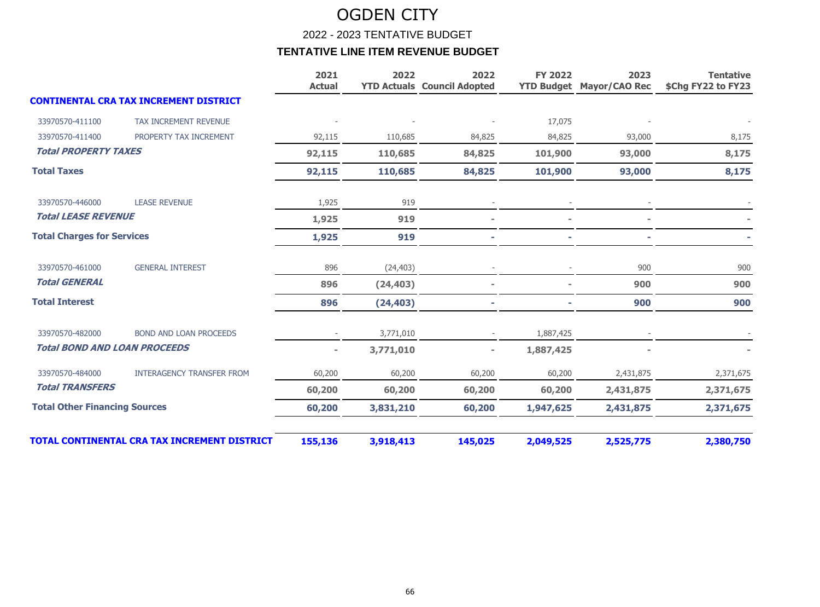2022 - 2023 TENTATIVE BUDGET

|                                      |                                                     | 2021<br><b>Actual</b> | 2022      | 2022<br><b>YTD Actuals Council Adopted</b> | <b>FY 2022</b> | 2023<br><b>YTD Budget Mayor/CAO Rec</b> | <b>Tentative</b><br>\$Chg FY22 to FY23 |
|--------------------------------------|-----------------------------------------------------|-----------------------|-----------|--------------------------------------------|----------------|-----------------------------------------|----------------------------------------|
|                                      | <b>CONTINENTAL CRA TAX INCREMENT DISTRICT</b>       |                       |           |                                            |                |                                         |                                        |
| 33970570-411100                      | <b>TAX INCREMENT REVENUE</b>                        |                       |           |                                            | 17,075         |                                         |                                        |
| 33970570-411400                      | PROPERTY TAX INCREMENT                              | 92,115                | 110,685   | 84,825                                     | 84,825         | 93,000                                  | 8,175                                  |
| <b>Total PROPERTY TAXES</b>          |                                                     | 92,115                | 110,685   | 84,825                                     | 101,900        | 93,000                                  | 8,175                                  |
| <b>Total Taxes</b>                   |                                                     | 92,115                | 110,685   | 84,825                                     | 101,900        | 93,000                                  | 8,175                                  |
| 33970570-446000                      | <b>LEASE REVENUE</b>                                | 1,925                 | 919       |                                            |                |                                         |                                        |
| <b>Total LEASE REVENUE</b>           |                                                     | 1,925                 | 919       |                                            |                |                                         |                                        |
| <b>Total Charges for Services</b>    |                                                     | 1,925                 | 919       |                                            |                |                                         |                                        |
| 33970570-461000                      | <b>GENERAL INTEREST</b>                             | 896                   | (24, 403) |                                            |                | 900                                     | 900                                    |
| <b>Total GENERAL</b>                 |                                                     | 896                   | (24, 403) |                                            |                | 900                                     | 900                                    |
| <b>Total Interest</b>                |                                                     | 896                   | (24, 403) |                                            |                | 900                                     | 900                                    |
| 33970570-482000                      | <b>BOND AND LOAN PROCEEDS</b>                       |                       | 3,771,010 |                                            | 1,887,425      |                                         |                                        |
| <b>Total BOND AND LOAN PROCEEDS</b>  |                                                     | $\blacksquare$        | 3,771,010 | $\sim$                                     | 1,887,425      |                                         |                                        |
| 33970570-484000                      | <b>INTERAGENCY TRANSFER FROM</b>                    | 60,200                | 60,200    | 60,200                                     | 60,200         | 2,431,875                               | 2,371,675                              |
| <b>Total TRANSFERS</b>               |                                                     | 60,200                | 60,200    | 60,200                                     | 60,200         | 2,431,875                               | 2,371,675                              |
| <b>Total Other Financing Sources</b> |                                                     | 60,200                | 3,831,210 | 60,200                                     | 1,947,625      | 2,431,875                               | 2,371,675                              |
|                                      | <b>TOTAL CONTINENTAL CRA TAX INCREMENT DISTRICT</b> | 155,136               | 3,918,413 | 145,025                                    | 2,049,525      | 2,525,775                               | 2,380,750                              |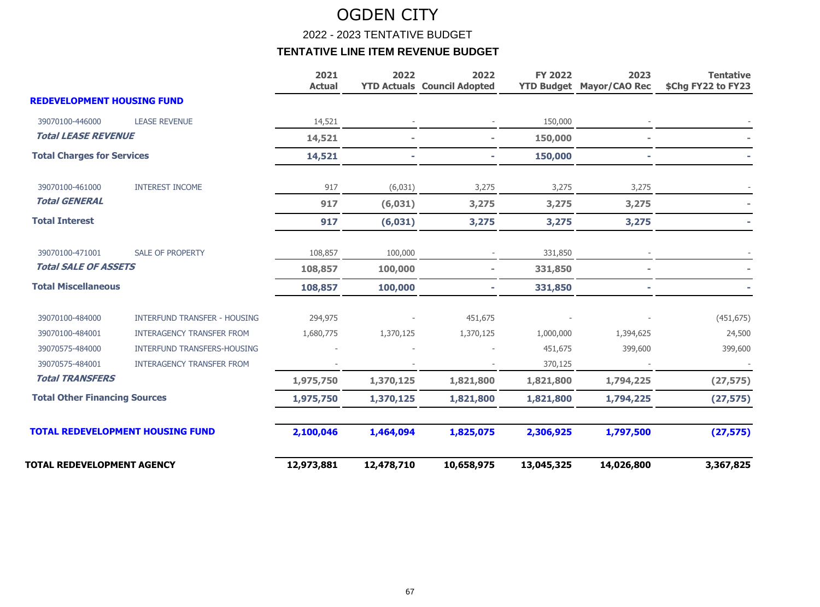2022 - 2023 TENTATIVE BUDGET

|                                      |                                         | 2021<br><b>Actual</b> | 2022       | 2022<br><b>YTD Actuals Council Adopted</b> | <b>FY 2022</b> | 2023<br><b>YTD Budget Mayor/CAO Rec</b> | <b>Tentative</b><br>\$Chg FY22 to FY23 |
|--------------------------------------|-----------------------------------------|-----------------------|------------|--------------------------------------------|----------------|-----------------------------------------|----------------------------------------|
| <b>REDEVELOPMENT HOUSING FUND</b>    |                                         |                       |            |                                            |                |                                         |                                        |
| 39070100-446000                      | <b>LEASE REVENUE</b>                    | 14,521                |            |                                            | 150,000        |                                         |                                        |
| <b>Total LEASE REVENUE</b>           |                                         | 14,521                |            | $\sim$                                     | 150,000        |                                         |                                        |
| <b>Total Charges for Services</b>    |                                         | 14,521                |            |                                            | 150,000        |                                         |                                        |
| 39070100-461000                      | <b>INTEREST INCOME</b>                  | 917                   | (6,031)    | 3,275                                      | 3,275          | 3,275                                   |                                        |
| <b>Total GENERAL</b>                 |                                         | 917                   | (6,031)    | 3,275                                      | 3,275          | 3,275                                   |                                        |
| <b>Total Interest</b>                |                                         | 917                   | (6,031)    | 3,275                                      | 3,275          | 3,275                                   |                                        |
| 39070100-471001                      | <b>SALE OF PROPERTY</b>                 | 108,857               | 100,000    |                                            | 331,850        |                                         |                                        |
| <b>Total SALE OF ASSETS</b>          |                                         | 108,857               | 100,000    |                                            | 331,850        |                                         |                                        |
| <b>Total Miscellaneous</b>           |                                         | 108,857               | 100,000    | ٠.                                         | 331,850        | ×.                                      |                                        |
| 39070100-484000                      | <b>INTERFUND TRANSFER - HOUSING</b>     | 294,975               |            | 451,675                                    |                |                                         | (451, 675)                             |
| 39070100-484001                      | <b>INTERAGENCY TRANSFER FROM</b>        | 1,680,775             | 1,370,125  | 1,370,125                                  | 1,000,000      | 1,394,625                               | 24,500                                 |
| 39070575-484000                      | <b>INTERFUND TRANSFERS-HOUSING</b>      |                       |            |                                            | 451,675        | 399,600                                 | 399,600                                |
| 39070575-484001                      | <b>INTERAGENCY TRANSFER FROM</b>        |                       |            |                                            | 370,125        |                                         |                                        |
| <b>Total TRANSFERS</b>               |                                         | 1,975,750             | 1,370,125  | 1,821,800                                  | 1,821,800      | 1,794,225                               | (27, 575)                              |
| <b>Total Other Financing Sources</b> |                                         | 1,975,750             | 1,370,125  | 1,821,800                                  | 1,821,800      | 1,794,225                               | (27, 575)                              |
|                                      | <b>TOTAL REDEVELOPMENT HOUSING FUND</b> | 2,100,046             | 1,464,094  | 1,825,075                                  | 2,306,925      | 1,797,500                               | (27, 575)                              |
| TOTAL REDEVELOPMENT AGENCY           |                                         | 12,973,881            | 12,478,710 | 10,658,975                                 | 13,045,325     | 14,026,800                              | 3,367,825                              |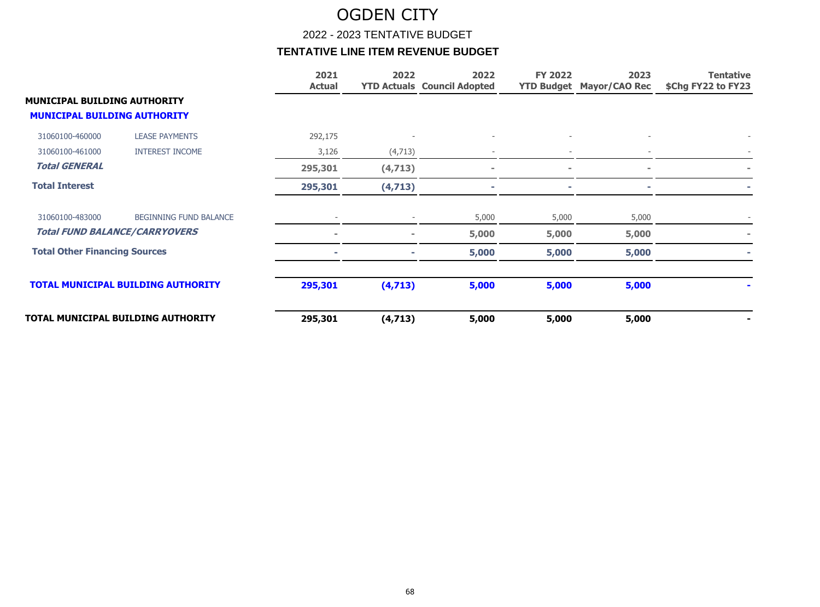2022 - 2023 TENTATIVE BUDGET

|                                      |                                           | 2021<br><b>Actual</b> | 2022     | 2022<br><b>YTD Actuals Council Adopted</b> | <b>FY 2022</b> | 2023<br><b>YTD Budget Mayor/CAO Rec</b> | <b>Tentative</b><br>\$Chg FY22 to FY23 |
|--------------------------------------|-------------------------------------------|-----------------------|----------|--------------------------------------------|----------------|-----------------------------------------|----------------------------------------|
| <b>MUNICIPAL BUILDING AUTHORITY</b>  |                                           |                       |          |                                            |                |                                         |                                        |
| <b>MUNICIPAL BUILDING AUTHORITY</b>  |                                           |                       |          |                                            |                |                                         |                                        |
| 31060100-460000                      | <b>LEASE PAYMENTS</b>                     | 292,175               |          |                                            |                |                                         |                                        |
| 31060100-461000                      | <b>INTEREST INCOME</b>                    | 3,126                 | (4, 713) |                                            |                |                                         |                                        |
| <b>Total GENERAL</b>                 |                                           | 295,301               | (4, 713) | $\blacksquare$                             | $\sim$         | ÷                                       |                                        |
| <b>Total Interest</b>                |                                           | 295,301               | (4, 713) |                                            |                |                                         |                                        |
| 31060100-483000                      | <b>BEGINNING FUND BALANCE</b>             |                       |          | 5,000                                      | 5,000          | 5,000                                   |                                        |
| <b>Total FUND BALANCE/CARRYOVERS</b> |                                           |                       |          | 5,000                                      | 5,000          | 5,000                                   |                                        |
| <b>Total Other Financing Sources</b> |                                           |                       |          | 5,000                                      | 5,000          | 5,000                                   |                                        |
|                                      | <b>TOTAL MUNICIPAL BUILDING AUTHORITY</b> | 295,301               | (4, 713) | 5,000                                      | 5,000          | 5,000                                   |                                        |
|                                      | TOTAL MUNICIPAL BUILDING AUTHORITY        | 295,301               | (4, 713) | 5,000                                      | 5,000          | 5,000                                   |                                        |